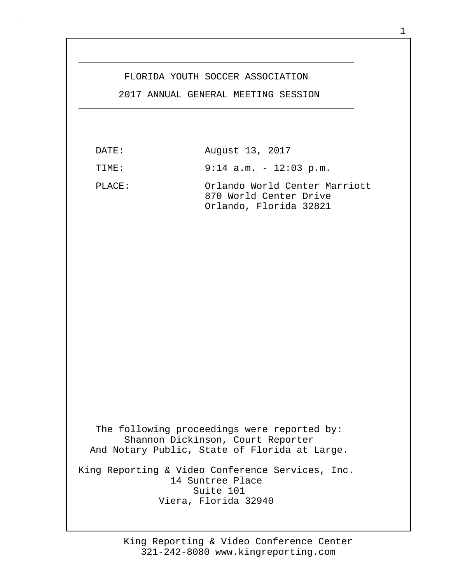## FLORIDA YOUTH SOCCER ASSOCIATION

\_\_\_\_\_\_\_\_\_\_\_\_\_\_\_\_\_\_\_\_\_\_\_\_\_\_\_\_\_\_\_\_\_\_\_\_\_\_\_\_\_\_\_\_\_\_\_\_

 2017 ANNUAL GENERAL MEETING SESSION \_\_\_\_\_\_\_\_\_\_\_\_\_\_\_\_\_\_\_\_\_\_\_\_\_\_\_\_\_\_\_\_\_\_\_\_\_\_\_\_\_\_\_\_\_\_\_\_

| DATE:  | August 13, 2017                                                                                                                   |
|--------|-----------------------------------------------------------------------------------------------------------------------------------|
| TIME:  | $9:14$ a.m. - 12:03 p.m.                                                                                                          |
| PLACE: | Orlando World Center Marriott<br>870 World Center Drive<br>Orlando, Florida 32821                                                 |
|        |                                                                                                                                   |
|        |                                                                                                                                   |
|        |                                                                                                                                   |
|        | The following proceedings were reported by:<br>Shannon Dickinson, Court Reporter<br>And Notary Public, State of Florida at Large. |
|        | King Reporting & Video Conference Services, Inc.<br>14 Suntree Place<br>Suite 101<br>Viera, Florida 32940                         |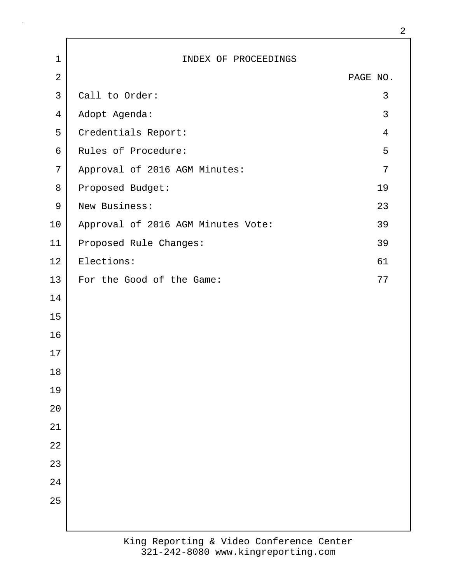| $\mathbf{1}$   | INDEX OF PROCEEDINGS               |                |
|----------------|------------------------------------|----------------|
| $\overline{2}$ |                                    | PAGE NO.       |
| $\mathsf{3}$   | Call to Order:                     | 3              |
| 4              | Adopt Agenda:                      | $\mathbf{3}$   |
| 5              | Credentials Report:                | $\overline{4}$ |
| 6              | Rules of Procedure:                | 5              |
| 7              | Approval of 2016 AGM Minutes:      | 7              |
| 8              | Proposed Budget:                   | 19             |
| $\mathsf 9$    | New Business:                      | 23             |
| 10             | Approval of 2016 AGM Minutes Vote: | 39             |
| 11             | Proposed Rule Changes:             | 39             |
| 12             | Elections:                         | 61             |
| 13             | For the Good of the Game:          | 77             |
| 14             |                                    |                |
| 15             |                                    |                |
| 16             |                                    |                |
| 17             |                                    |                |
| $18\,$         |                                    |                |
| 19             |                                    |                |
| $20$           |                                    |                |
| 21             |                                    |                |
| 22             |                                    |                |
| 23             |                                    |                |
| 24             |                                    |                |
| 25             |                                    |                |
|                |                                    |                |
|                |                                    |                |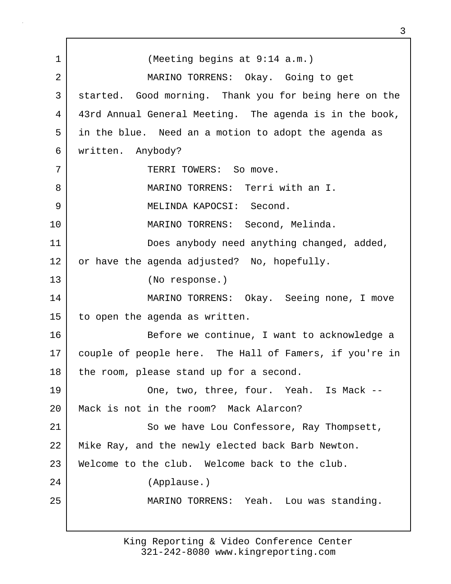1 (Meeting begins at 9:14 a.m.) 2 MARINO TORRENS: Okay. Going to get 3 started. Good morning. Thank you for being here on the 4 43rd Annual General Meeting. The agenda is in the book, 5 in the blue. Need an a motion to adopt the agenda as 6 written. Anybody? 7 | TERRI TOWERS: So move. 8 MARINO TORRENS: Terri with an I. 9 MELINDA KAPOCSI: Second. 10 MARINO TORRENS: Second, Melinda. 11 | Does anybody need anything changed, added, 12 or have the agenda adjusted? No, hopefully. 13 (No response.) 14 MARINO TORRENS: Okay. Seeing none, I move 15 to open the agenda as written. 16 Before we continue, I want to acknowledge a 17 couple of people here. The Hall of Famers, if you're in 18 | the room, please stand up for a second. 19 One, two, three, four. Yeah. Is Mack -- 20 Mack is not in the room? Mack Alarcon? 21 So we have Lou Confessore, Ray Thompsett, 22 Mike Ray, and the newly elected back Barb Newton. 23 Welcome to the club. Welcome back to the club. 24 (Applause.) 25 MARINO TORRENS: Yeah. Lou was standing.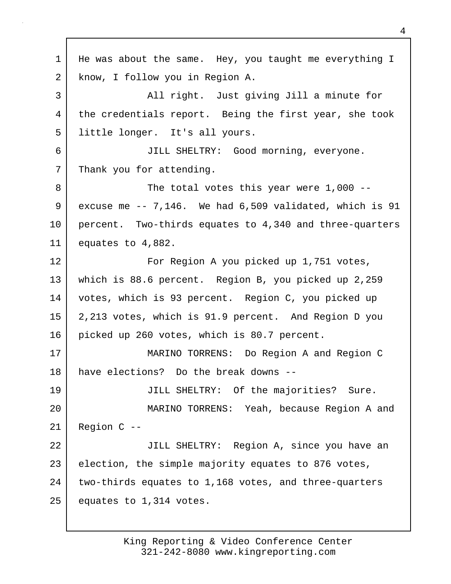1 | He was about the same. Hey, you taught me everything I 2 know, I follow you in Region A. 3 All right. Just giving Jill a minute for 4 the credentials report. Being the first year, she took 5 little longer. It's all yours. 6 JILL SHELTRY: Good morning, everyone. 7 Thank you for attending. 8 The total votes this year were 1,000 --9 excuse me -- 7,146. We had 6,509 validated, which is 91 10 percent. Two-thirds equates to 4,340 and three-quarters 11 equates to 4,882. 12 | For Region A you picked up 1,751 votes, 13 which is 88.6 percent. Region B, you picked up 2,259 14 votes, which is 93 percent. Region C, you picked up 15 2,213 votes, which is 91.9 percent. And Region D you 16 picked up 260 votes, which is 80.7 percent. 17 MARINO TORRENS: Do Region A and Region C 18 have elections? Do the break downs -- 19 JILL SHELTRY: Of the majorities? Sure. 20 MARINO TORRENS: Yeah, because Region A and 21 Region C -- 22 | JILL SHELTRY: Region A, since you have an 23 election, the simple majority equates to 876 votes, 24 two-thirds equates to 1,168 votes, and three-quarters 25 equates to 1,314 votes.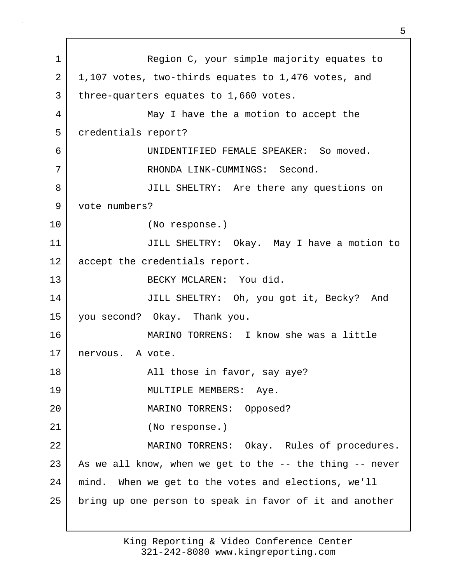1 Region C, your simple majority equates to 2 1,107 votes, two-thirds equates to 1,476 votes, and 3 | three-quarters equates to 1,660 votes. 4 May I have the a motion to accept the 5 credentials report? 6 UNIDENTIFIED FEMALE SPEAKER: So moved. 7 RHONDA LINK-CUMMINGS: Second. 8 JILL SHELTRY: Are there any questions on 9 vote numbers? 10 (No response.) 11 JILL SHELTRY: Okay. May I have a motion to 12 accept the credentials report. 13 BECKY MCLAREN: You did. 14 JILL SHELTRY: Oh, you got it, Becky? And 15 you second? Okay. Thank you. 16 MARINO TORRENS: I know she was a little 17 nervous. A vote. 18 | The Soleman Library All those in favor, say aye? 19 MULTIPLE MEMBERS: Aye. 20 MARINO TORRENS: Opposed? 21 (No response.) 22 | MARINO TORRENS: Okay. Rules of procedures. 23 As we all know, when we get to the  $-$ - the thing  $-$ - never 24 mind. When we get to the votes and elections, we'll 25 bring up one person to speak in favor of it and another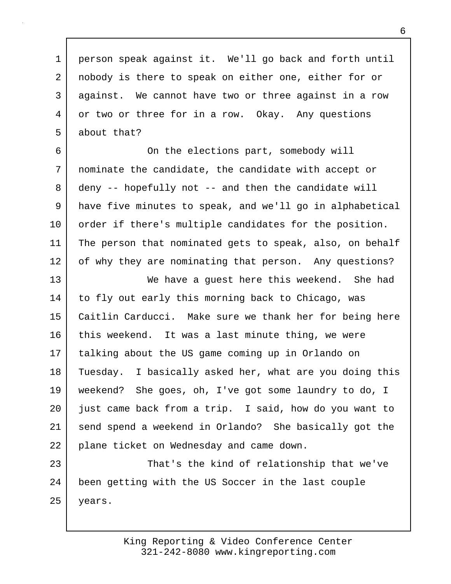1 person speak against it. We'll go back and forth until 2 nobody is there to speak on either one, either for or 3 against. We cannot have two or three against in a row 4 or two or three for in a row. Okay. Any questions 5 about that?

6 On the elections part, somebody will 7 nominate the candidate, the candidate with accept or 8 deny -- hopefully not -- and then the candidate will 9 have five minutes to speak, and we'll go in alphabetical 10 order if there's multiple candidates for the position. 11 The person that nominated gets to speak, also, on behalf 12 of why they are nominating that person. Any questions?

13 We have a guest here this weekend. She had 14 | to fly out early this morning back to Chicago, was 15 Caitlin Carducci. Make sure we thank her for being here 16 this weekend. It was a last minute thing, we were 17 talking about the US game coming up in Orlando on 18 Tuesday. I basically asked her, what are you doing this 19 weekend? She goes, oh, I've got some laundry to do, I 20 just came back from a trip. I said, how do you want to 21 send spend a weekend in Orlando? She basically got the 22 plane ticket on Wednesday and came down.

23 That's the kind of relationship that we've 24 been getting with the US Soccer in the last couple 25 | years.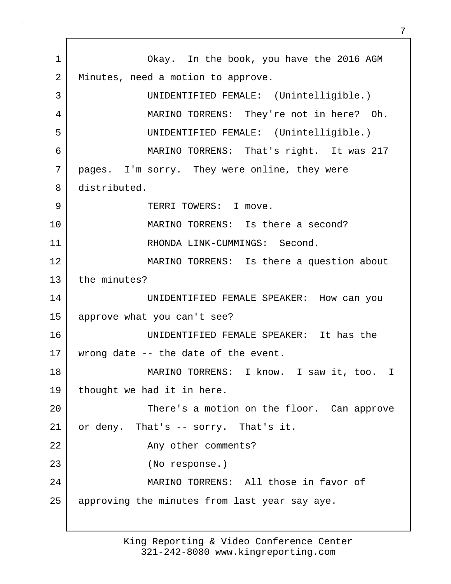1 Okay. In the book, you have the 2016 AGM 2 | Minutes, need a motion to approve. 3 UNIDENTIFIED FEMALE: (Unintelligible.) 4 MARINO TORRENS: They're not in here? Oh. 5 UNIDENTIFIED FEMALE: (Unintelligible.) 6 MARINO TORRENS: That's right. It was 217 7 pages. I'm sorry. They were online, they were 8 distributed. 9 Solution of the TERRI TOWERS: I move. 10 MARINO TORRENS: Is there a second? 11 RHONDA LINK-CUMMINGS: Second. 12 MARINO TORRENS: Is there a question about 13 the minutes? 14 UNIDENTIFIED FEMALE SPEAKER: How can you 15 approve what you can't see? 16 UNIDENTIFIED FEMALE SPEAKER: It has the 17 | wrong date -- the date of the event. 18 MARINO TORRENS: I know. I saw it, too. I 19 thought we had it in here. 20 | There's a motion on the floor. Can approve 21 or deny. That's -- sorry. That's it. 22 | Any other comments? 23 (No response.) 24 MARINO TORRENS: All those in favor of 25 | approving the minutes from last year say aye.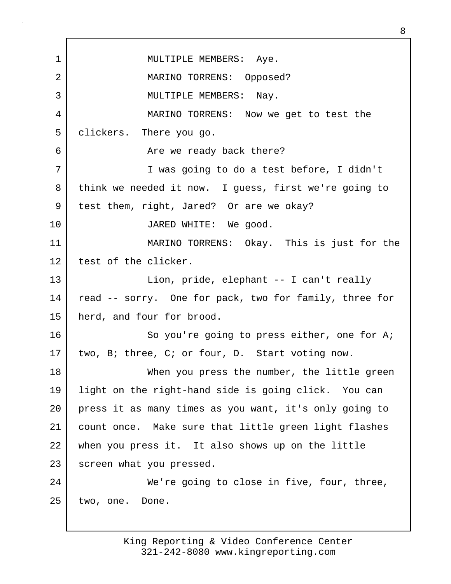1 | MULTIPLE MEMBERS: Aye. 2 MARINO TORRENS: Opposed? 3 MULTIPLE MEMBERS: Nay. 4 MARINO TORRENS: Now we get to test the 5 clickers. There you go. 6 Are we ready back there? 7 I was going to do a test before, I didn't 8 think we needed it now. I guess, first we're going to 9 test them, right, Jared? Or are we okay? 10 JARED WHITE: We good. 11 MARINO TORRENS: Okay. This is just for the 12 test of the clicker. 13 Lion, pride, elephant -- I can't really 14 | read -- sorry. One for pack, two for family, three for 15 herd, and four for brood. 16 So you're going to press either, one for A; 17 two, B; three, C; or four, D. Start voting now. 18 When you press the number, the little green 19 light on the right-hand side is going click. You can 20 press it as many times as you want, it's only going to 21 count once. Make sure that little green light flashes 22 when you press it. It also shows up on the little 23 screen what you pressed. 24 We're going to close in five, four, three, 25 two, one. Done.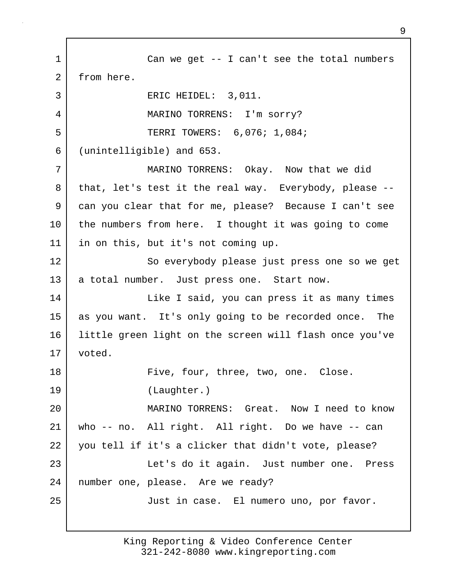1 Can we get -- I can't see the total numbers 2 from here. 3 ERIC HEIDEL: 3,011. 4 MARINO TORRENS: I'm sorry? 5 TERRI TOWERS: 6,076; 1,084; 6 (unintelligible) and 653. 7 MARINO TORRENS: Okay. Now that we did 8 that, let's test it the real way. Everybody, please --9 can you clear that for me, please? Because I can't see 10 the numbers from here. I thought it was going to come 11 in on this, but it's not coming up. 12 So everybody please just press one so we get 13 a total number. Just press one. Start now. 14 | Like I said, you can press it as many times 15 as you want. It's only going to be recorded once. The 16 little green light on the screen will flash once you've 17 voted. 18 Five, four, three, two, one. Close. 19 (Laughter.) 20 MARINO TORRENS: Great. Now I need to know 21 who -- no. All right. All right. Do we have -- can 22 you tell if it's a clicker that didn't vote, please? 23 Let's do it again. Just number one. Press 24 number one, please. Are we ready? 25 Just in case. El numero uno, por favor.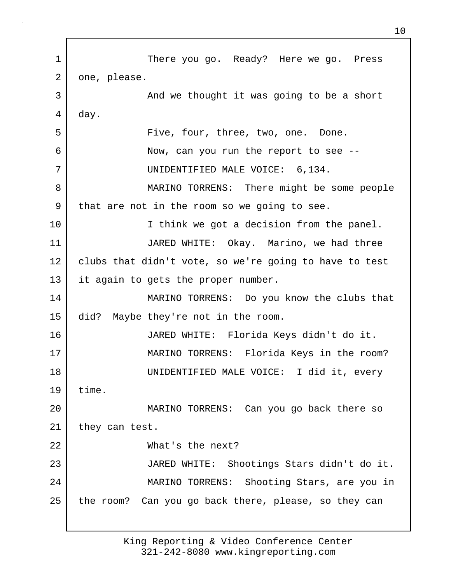1 There you go. Ready? Here we go. Press 2 one, please. 3 | And we thought it was going to be a short 4 day. 5 | Five, four, three, two, one. Done. 6 Now, can you run the report to see -- 7 UNIDENTIFIED MALE VOICE: 6,134. 8 MARINO TORRENS: There might be some people 9 that are not in the room so we going to see. 10 I think we got a decision from the panel. 11 JARED WHITE: Okay. Marino, we had three 12 | clubs that didn't vote, so we're going to have to test 13 it again to gets the proper number. 14 MARINO TORRENS: Do you know the clubs that 15 did? Maybe they're not in the room. 16 JARED WHITE: Florida Keys didn't do it. 17 MARINO TORRENS: Florida Keys in the room? 18 UNIDENTIFIED MALE VOICE: I did it, every 19 time. 20 MARINO TORRENS: Can you go back there so 21 they can test. 22 What's the next? 23 JARED WHITE: Shootings Stars didn't do it. 24 MARINO TORRENS: Shooting Stars, are you in 25 the room? Can you go back there, please, so they can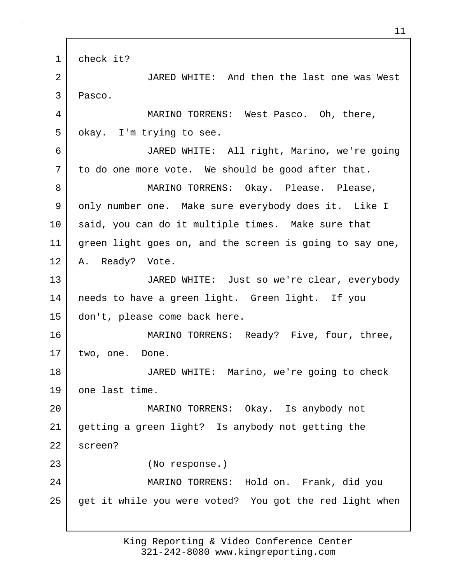1 check it? 2 JARED WHITE: And then the last one was West 3 Pasco. 4 MARINO TORRENS: West Pasco. Oh, there, 5 | okay. I'm trying to see. 6 JARED WHITE: All right, Marino, we're going 7 to do one more vote. We should be good after that. 8 MARINO TORRENS: Okay. Please. Please, 9 only number one. Make sure everybody does it. Like I 10 said, you can do it multiple times. Make sure that 11 green light goes on, and the screen is going to say one, 12 A. Ready? Vote. 13 JARED WHITE: Just so we're clear, everybody 14 needs to have a green light. Green light. If you 15 don't, please come back here. 16 MARINO TORRENS: Ready? Five, four, three, 17 | two, one. Done. 18 JARED WHITE: Marino, we're going to check 19 one last time. 20 MARINO TORRENS: Okay. Is anybody not 21 getting a green light? Is anybody not getting the 22 screen? 23 (No response.) 24 MARINO TORRENS: Hold on. Frank, did you 25 get it while you were voted? You got the red light when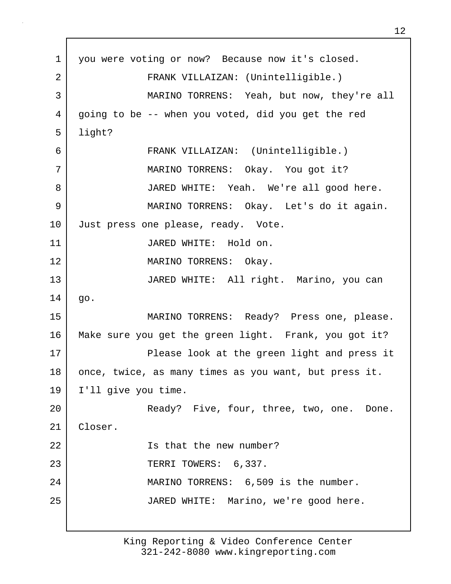1 you were voting or now? Because now it's closed. 2 FRANK VILLAIZAN: (Unintelligible.) 3 MARINO TORRENS: Yeah, but now, they're all 4 going to be -- when you voted, did you get the red 5 light? 6 FRANK VILLAIZAN: (Unintelligible.) 7 MARINO TORRENS: Okay. You got it? 8 JARED WHITE: Yeah. We're all good here. 9 MARINO TORRENS: Okay. Let's do it again. 10 Just press one please, ready. Vote. 11 JARED WHITE: Hold on. 12 MARINO TORRENS: Okay. 13 JARED WHITE: All right. Marino, you can  $14 \mid$  go. 15 MARINO TORRENS: Ready? Press one, please. 16 Make sure you get the green light. Frank, you got it? 17 Please look at the green light and press it 18 once, twice, as many times as you want, but press it. 19 I'll give you time. 20 | Ready? Five, four, three, two, one. Done. 21 Closer. 22 Is that the new number? 23 TERRI TOWERS: 6,337. 24 | MARINO TORRENS: 6,509 is the number. 25 JARED WHITE: Marino, we're good here.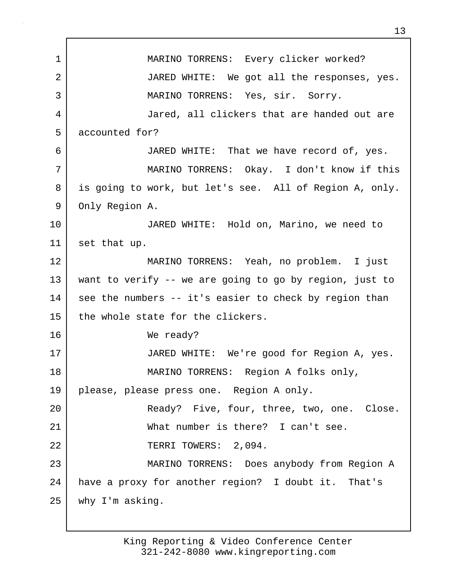1 | MARINO TORRENS: Every clicker worked? 2 JARED WHITE: We got all the responses, yes. 3 MARINO TORRENS: Yes, sir. Sorry. 4 Jared, all clickers that are handed out are 5 accounted for? 6 JARED WHITE: That we have record of, yes. 7 MARINO TORRENS: Okay. I don't know if this 8 is going to work, but let's see. All of Region A, only. 9 Only Region A. 10 JARED WHITE: Hold on, Marino, we need to 11 set that up. 12 MARINO TORRENS: Yeah, no problem. I just 13 want to verify -- we are going to go by region, just to 14 see the numbers -- it's easier to check by region than 15 the whole state for the clickers. 16 We ready? 17 JARED WHITE: We're good for Region A, yes. 18 MARINO TORRENS: Region A folks only, 19 please, please press one. Region A only. 20 | Ready? Five, four, three, two, one. Close. 21 What number is there? I can't see. 22 | TERRI TOWERS: 2,094. 23 MARINO TORRENS: Does anybody from Region A 24 have a proxy for another region? I doubt it. That's 25 why I'm asking.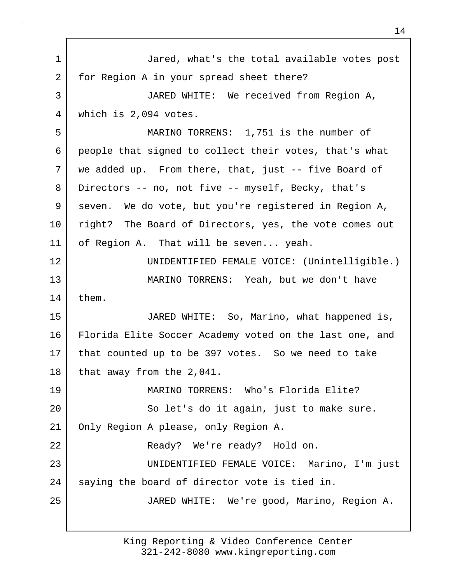| $\mathbf 1$    | Jared, what's the total available votes post            |  |
|----------------|---------------------------------------------------------|--|
| $\overline{2}$ | for Region A in your spread sheet there?                |  |
| 3              | JARED WHITE: We received from Region A,                 |  |
| 4              | which is 2,094 votes.                                   |  |
| 5              | MARINO TORRENS: 1,751 is the number of                  |  |
| 6              | people that signed to collect their votes, that's what  |  |
| 7              | we added up. From there, that, just -- five Board of    |  |
| 8              | Directors -- no, not five -- myself, Becky, that's      |  |
| 9              | seven. We do vote, but you're registered in Region A,   |  |
| 10             | right? The Board of Directors, yes, the vote comes out  |  |
| 11             | of Region A. That will be seven yeah.                   |  |
| 12             | UNIDENTIFIED FEMALE VOICE: (Unintelligible.)            |  |
| 13             | MARINO TORRENS: Yeah, but we don't have                 |  |
| 14             | them.                                                   |  |
| 15             | JARED WHITE: So, Marino, what happened is,              |  |
| 16             | Florida Elite Soccer Academy voted on the last one, and |  |
| 17             | that counted up to be 397 votes. So we need to take     |  |
| 18             | that away from the 2,041.                               |  |
| 19             | MARINO TORRENS: Who's Florida Elite?                    |  |
| 20             | So let's do it again, just to make sure.                |  |
| 21             | Only Region A please, only Region A.                    |  |
| 22             | Ready? We're ready? Hold on.                            |  |
| 23             | UNIDENTIFIED FEMALE VOICE: Marino, I'm just             |  |
| 24             | saying the board of director vote is tied in.           |  |
| 25             | JARED WHITE: We're good, Marino, Region A.              |  |
|                |                                                         |  |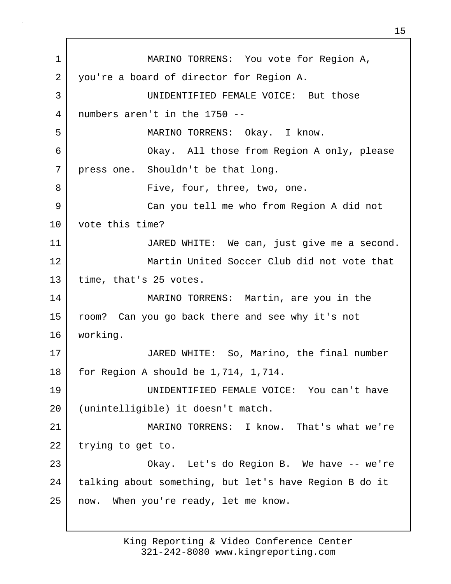1 MARINO TORRENS: You vote for Region A, 2 you're a board of director for Region A. 3 | UNIDENTIFIED FEMALE VOICE: But those 4 numbers aren't in the 1750 -- 5 MARINO TORRENS: Okay. I know. 6 Okay. All those from Region A only, please 7 press one. Shouldn't be that long. 8 | Five, four, three, two, one. 9 Can you tell me who from Region A did not 10 vote this time? 11 JARED WHITE: We can, just give me a second. 12 Martin United Soccer Club did not vote that 13 | time, that's 25 votes. 14 MARINO TORRENS: Martin, are you in the 15 room? Can you go back there and see why it's not 16 working. 17 JARED WHITE: So, Marino, the final number 18 | for Region A should be 1,714, 1,714. 19 UNIDENTIFIED FEMALE VOICE: You can't have 20 (unintelligible) it doesn't match. 21 MARINO TORRENS: I know. That's what we're 22 | trying to get to. 23 Okay. Let's do Region B. We have -- we're 24 | talking about something, but let's have Region B do it 25 now. When you're ready, let me know.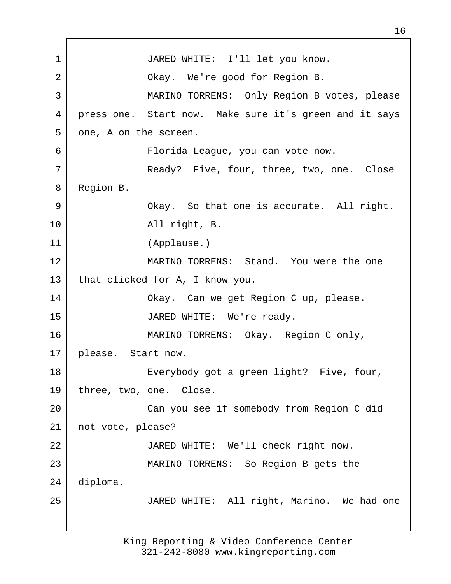1 JARED WHITE: I'll let you know. 2 | Ckay. We're good for Region B. 3 MARINO TORRENS: Only Region B votes, please 4 press one. Start now. Make sure it's green and it says 5 one, A on the screen. 6 Florida League, you can vote now. 7 Ready? Five, four, three, two, one. Close 8 Region B. 9 Okay. So that one is accurate. All right. 10 All right, B. 11 (Applause.) 12 MARINO TORRENS: Stand. You were the one 13 that clicked for A, I know you. 14 Okay. Can we get Region C up, please. 15 JARED WHITE: We're ready. 16 MARINO TORRENS: Okay. Region C only, 17 please. Start now. 18 Everybody got a green light? Five, four, 19 three, two, one. Close. 20 Can you see if somebody from Region C did 21 not vote, please? 22 JARED WHITE: We'll check right now. 23 MARINO TORRENS: So Region B gets the 24 diploma. 25 JARED WHITE: All right, Marino. We had one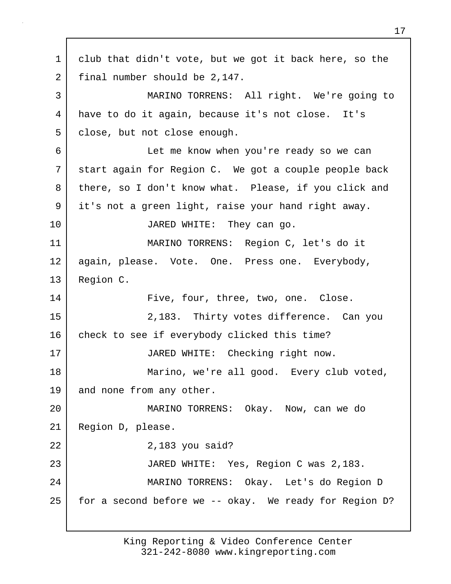1 club that didn't vote, but we got it back here, so the 2 final number should be 2,147. 3 MARINO TORRENS: All right. We're going to 4 have to do it again, because it's not close. It's 5 | close, but not close enough. 6 Let me know when you're ready so we can 7 start again for Region C. We got a couple people back 8 there, so I don't know what. Please, if you click and 9 it's not a green light, raise your hand right away. 10 JARED WHITE: They can go. 11 MARINO TORRENS: Region C, let's do it 12 again, please. Vote. One. Press one. Everybody, 13 Region C. 14 Five, four, three, two, one. Close. 15 2,183. Thirty votes difference. Can you 16 check to see if everybody clicked this time? 17 | JARED WHITE: Checking right now. 18 | Marino, we're all good. Every club voted, 19 and none from any other. 20 MARINO TORRENS: Okay. Now, can we do 21 Region D, please. 22 2,183 you said? 23 JARED WHITE: Yes, Region C was 2,183. 24 MARINO TORRENS: Okay. Let's do Region D 25 for a second before we -- okay. We ready for Region D?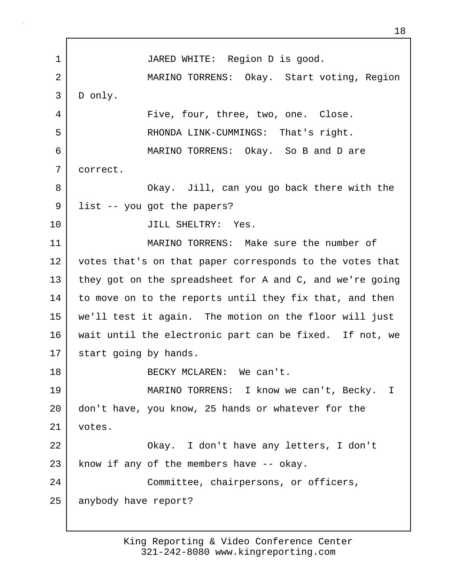1 JARED WHITE: Region D is good. 2 MARINO TORRENS: Okay. Start voting, Region 3 D only. 4 Five, four, three, two, one. Close. 5 RHONDA LINK-CUMMINGS: That's right. 6 MARINO TORRENS: Okay. So B and D are 7 correct. 8 | Chay. Jill, can you go back there with the 9 | list -- you got the papers? 10 JILL SHELTRY: Yes. 11 MARINO TORRENS: Make sure the number of 12 votes that's on that paper corresponds to the votes that 13 they got on the spreadsheet for A and C, and we're going 14 to move on to the reports until they fix that, and then 15 we'll test it again. The motion on the floor will just 16 wait until the electronic part can be fixed. If not, we 17 | start going by hands. 18 BECKY MCLAREN: We can't. 19 MARINO TORRENS: I know we can't, Becky. I 20 don't have, you know, 25 hands or whatever for the 21 votes. 22 Okay. I don't have any letters, I don't  $23$  know if any of the members have  $-$  okay. 24 Committee, chairpersons, or officers, 25 anybody have report?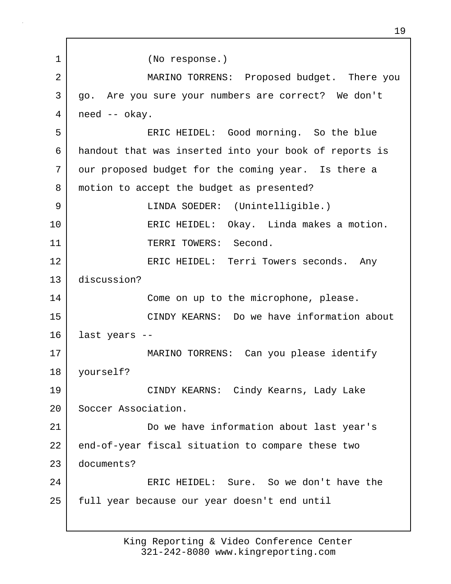1 (No response.) 2 MARINO TORRENS: Proposed budget. There you 3 | go. Are you sure your numbers are correct? We don't 4 need -- okay. 5 ERIC HEIDEL: Good morning. So the blue 6 handout that was inserted into your book of reports is 7 | our proposed budget for the coming year. Is there a 8 | motion to accept the budget as presented? 9 LINDA SOEDER: (Unintelligible.) 10 ERIC HEIDEL: Okay. Linda makes a motion. 11 | TERRI TOWERS: Second. 12 | ERIC HEIDEL: Terri Towers seconds. Any 13 discussion? 14 Come on up to the microphone, please. 15 CINDY KEARNS: Do we have information about 16 last years -- 17 MARINO TORRENS: Can you please identify 18 yourself? 19 CINDY KEARNS: Cindy Kearns, Lady Lake 20 Soccer Association. 21 Do we have information about last year's 22 end-of-year fiscal situation to compare these two 23 documents? 24 ERIC HEIDEL: Sure. So we don't have the 25 full year because our year doesn't end until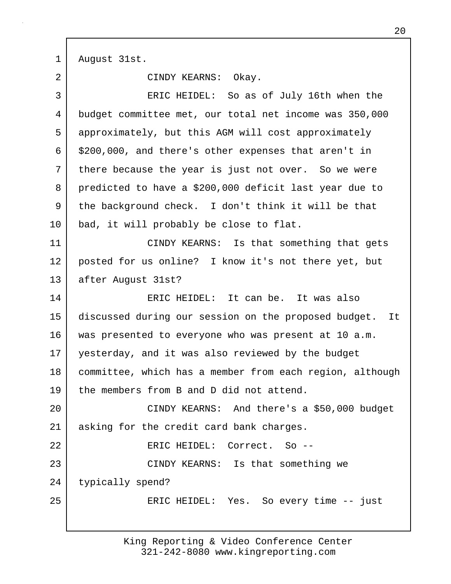1 August 31st.

2 CINDY KEARNS: Okay. 3 ERIC HEIDEL: So as of July 16th when the 4 budget committee met, our total net income was 350,000 5 approximately, but this AGM will cost approximately  $6 \mid$  \$200,000, and there's other expenses that aren't in 7 there because the year is just not over. So we were 8 predicted to have a \$200,000 deficit last year due to 9 the background check. I don't think it will be that 10 | bad, it will probably be close to flat. 11 | CINDY KEARNS: Is that something that gets 12 posted for us online? I know it's not there yet, but 13 after August 31st? 14 ERIC HEIDEL: It can be. It was also 15 discussed during our session on the proposed budget. It 16 was presented to everyone who was present at 10 a.m. 17 yesterday, and it was also reviewed by the budget 18 committee, which has a member from each region, although 19 the members from B and D did not attend. 20 CINDY KEARNS: And there's a \$50,000 budget 21 asking for the credit card bank charges. 22 ERIC HEIDEL: Correct. So -- 23 CINDY KEARNS: Is that something we 24 typically spend? 25 | ERIC HEIDEL: Yes. So every time -- just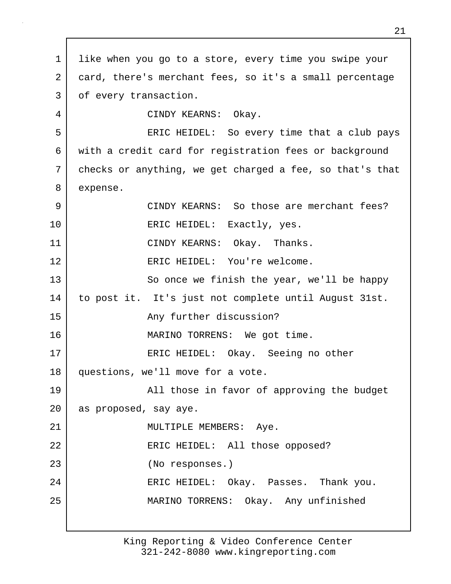1 like when you go to a store, every time you swipe your 2 card, there's merchant fees, so it's a small percentage 3 | of every transaction. 4 CINDY KEARNS: Okay. 5 ERIC HEIDEL: So every time that a club pays 6 with a credit card for registration fees or background 7 checks or anything, we get charged a fee, so that's that 8 expense. 9 CINDY KEARNS: So those are merchant fees? 10 | ERIC HEIDEL: Exactly, yes. 11 CINDY KEARNS: Okay. Thanks. 12 ERIC HEIDEL: You're welcome. 13 So once we finish the year, we'll be happy 14 to post it. It's just not complete until August 31st. 15 any further discussion? 16 MARINO TORRENS: We got time. 17 | ERIC HEIDEL: Okay. Seeing no other 18 questions, we'll move for a vote. 19 all those in favor of approving the budget 20 as proposed, say aye. 21 | MULTIPLE MEMBERS: Aye. 22 | ERIC HEIDEL: All those opposed? 23 (No responses.) 24 ERIC HEIDEL: Okay. Passes. Thank you. 25 MARINO TORRENS: Okay. Any unfinished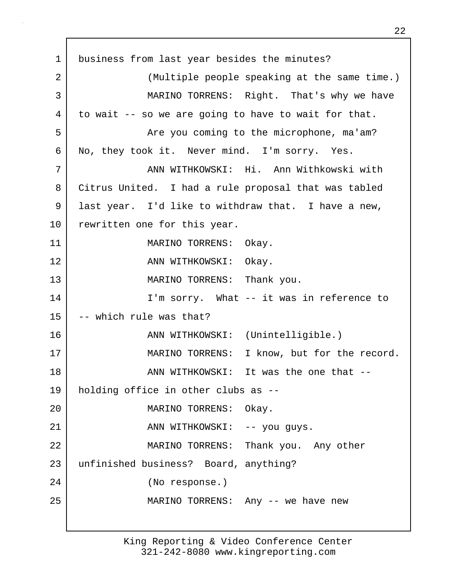1 business from last year besides the minutes? 2 (Multiple people speaking at the same time.) 3 MARINO TORRENS: Right. That's why we have 4 to wait -- so we are going to have to wait for that. 5 | The you coming to the microphone, ma'am? 6 No, they took it. Never mind. I'm sorry. Yes. 7 ANN WITHKOWSKI: Hi. Ann Withkowski with 8 Citrus United. I had a rule proposal that was tabled 9 last year. I'd like to withdraw that. I have a new, 10 | rewritten one for this year. 11 MARINO TORRENS: Okay. 12 ANN WITHKOWSKI: Okay. 13 MARINO TORRENS: Thank you. 14 I'm sorry. What -- it was in reference to  $15$  -- which rule was that? 16 | ANN WITHKOWSKI: (Unintelligible.) 17 MARINO TORRENS: I know, but for the record. 18 ann withkowski: It was the one that --19 holding office in other clubs as -- 20 MARINO TORRENS: Okay. 21 | ANN WITHKOWSKI: -- you guys. 22 MARINO TORRENS: Thank you. Any other 23 unfinished business? Board, anything? 24 (No response.) 25 | MARINO TORRENS: Any -- we have new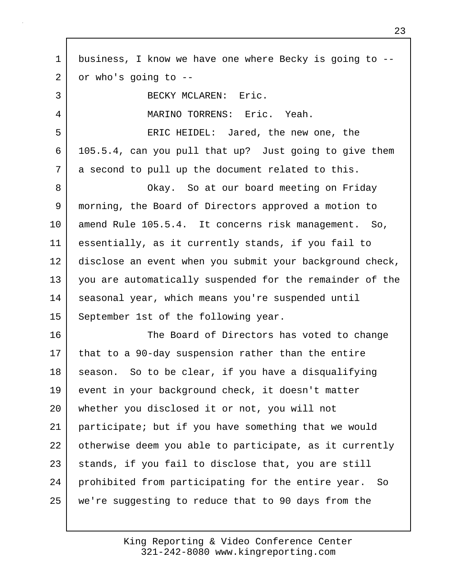1 business, I know we have one where Becky is going to --  $2$  or who's going to  $-$ 3 BECKY MCLAREN: Eric. 4 MARINO TORRENS: Eric. Yeah. 5 ERIC HEIDEL: Jared, the new one, the 6 105.5.4, can you pull that up? Just going to give them 7 a second to pull up the document related to this. 8 Okay. So at our board meeting on Friday 9 morning, the Board of Directors approved a motion to 10 amend Rule 105.5.4. It concerns risk management. So, 11 essentially, as it currently stands, if you fail to 12 disclose an event when you submit your background check, 13 you are automatically suspended for the remainder of the 14 | seasonal year, which means you're suspended until 15 September 1st of the following year. 16 The Board of Directors has voted to change 17 that to a 90-day suspension rather than the entire 18 season. So to be clear, if you have a disqualifying 19 event in your background check, it doesn't matter 20 whether you disclosed it or not, you will not 21 participate; but if you have something that we would 22 otherwise deem you able to participate, as it currently 23 stands, if you fail to disclose that, you are still 24 prohibited from participating for the entire year. So 25 we're suggesting to reduce that to 90 days from the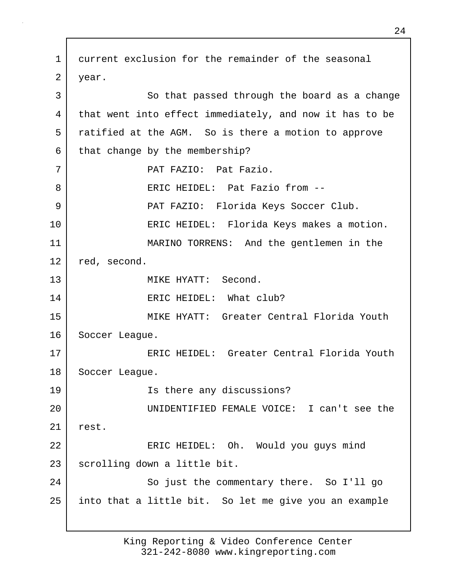1 current exclusion for the remainder of the seasonal 2 year. 3 So that passed through the board as a change 4 that went into effect immediately, and now it has to be 5 ratified at the AGM. So is there a motion to approve  $6$  that change by the membership? 7 | PAT FAZIO: Pat Fazio. 8 eRIC HEIDEL: Pat Fazio from --9 PAT FAZIO: Florida Keys Soccer Club. 10 ERIC HEIDEL: Florida Keys makes a motion. 11 MARINO TORRENS: And the gentlemen in the 12 red, second. 13 MIKE HYATT: Second. 14 ERIC HEIDEL: What club? 15 MIKE HYATT: Greater Central Florida Youth 16 Soccer League. 17 ERIC HEIDEL: Greater Central Florida Youth 18 Soccer League. 19 Is there any discussions? 20 UNIDENTIFIED FEMALE VOICE: I can't see the 21 rest. 22 | ERIC HEIDEL: Oh. Would you guys mind 23 scrolling down a little bit. 24 So just the commentary there. So I'll go 25 into that a little bit. So let me give you an example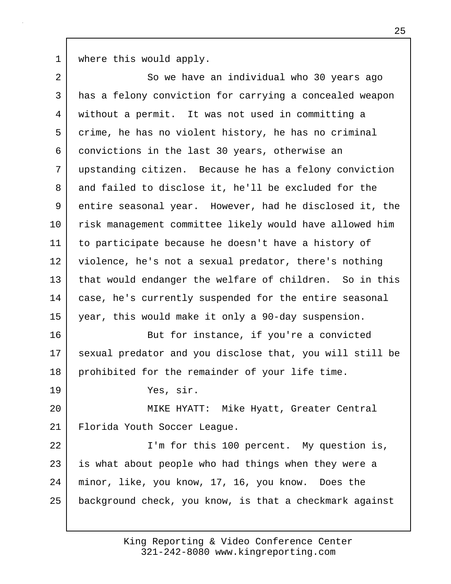1 | where this would apply.

2 So we have an individual who 30 years ago 3 has a felony conviction for carrying a concealed weapon 4 without a permit. It was not used in committing a 5 crime, he has no violent history, he has no criminal 6 convictions in the last 30 years, otherwise an 7 upstanding citizen. Because he has a felony conviction 8 and failed to disclose it, he'll be excluded for the 9 entire seasonal year. However, had he disclosed it, the 10 risk management committee likely would have allowed him 11 to participate because he doesn't have a history of 12 violence, he's not a sexual predator, there's nothing 13 | that would endanger the welfare of children. So in this 14 | case, he's currently suspended for the entire seasonal 15 year, this would make it only a 90-day suspension. 16 But for instance, if you're a convicted 17 sexual predator and you disclose that, you will still be 18 prohibited for the remainder of your life time. 19 Yes, sir. 20 MIKE HYATT: Mike Hyatt, Greater Central 21 | Florida Youth Soccer League. 22 | T'm for this 100 percent. My question is, 23 is what about people who had things when they were a 24 minor, like, you know, 17, 16, you know. Does the 25 background check, you know, is that a checkmark against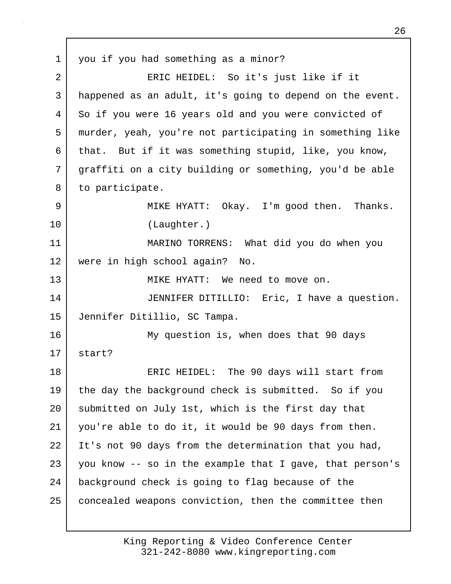1 you if you had something as a minor? 2 | ERIC HEIDEL: So it's just like if it 3 happened as an adult, it's going to depend on the event. 4 So if you were 16 years old and you were convicted of 5 murder, yeah, you're not participating in something like 6 that. But if it was something stupid, like, you know, 7 graffiti on a city building or something, you'd be able 8 to participate. 9 MIKE HYATT: Okay. I'm good then. Thanks. 10 (Laughter.) 11 MARINO TORRENS: What did you do when you 12 were in high school again? No. 13 MIKE HYATT: We need to move on. 14 JENNIFER DITILLIO: Eric, I have a question. 15 Jennifer Ditillio, SC Tampa. 16 My question is, when does that 90 days 17 start? 18 ERIC HEIDEL: The 90 days will start from 19 the day the background check is submitted. So if you 20 submitted on July 1st, which is the first day that 21 you're able to do it, it would be 90 days from then. 22 | It's not 90 days from the determination that you had,  $23$  you know  $-$  so in the example that I gave, that person's 24 background check is going to flag because of the 25 | concealed weapons conviction, then the committee then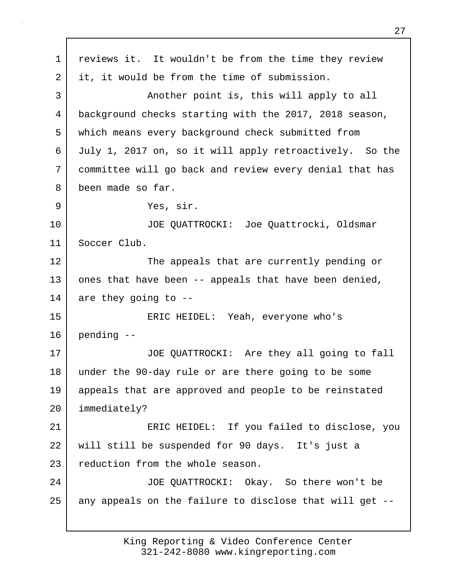1 reviews it. It wouldn't be from the time they review 2 it, it would be from the time of submission. 3 | Another point is, this will apply to all 4 background checks starting with the 2017, 2018 season, 5 which means every background check submitted from 6 July 1, 2017 on, so it will apply retroactively. So the 7 committee will go back and review every denial that has 8 been made so far. 9 Yes, sir. 10 JOE QUATTROCKI: Joe Quattrocki, Oldsmar 11 Soccer Club. 12 The appeals that are currently pending or 13 ones that have been -- appeals that have been denied, 14 are they going to --15 ERIC HEIDEL: Yeah, everyone who's 16 pending -- 17 | JOE QUATTROCKI: Are they all going to fall 18 under the 90-day rule or are there going to be some 19 appeals that are approved and people to be reinstated 20 immediately? 21 ERIC HEIDEL: If you failed to disclose, you 22 will still be suspended for 90 days. It's just a 23 reduction from the whole season. 24 JOE QUATTROCKI: Okay. So there won't be  $25$  any appeals on the failure to disclose that will get  $-$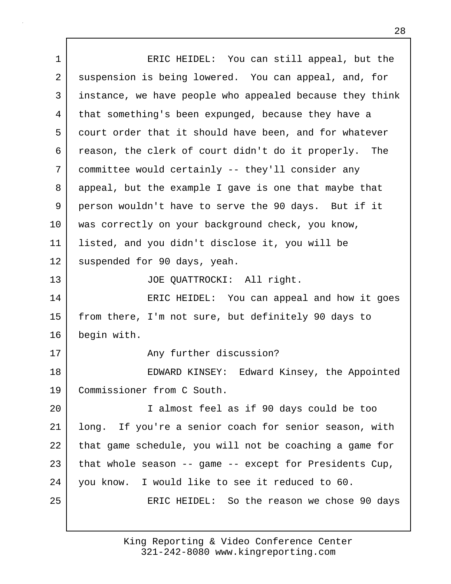1 ERIC HEIDEL: You can still appeal, but the 2 suspension is being lowered. You can appeal, and, for 3 instance, we have people who appealed because they think 4 that something's been expunged, because they have a 5 court order that it should have been, and for whatever 6 reason, the clerk of court didn't do it properly. The 7 committee would certainly -- they'll consider any 8 appeal, but the example I gave is one that maybe that 9 person wouldn't have to serve the 90 days. But if it 10 was correctly on your background check, you know, 11 listed, and you didn't disclose it, you will be 12 suspended for 90 days, yeah. 13 JOE QUATTROCKI: All right. 14 ERIC HEIDEL: You can appeal and how it goes 15 from there, I'm not sure, but definitely 90 days to 16 begin with. 17 any further discussion? 18 EDWARD KINSEY: Edward Kinsey, the Appointed 19 Commissioner from C South. 20 I almost feel as if 90 days could be too 21 long. If you're a senior coach for senior season, with 22 that game schedule, you will not be coaching a game for 23 that whole season  $-$ - game  $-$ - except for Presidents Cup, 24 you know. I would like to see it reduced to 60. 25 | ERIC HEIDEL: So the reason we chose 90 days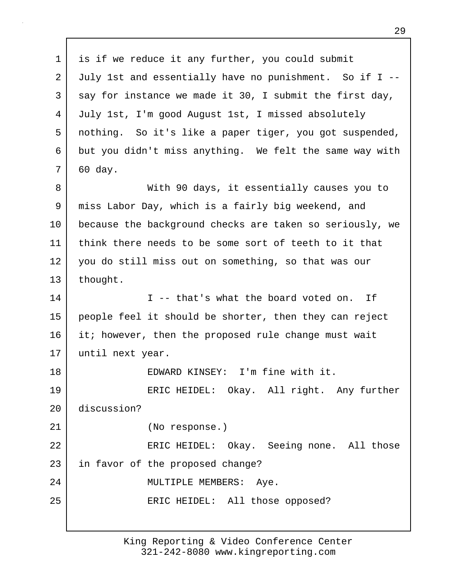1 is if we reduce it any further, you could submit 2 July 1st and essentially have no punishment. So if I --  $3$  say for instance we made it 30, I submit the first day, 4 July 1st, I'm good August 1st, I missed absolutely 5 nothing. So it's like a paper tiger, you got suspended, 6 but you didn't miss anything. We felt the same way with 7 60 day. 8 With 90 days, it essentially causes you to 9 miss Labor Day, which is a fairly big weekend, and 10 because the background checks are taken so seriously, we 11 think there needs to be some sort of teeth to it that 12 you do still miss out on something, so that was our 13 thought. 14 I -- that's what the board voted on. If 15 people feel it should be shorter, then they can reject 16 it; however, then the proposed rule change must wait 17 until next year. 18 EDWARD KINSEY: I'm fine with it. 19 ERIC HEIDEL: Okay. All right. Any further 20 discussion? 21 (No response.) 22 | ERIC HEIDEL: Okay. Seeing none. All those 23 in favor of the proposed change? 24 | MULTIPLE MEMBERS: Aye. 25 | ERIC HEIDEL: All those opposed?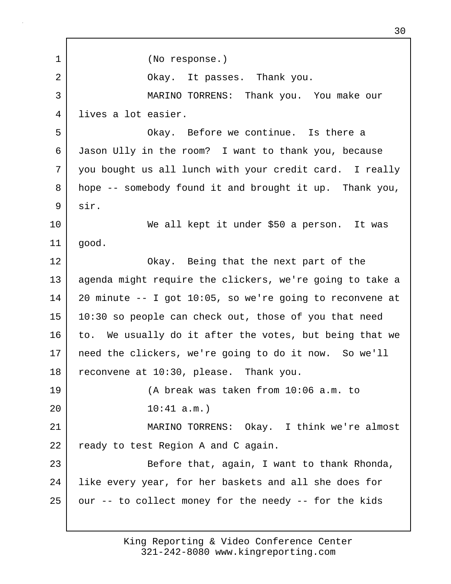1 (No response.) 2 | Ckay. It passes. Thank you. 3 MARINO TORRENS: Thank you. You make our 4 lives a lot easier. 5 Okay. Before we continue. Is there a 6 Jason Ully in the room? I want to thank you, because 7 you bought us all lunch with your credit card. I really 8 hope -- somebody found it and brought it up. Thank you, 9 sir. 10 We all kept it under \$50 a person. It was 11 good. 12 Okay. Being that the next part of the 13 agenda might require the clickers, we're going to take a 14 20 minute -- I got 10:05, so we're going to reconvene at 15 10:30 so people can check out, those of you that need 16 to. We usually do it after the votes, but being that we 17 need the clickers, we're going to do it now. So we'll 18 reconvene at 10:30, please. Thank you. 19 (A break was taken from 10:06 a.m. to 20 10:41 a.m.) 21 MARINO TORRENS: Okay. I think we're almost 22 ready to test Region A and C again. 23 Before that, again, I want to thank Rhonda, 24 like every year, for her baskets and all she does for  $25$  our  $-$  to collect money for the needy  $-$  for the kids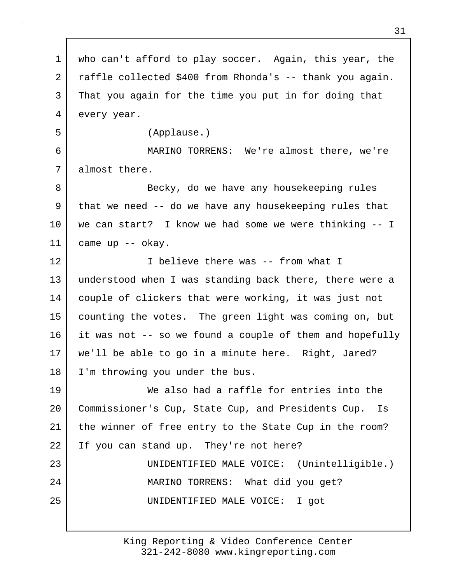1 who can't afford to play soccer. Again, this year, the 2 raffle collected \$400 from Rhonda's -- thank you again. 3 That you again for the time you put in for doing that 4 every year. 5 (Applause.) 6 MARINO TORRENS: We're almost there, we're 7 almost there. 8 Becky, do we have any housekeeping rules 9 that we need -- do we have any housekeeping rules that 10 we can start? I know we had some we were thinking -- I 11 came up -- okay. 12 I believe there was -- from what I 13 understood when I was standing back there, there were a 14 couple of clickers that were working, it was just not 15 counting the votes. The green light was coming on, but 16 it was not -- so we found a couple of them and hopefully 17 we'll be able to go in a minute here. Right, Jared? 18 I'm throwing you under the bus. 19 We also had a raffle for entries into the 20 Commissioner's Cup, State Cup, and Presidents Cup. Is 21 the winner of free entry to the State Cup in the room? 22 If you can stand up. They're not here? 23 UNIDENTIFIED MALE VOICE: (Unintelligible.) 24 | MARINO TORRENS: What did you get? 25 UNIDENTIFIED MALE VOICE: I got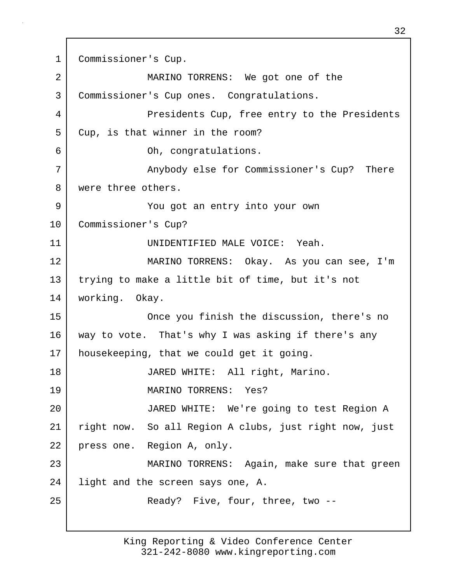1 Commissioner's Cup. 2 MARINO TORRENS: We got one of the 3 Commissioner's Cup ones. Congratulations. 4 Presidents Cup, free entry to the Presidents 5 Cup, is that winner in the room? 6 Oh, congratulations. 7 Anybody else for Commissioner's Cup? There 8 were three others. 9 You got an entry into your own 10 Commissioner's Cup? 11 UNIDENTIFIED MALE VOICE: Yeah. 12 MARINO TORRENS: Okay. As you can see, I'm 13 trying to make a little bit of time, but it's not 14 working. Okay. 15 Once you finish the discussion, there's no 16 way to vote. That's why I was asking if there's any 17 housekeeping, that we could get it going. 18 JARED WHITE: All right, Marino. 19 MARINO TORRENS: Yes? 20 JARED WHITE: We're going to test Region A 21 right now. So all Region A clubs, just right now, just 22 press one. Region A, only. 23 MARINO TORRENS: Again, make sure that green 24 light and the screen says one, A. 25 | Ready? Five, four, three, two --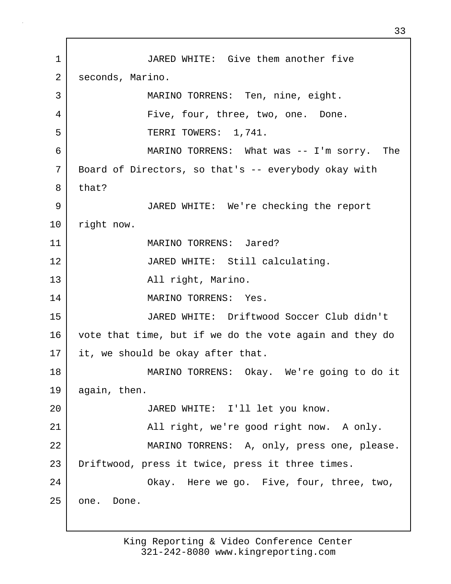1 JARED WHITE: Give them another five 2 seconds, Marino. 3 | MARINO TORRENS: Ten, nine, eight. 4 Five, four, three, two, one. Done. 5 | TERRI TOWERS: 1,741. 6 MARINO TORRENS: What was -- I'm sorry. The 7 Board of Directors, so that's -- everybody okay with 8 that? 9 JARED WHITE: We're checking the report 10 | right now. 11 MARINO TORRENS: Jared? 12 JARED WHITE: Still calculating. 13 | The Collection All right, Marino. 14 MARINO TORRENS: Yes. 15 JARED WHITE: Driftwood Soccer Club didn't 16 vote that time, but if we do the vote again and they do 17 it, we should be okay after that. 18 MARINO TORRENS: Okay. We're going to do it 19 again, then. 20 JARED WHITE: I'll let you know. 21 | All right, we're good right now. A only. 22 | MARINO TORRENS: A, only, press one, please. 23 Driftwood, press it twice, press it three times. 24 | Chay. Here we go. Five, four, three, two, 25 one. Done.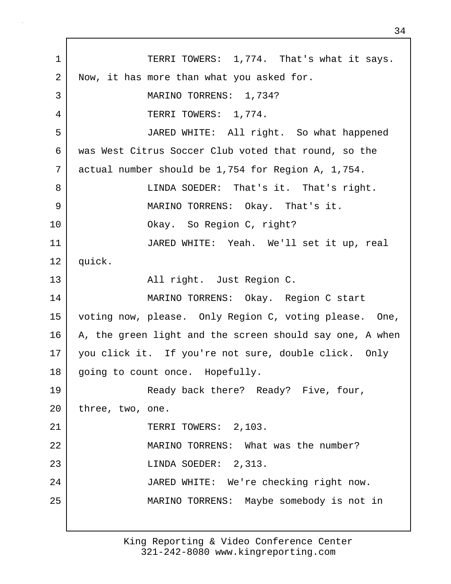1 TERRI TOWERS: 1,774. That's what it says. 2 Now, it has more than what you asked for. 3 MARINO TORRENS: 1,734? 4 TERRI TOWERS: 1,774. 5 JARED WHITE: All right. So what happened 6 was West Citrus Soccer Club voted that round, so the 7 actual number should be 1,754 for Region A, 1,754. 8 LINDA SOEDER: That's it. That's right. 9 MARINO TORRENS: Okay. That's it. 10 Okay. So Region C, right? 11 JARED WHITE: Yeah. We'll set it up, real 12 quick. 13 | Region C. All right. Just Region C. 14 MARINO TORRENS: Okay. Region C start 15 voting now, please. Only Region C, voting please. One, 16 A, the green light and the screen should say one, A when 17 you click it. If you're not sure, double click. Only 18 | going to count once. Hopefully. 19 Ready back there? Ready? Five, four, 20 | three, two, one. 21 | TERRI TOWERS: 2,103. 22 MARINO TORRENS: What was the number? 23 LINDA SOEDER: 2,313. 24 JARED WHITE: We're checking right now. 25 MARINO TORRENS: Maybe somebody is not in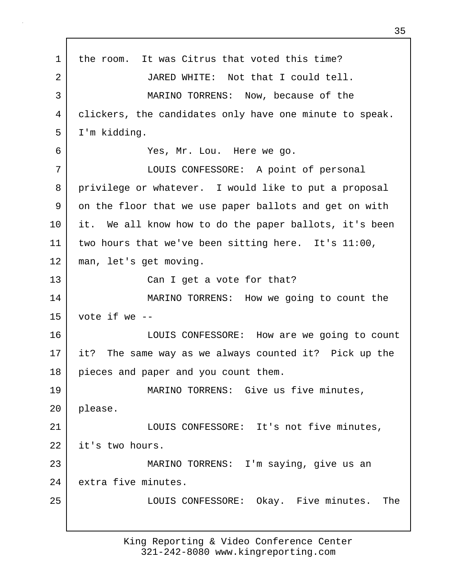1 the room. It was Citrus that voted this time? 2 JARED WHITE: Not that I could tell. 3 MARINO TORRENS: Now, because of the 4 clickers, the candidates only have one minute to speak. 5 I'm kidding. 6 Yes, Mr. Lou. Here we go. 7 LOUIS CONFESSORE: A point of personal 8 privilege or whatever. I would like to put a proposal 9 on the floor that we use paper ballots and get on with 10 it. We all know how to do the paper ballots, it's been 11 two hours that we've been sitting here. It's 11:00, 12 man, let's get moving. 13 Can I get a vote for that? 14 MARINO TORRENS: How we going to count the  $15$  vote if we  $-$ 16 LOUIS CONFESSORE: How are we going to count 17 it? The same way as we always counted it? Pick up the 18 pieces and paper and you count them. 19 MARINO TORRENS: Give us five minutes, 20 please. 21 | COUIS CONFESSORE: It's not five minutes, 22 it's two hours. 23 MARINO TORRENS: I'm saying, give us an 24 extra five minutes. 25 LOUIS CONFESSORE: Okay. Five minutes. The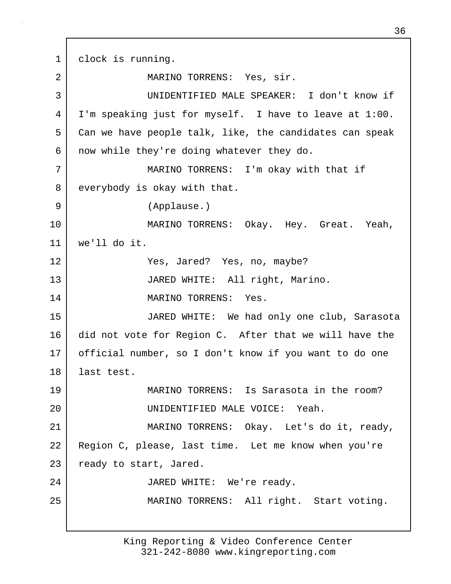1 clock is running. 2 MARINO TORRENS: Yes, sir. 3 UNIDENTIFIED MALE SPEAKER: I don't know if 4 I'm speaking just for myself. I have to leave at 1:00. 5 Can we have people talk, like, the candidates can speak 6 | now while they're doing whatever they do. 7 MARINO TORRENS: I'm okay with that if 8 everybody is okay with that. 9 (Applause.) 10 MARINO TORRENS: Okay. Hey. Great. Yeah, 11 we'll do it. 12 Yes, Jared? Yes, no, maybe? 13 JARED WHITE: All right, Marino. 14 MARINO TORRENS: Yes. 15 JARED WHITE: We had only one club, Sarasota 16 did not vote for Region C. After that we will have the 17 official number, so I don't know if you want to do one 18 last test. 19 MARINO TORRENS: Is Sarasota in the room? 20 UNIDENTIFIED MALE VOICE: Yeah. 21 MARINO TORRENS: Okay. Let's do it, ready, 22 Region C, please, last time. Let me know when you're 23 ready to start, Jared. 24 JARED WHITE: We're ready. 25 | MARINO TORRENS: All right. Start voting.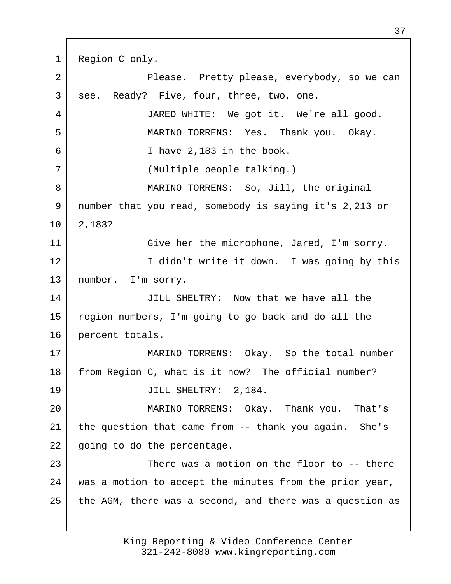1 Region C only. 2 Please. Pretty please, everybody, so we can 3 see. Ready? Five, four, three, two, one. 4 JARED WHITE: We got it. We're all good. 5 MARINO TORRENS: Yes. Thank you. Okay. 6 I have 2,183 in the book. 7 (Multiple people talking.) 8 | MARINO TORRENS: So, Jill, the original 9 number that you read, somebody is saying it's 2,213 or 10 2,183? 11 Give her the microphone, Jared, I'm sorry. 12 I didn't write it down. I was going by this 13 number. I'm sorry. 14 JILL SHELTRY: Now that we have all the 15 region numbers, I'm going to go back and do all the 16 percent totals. 17 MARINO TORRENS: Okay. So the total number 18 from Region C, what is it now? The official number? 19 JILL SHELTRY: 2,184. 20 MARINO TORRENS: Okay. Thank you. That's 21 the question that came from -- thank you again. She's 22 going to do the percentage. 23 There was a motion on the floor to -- there 24 was a motion to accept the minutes from the prior year, 25 the AGM, there was a second, and there was a question as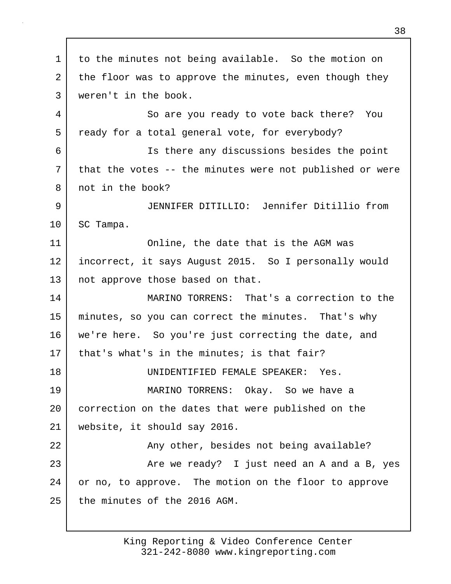1 to the minutes not being available. So the motion on 2 the floor was to approve the minutes, even though they 3 weren't in the book. 4 So are you ready to vote back there? You 5 ready for a total general vote, for everybody? 6 Is there any discussions besides the point 7 that the votes -- the minutes were not published or were 8 | not in the book? 9 JENNIFER DITILLIO: Jennifer Ditillio from 10 SC Tampa. 11 Online, the date that is the AGM was 12 incorrect, it says August 2015. So I personally would 13 | not approve those based on that. 14 MARINO TORRENS: That's a correction to the 15 minutes, so you can correct the minutes. That's why 16 we're here. So you're just correcting the date, and 17 | that's what's in the minutes; is that fair? 18 UNIDENTIFIED FEMALE SPEAKER: Yes. 19 MARINO TORRENS: Okay. So we have a 20 correction on the dates that were published on the 21 website, it should say 2016. 22 | The Bany other, besides not being available? 23 Are we ready? I just need an A and a B, yes 24 or no, to approve. The motion on the floor to approve 25 the minutes of the 2016 AGM.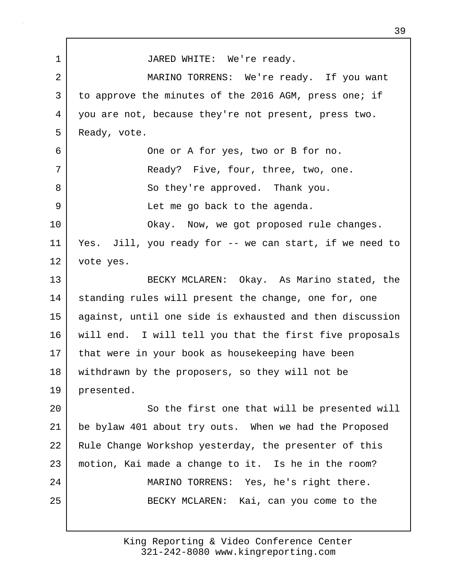1 JARED WHITE: We're ready. 2 MARINO TORRENS: We're ready. If you want 3 to approve the minutes of the 2016 AGM, press one; if 4 you are not, because they're not present, press two. 5 Ready, vote. 6 One or A for yes, two or B for no. 7 | Ready? Five, four, three, two, one. 8 So they're approved. Thank you. 9 Let me go back to the agenda. 10 | Chay. Now, we got proposed rule changes. 11 Yes. Jill, you ready for -- we can start, if we need to 12 vote yes. 13 BECKY MCLAREN: Okay. As Marino stated, the 14 standing rules will present the change, one for, one 15 against, until one side is exhausted and then discussion 16 will end. I will tell you that the first five proposals 17 that were in your book as housekeeping have been 18 withdrawn by the proposers, so they will not be 19 presented. 20 | So the first one that will be presented will 21 be bylaw 401 about try outs. When we had the Proposed 22 Rule Change Workshop yesterday, the presenter of this 23 motion, Kai made a change to it. Is he in the room? 24 MARINO TORRENS: Yes, he's right there. 25 | BECKY MCLAREN: Kai, can you come to the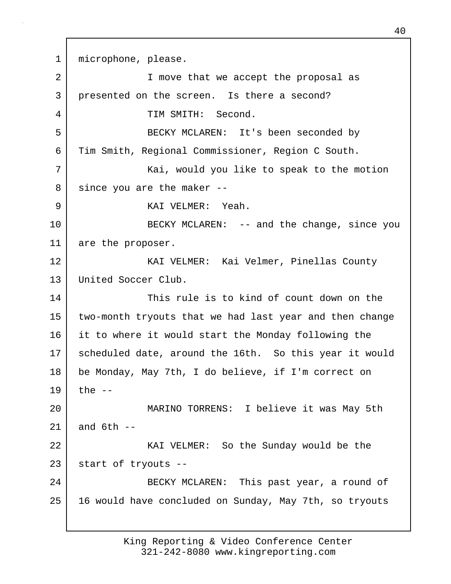1 microphone, please.

| 2  | I move that we accept the proposal as                   |
|----|---------------------------------------------------------|
| 3  | presented on the screen. Is there a second?             |
| 4  | TIM SMITH: Second.                                      |
| 5  | BECKY MCLAREN: It's been seconded by                    |
| 6  | Tim Smith, Regional Commissioner, Region C South.       |
| 7  | Kai, would you like to speak to the motion              |
| 8  | since you are the maker --                              |
| 9  | KAI VELMER: Yeah.                                       |
| 10 | BECKY MCLAREN: -- and the change, since you             |
| 11 | are the proposer.                                       |
| 12 | KAI VELMER: Kai Velmer, Pinellas County                 |
| 13 | United Soccer Club.                                     |
| 14 | This rule is to kind of count down on the               |
| 15 | two-month tryouts that we had last year and then change |
| 16 | it to where it would start the Monday following the     |
| 17 | scheduled date, around the 16th. So this year it would  |
| 18 | be Monday, May 7th, I do believe, if I'm correct on     |
| 19 | the $--$                                                |
| 20 | MARINO TORRENS: I believe it was May 5th                |
| 21 | and $6th$ --                                            |
| 22 | KAI VELMER: So the Sunday would be the                  |
| 23 | start of tryouts --                                     |
| 24 | BECKY MCLAREN: This past year, a round of               |
| 25 | 16 would have concluded on Sunday, May 7th, so tryouts  |
|    |                                                         |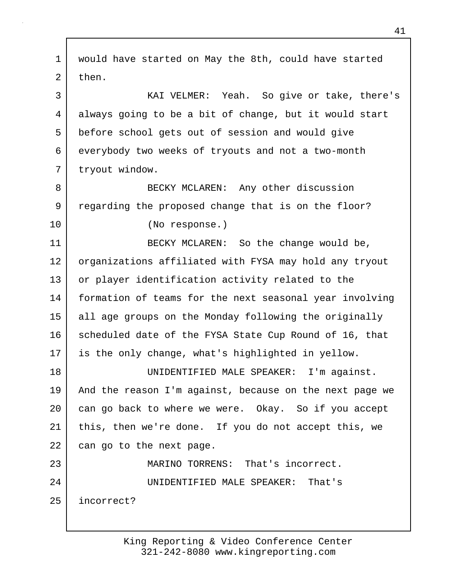1 would have started on May the 8th, could have started 2 then. 3 KAI VELMER: Yeah. So give or take, there's 4 always going to be a bit of change, but it would start 5 before school gets out of session and would give 6 everybody two weeks of tryouts and not a two-month 7 tryout window. 8 BECKY MCLAREN: Any other discussion 9 regarding the proposed change that is on the floor? 10 (No response.) 11 BECKY MCLAREN: So the change would be, 12 organizations affiliated with FYSA may hold any tryout 13 or player identification activity related to the 14 formation of teams for the next seasonal year involving 15 all age groups on the Monday following the originally 16 scheduled date of the FYSA State Cup Round of 16, that 17 is the only change, what's highlighted in yellow. 18 UNIDENTIFIED MALE SPEAKER: I'm against. 19 And the reason I'm against, because on the next page we 20 can go back to where we were. Okay. So if you accept 21 this, then we're done. If you do not accept this, we 22 can go to the next page. 23 MARINO TORRENS: That's incorrect. 24 UNIDENTIFIED MALE SPEAKER: That's 25 incorrect?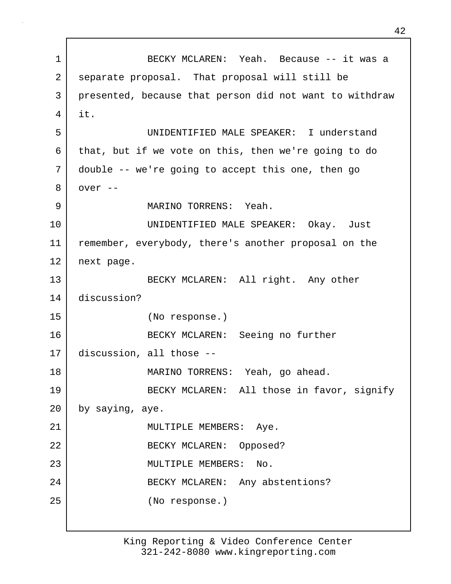1 BECKY MCLAREN: Yeah. Because -- it was a 2 separate proposal. That proposal will still be 3 presented, because that person did not want to withdraw 4 it. 5 UNIDENTIFIED MALE SPEAKER: I understand 6 that, but if we vote on this, then we're going to do 7 double -- we're going to accept this one, then go 8 over -- 9 MARINO TORRENS: Yeah. 10 UNIDENTIFIED MALE SPEAKER: Okay. Just 11 remember, everybody, there's another proposal on the 12 next page. 13 BECKY MCLAREN: All right. Any other 14 discussion? 15 (No response.) 16 BECKY MCLAREN: Seeing no further 17 discussion, all those -- 18 MARINO TORRENS: Yeah, go ahead. 19 BECKY MCLAREN: All those in favor, signify 20 by saying, aye. 21 | MULTIPLE MEMBERS: Aye. 22 BECKY MCLAREN: Opposed? 23 MULTIPLE MEMBERS: No. 24 BECKY MCLAREN: Any abstentions? 25 (No response.)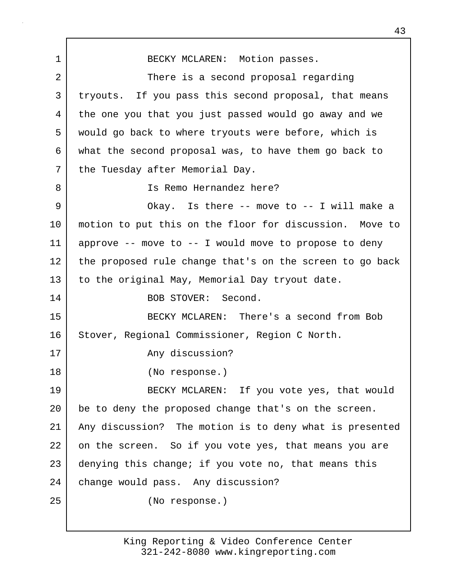1 BECKY MCLAREN: Motion passes. 2 There is a second proposal regarding 3 tryouts. If you pass this second proposal, that means 4 the one you that you just passed would go away and we 5 would go back to where tryouts were before, which is 6 what the second proposal was, to have them go back to 7 the Tuesday after Memorial Day. 8 Is Remo Hernandez here? 9 | Chay. Is there -- move to -- I will make a 10 motion to put this on the floor for discussion. Move to 11 approve -- move to -- I would move to propose to deny 12 the proposed rule change that's on the screen to go back 13 to the original May, Memorial Day tryout date. 14 BOB STOVER: Second. 15 BECKY MCLAREN: There's a second from Bob 16 Stover, Regional Commissioner, Region C North. 17 Any discussion? 18 (No response.) 19 BECKY MCLAREN: If you vote yes, that would 20 be to deny the proposed change that's on the screen. 21 Any discussion? The motion is to deny what is presented 22 on the screen. So if you vote yes, that means you are 23 denying this change; if you vote no, that means this 24 change would pass. Any discussion? 25 (No response.)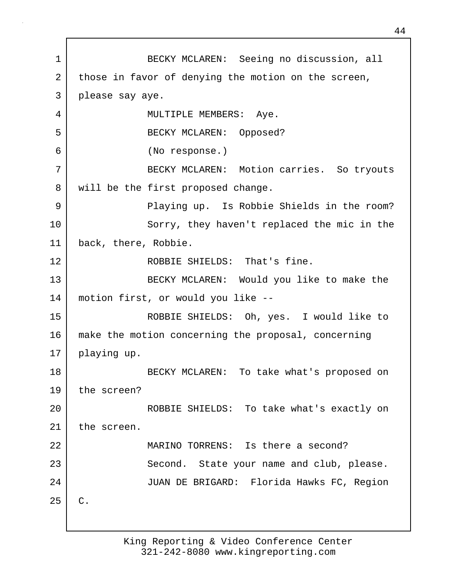1 BECKY MCLAREN: Seeing no discussion, all 2 | those in favor of denying the motion on the screen, 3 please say aye. 4 | MULTIPLE MEMBERS: Aye. 5 BECKY MCLAREN: Opposed? 6 (No response.) 7 | BECKY MCLAREN: Motion carries. So tryouts 8 | will be the first proposed change. 9 | Playing up. Is Robbie Shields in the room? 10 Sorry, they haven't replaced the mic in the 11 back, there, Robbie. 12 ROBBIE SHIELDS: That's fine. 13 BECKY MCLAREN: Would you like to make the 14 motion first, or would you like -- 15 ROBBIE SHIELDS: Oh, yes. I would like to 16 make the motion concerning the proposal, concerning 17 playing up. 18 BECKY MCLAREN: To take what's proposed on 19 the screen? 20 ROBBIE SHIELDS: To take what's exactly on 21 the screen. 22 MARINO TORRENS: Is there a second? 23 Second. State your name and club, please. 24 JUAN DE BRIGARD: Florida Hawks FC, Region  $25$  C.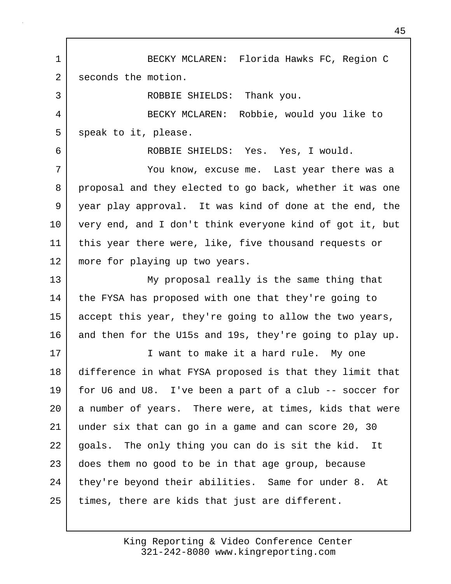1 BECKY MCLAREN: Florida Hawks FC, Region C 2 seconds the motion. 3 ROBBIE SHIELDS: Thank you. 4 BECKY MCLAREN: Robbie, would you like to 5 speak to it, please. 6 ROBBIE SHIELDS: Yes. Yes, I would. 7 You know, excuse me. Last year there was a 8 | proposal and they elected to go back, whether it was one 9 year play approval. It was kind of done at the end, the 10 very end, and I don't think everyone kind of got it, but 11 this year there were, like, five thousand requests or 12 | more for playing up two years. 13 My proposal really is the same thing that 14 the FYSA has proposed with one that they're going to 15 accept this year, they're going to allow the two years, 16 and then for the U15s and 19s, they're going to play up. 17 I want to make it a hard rule. My one 18 difference in what FYSA proposed is that they limit that 19 for U6 and U8. I've been a part of a club -- soccer for 20 a number of years. There were, at times, kids that were 21 under six that can go in a game and can score 20, 30 22 goals. The only thing you can do is sit the kid. It 23 does them no good to be in that age group, because 24 they're beyond their abilities. Same for under 8. At

25 times, there are kids that just are different.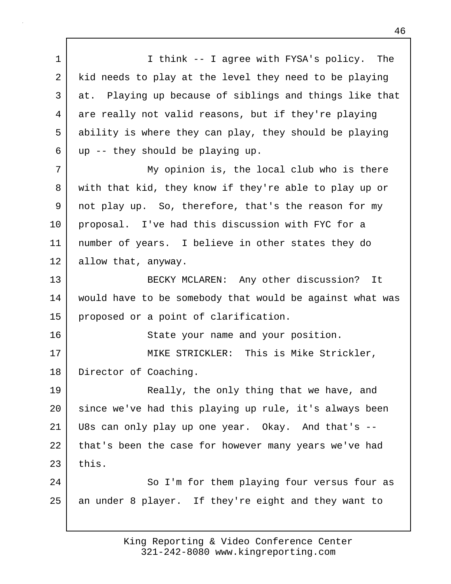1 | I think -- I agree with FYSA's policy. The 2 kid needs to play at the level they need to be playing 3 at. Playing up because of siblings and things like that 4 are really not valid reasons, but if they're playing 5 ability is where they can play, they should be playing  $6$  up  $-$  they should be playing up. 7 My opinion is, the local club who is there 8 with that kid, they know if they're able to play up or 9 not play up. So, therefore, that's the reason for my 10 proposal. I've had this discussion with FYC for a 11 number of years. I believe in other states they do 12 allow that, anyway. 13 BECKY MCLAREN: Any other discussion? It 14 would have to be somebody that would be against what was 15 proposed or a point of clarification. 16 State your name and your position. 17 MIKE STRICKLER: This is Mike Strickler, 18 Director of Coaching. 19 Really, the only thing that we have, and 20 since we've had this playing up rule, it's always been 21 U8s can only play up one year. Okay. And that's -- 22 that's been the case for however many years we've had  $23$  this. 24 So I'm for them playing four versus four as 25 an under 8 player. If they're eight and they want to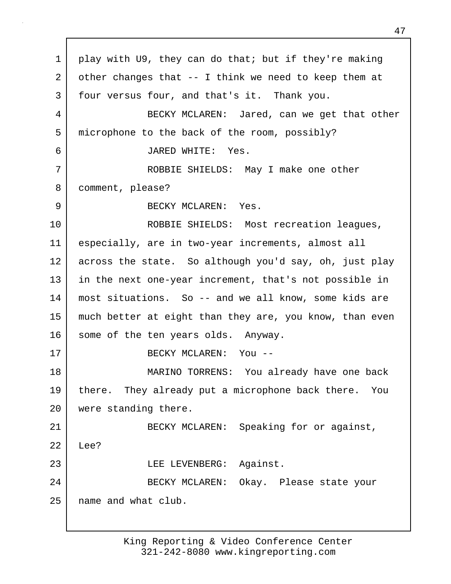1 play with U9, they can do that; but if they're making 2 other changes that -- I think we need to keep them at 3 four versus four, and that's it. Thank you. 4 BECKY MCLAREN: Jared, can we get that other 5 microphone to the back of the room, possibly? 6 JARED WHITE: Yes. 7 ROBBIE SHIELDS: May I make one other 8 comment, please? 9 BECKY MCLAREN: Yes. 10 ROBBIE SHIELDS: Most recreation leagues, 11 especially, are in two-year increments, almost all 12 across the state. So although you'd say, oh, just play 13 in the next one-year increment, that's not possible in 14 most situations. So -- and we all know, some kids are 15 much better at eight than they are, you know, than even 16 some of the ten years olds. Anyway. 17 BECKY MCLAREN: You -- 18 MARINO TORRENS: You already have one back 19 there. They already put a microphone back there. You 20 were standing there. 21 | BECKY MCLAREN: Speaking for or against, 22 Lee? 23 LEE LEVENBERG: Against. 24 BECKY MCLAREN: Okay. Please state your 25 name and what club.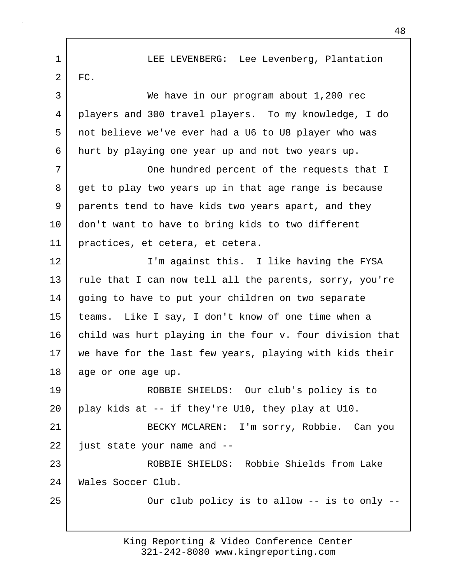1 LEE LEVENBERG: Lee Levenberg, Plantation  $2 \mid$  FC. 3 We have in our program about 1,200 rec 4 players and 300 travel players. To my knowledge, I do 5 not believe we've ever had a U6 to U8 player who was 6 hurt by playing one year up and not two years up. 7 | Che hundred percent of the requests that I 8 get to play two years up in that age range is because 9 parents tend to have kids two years apart, and they 10 don't want to have to bring kids to two different 11 practices, et cetera, et cetera. 12 I'm against this. I like having the FYSA 13 rule that I can now tell all the parents, sorry, you're 14 | going to have to put your children on two separate 15 teams. Like I say, I don't know of one time when a 16 child was hurt playing in the four v. four division that 17 we have for the last few years, playing with kids their 18 age or one age up. 19 ROBBIE SHIELDS: Our club's policy is to 20 play kids at -- if they're U10, they play at U10. 21 BECKY MCLAREN: I'm sorry, Robbie. Can you 22 just state your name and --23 ROBBIE SHIELDS: Robbie Shields from Lake 24 Wales Soccer Club. 25 | Cur club policy is to allow -- is to only --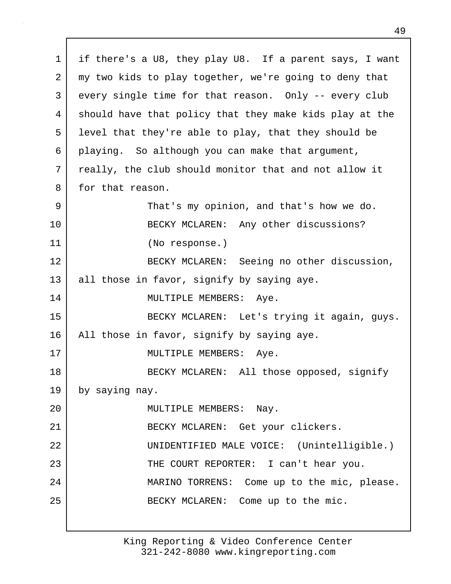1 if there's a U8, they play U8. If a parent says, I want 2 my two kids to play together, we're going to deny that 3 every single time for that reason. Only -- every club 4 should have that policy that they make kids play at the 5 level that they're able to play, that they should be 6 playing. So although you can make that argument, 7 really, the club should monitor that and not allow it 8 for that reason. 9 That's my opinion, and that's how we do. 10 BECKY MCLAREN: Any other discussions? 11 (No response.) 12 BECKY MCLAREN: Seeing no other discussion, 13 all those in favor, signify by saying aye. 14 | MULTIPLE MEMBERS: Aye. 15 | RECKY MCLAREN: Let's trying it again, guys. 16 | All those in favor, signify by saying aye. 17 | MULTIPLE MEMBERS: Aye. 18 BECKY MCLAREN: All those opposed, signify 19 by saying nay. 20 | MULTIPLE MEMBERS: Nay. 21 BECKY MCLAREN: Get your clickers. 22 UNIDENTIFIED MALE VOICE: (Unintelligible.) 23 | THE COURT REPORTER: I can't hear you. 24 | MARINO TORRENS: Come up to the mic, please. 25 | BECKY MCLAREN: Come up to the mic.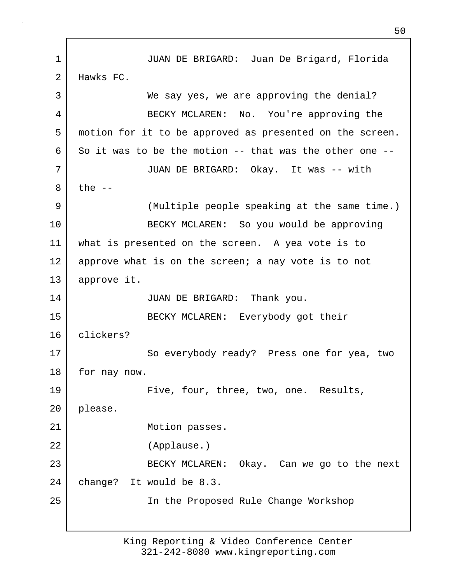1 JUAN DE BRIGARD: Juan De Brigard, Florida 2 Hawks FC. 3 We say yes, we are approving the denial? 4 BECKY MCLAREN: No. You're approving the 5 motion for it to be approved as presented on the screen.  $6 \mid$  So it was to be the motion -- that was the other one --7 JUAN DE BRIGARD: Okay. It was -- with  $8$  the  $-$ 9 (Multiple people speaking at the same time.) 10 | BECKY MCLAREN: So you would be approving 11 what is presented on the screen. A yea vote is to 12 approve what is on the screen; a nay vote is to not 13 approve it. 14 JUAN DE BRIGARD: Thank you. 15 BECKY MCLAREN: Everybody got their 16 clickers? 17 So everybody ready? Press one for yea, two 18 for nay now. 19 Five, four, three, two, one. Results, 20 please. 21 Motion passes. 22 (Applause.) 23 BECKY MCLAREN: Okay. Can we go to the next 24 change? It would be 8.3. 25 In the Proposed Rule Change Workshop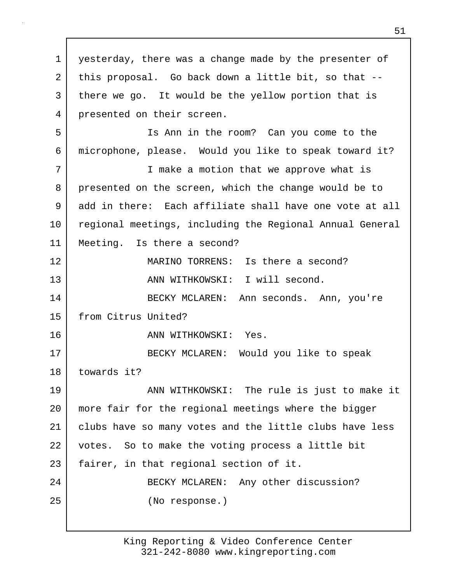1 | yesterday, there was a change made by the presenter of 2 this proposal. Go back down a little bit, so that -- 3 there we go. It would be the yellow portion that is 4 presented on their screen. 5 Is Ann in the room? Can you come to the 6 microphone, please. Would you like to speak toward it? 7 I make a motion that we approve what is 8 presented on the screen, which the change would be to 9 add in there: Each affiliate shall have one vote at all 10 regional meetings, including the Regional Annual General 11 Meeting. Is there a second? 12 MARINO TORRENS: Is there a second? 13 | ANN WITHKOWSKI: I will second. 14 BECKY MCLAREN: Ann seconds. Ann, you're 15 from Citrus United? 16 ANN WITHKOWSKI: Yes. 17 BECKY MCLAREN: Would you like to speak 18 towards it? 19 ANN WITHKOWSKI: The rule is just to make it 20 more fair for the regional meetings where the bigger 21 clubs have so many votes and the little clubs have less 22 votes. So to make the voting process a little bit 23 | fairer, in that regional section of it. 24 BECKY MCLAREN: Any other discussion? 25 (No response.)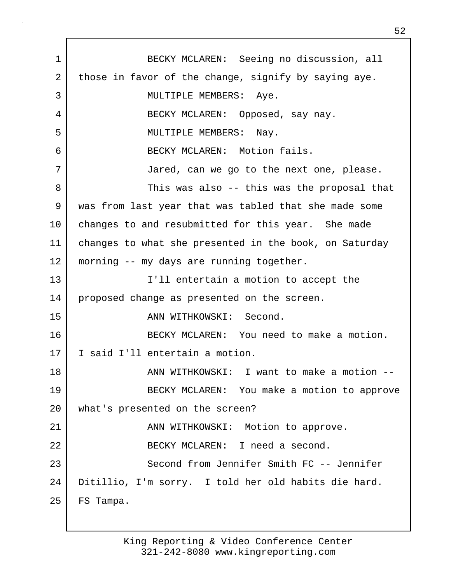1 BECKY MCLAREN: Seeing no discussion, all 2 those in favor of the change, signify by saying aye. 3 MULTIPLE MEMBERS: Aye. 4 BECKY MCLAREN: Opposed, say nay. 5 MULTIPLE MEMBERS: Nay. 6 BECKY MCLAREN: Motion fails. 7 Jared, can we go to the next one, please. 8 Same Ship Was also -- this was the proposal that 9 was from last year that was tabled that she made some 10 changes to and resubmitted for this year. She made 11 changes to what she presented in the book, on Saturday 12 | morning -- my days are running together. 13 I'll entertain a motion to accept the 14 | proposed change as presented on the screen. 15 ANN WITHKOWSKI: Second. 16 BECKY MCLAREN: You need to make a motion. 17 I said I'll entertain a motion. 18 | ANN WITHKOWSKI: I want to make a motion --19 | BECKY MCLAREN: You make a motion to approve 20 what's presented on the screen? 21 | ANN WITHKOWSKI: Motion to approve. 22 BECKY MCLAREN: I need a second. 23 Second from Jennifer Smith FC -- Jennifer 24 Ditillio, I'm sorry. I told her old habits die hard. 25 | FS Tampa.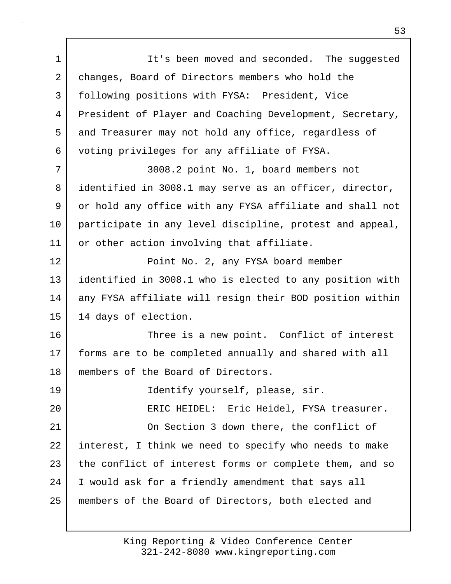1 It's been moved and seconded. The suggested 2 changes, Board of Directors members who hold the 3 following positions with FYSA: President, Vice 4 President of Player and Coaching Development, Secretary, 5 and Treasurer may not hold any office, regardless of 6 voting privileges for any affiliate of FYSA. 7 3008.2 point No. 1, board members not 8 identified in 3008.1 may serve as an officer, director, 9 or hold any office with any FYSA affiliate and shall not 10 participate in any level discipline, protest and appeal, 11 or other action involving that affiliate. 12 Point No. 2, any FYSA board member 13 identified in 3008.1 who is elected to any position with 14 any FYSA affiliate will resign their BOD position within 15 14 days of election. 16 Three is a new point. Conflict of interest 17 forms are to be completed annually and shared with all 18 | members of the Board of Directors. 19 | Tdentify yourself, please, sir. 20 ERIC HEIDEL: Eric Heidel, FYSA treasurer. 21 On Section 3 down there, the conflict of 22 interest, I think we need to specify who needs to make 23 the conflict of interest forms or complete them, and so 24 I would ask for a friendly amendment that says all 25 members of the Board of Directors, both elected and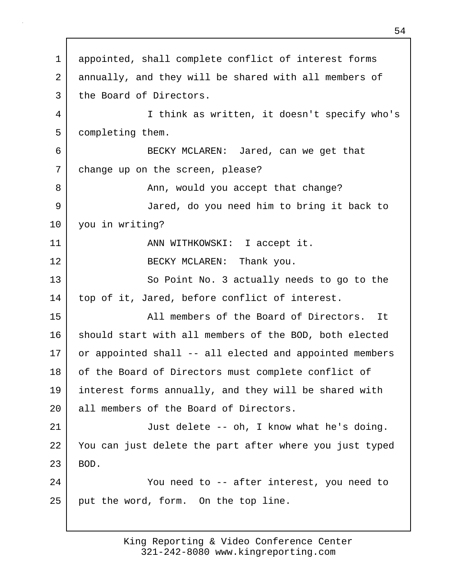1 appointed, shall complete conflict of interest forms 2 annually, and they will be shared with all members of 3 the Board of Directors. 4 I think as written, it doesn't specify who's 5 completing them. 6 BECKY MCLAREN: Jared, can we get that 7 change up on the screen, please? 8 Ann, would you accept that change? 9 Jared, do you need him to bring it back to 10 you in writing? 11 | ANN WITHKOWSKI: I accept it. 12 BECKY MCLAREN: Thank you. 13 So Point No. 3 actually needs to go to the 14 top of it, Jared, before conflict of interest. 15 | The Mall members of the Board of Directors. It 16 should start with all members of the BOD, both elected 17 or appointed shall -- all elected and appointed members 18 of the Board of Directors must complete conflict of 19 interest forms annually, and they will be shared with 20 all members of the Board of Directors. 21 Just delete -- oh, I know what he's doing. 22 You can just delete the part after where you just typed  $23$  BOD. 24 You need to -- after interest, you need to  $25$  put the word, form. On the top line.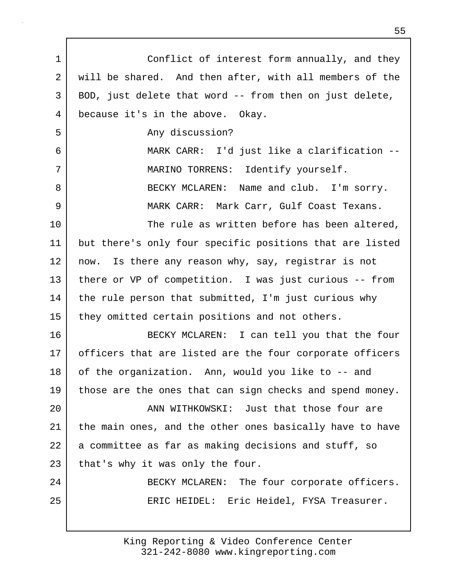1 Conflict of interest form annually, and they 2 will be shared. And then after, with all members of the 3 BOD, just delete that word -- from then on just delete, 4 because it's in the above. Okay. 5 any discussion? 6 MARK CARR: I'd just like a clarification -- 7 | MARINO TORRENS: Identify yourself. 8 BECKY MCLAREN: Name and club. I'm sorry. 9 MARK CARR: Mark Carr, Gulf Coast Texans. 10 The rule as written before has been altered, 11 but there's only four specific positions that are listed 12 | now. Is there any reason why, say, registrar is not 13 there or VP of competition. I was just curious -- from 14 | the rule person that submitted, I'm just curious why 15 they omitted certain positions and not others. 16 BECKY MCLAREN: I can tell you that the four 17 officers that are listed are the four corporate officers 18 of the organization. Ann, would you like to -- and 19 those are the ones that can sign checks and spend money. 20 **ANN WITHKOWSKI:** Just that those four are 21 the main ones, and the other ones basically have to have 22 a committee as far as making decisions and stuff, so 23 that's why it was only the four. 24 BECKY MCLAREN: The four corporate officers. 25 ERIC HEIDEL: Eric Heidel, FYSA Treasurer.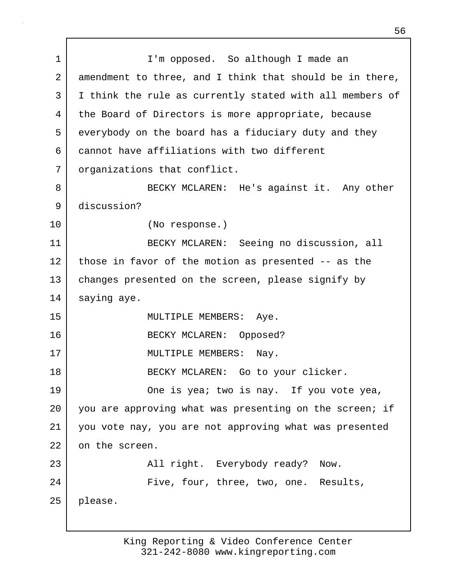1 | I'm opposed. So although I made an 2 amendment to three, and I think that should be in there, 3 I think the rule as currently stated with all members of 4 the Board of Directors is more appropriate, because 5 everybody on the board has a fiduciary duty and they 6 cannot have affiliations with two different 7 | organizations that conflict. 8 BECKY MCLAREN: He's against it. Any other 9 discussion? 10 (No response.) 11 BECKY MCLAREN: Seeing no discussion, all 12 those in favor of the motion as presented -- as the 13 changes presented on the screen, please signify by 14 saying aye. 15 MULTIPLE MEMBERS: Aye. 16 BECKY MCLAREN: Opposed? 17 MULTIPLE MEMBERS: Nay. 18 | BECKY MCLAREN: Go to your clicker. 19 One is yea; two is nay. If you vote yea, 20 you are approving what was presenting on the screen; if 21 you vote nay, you are not approving what was presented 22 on the screen. 23 | All right. Everybody ready? Now. 24 Five, four, three, two, one. Results, 25 please.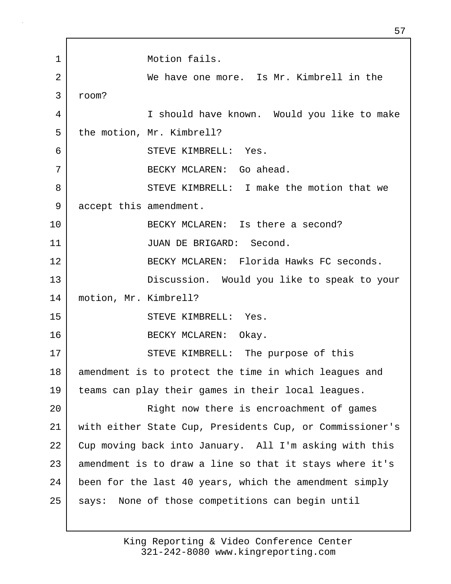1 Motion fails. 2 We have one more. Is Mr. Kimbrell in the 3 room? 4 I should have known. Would you like to make 5 | the motion, Mr. Kimbrell? 6 STEVE KIMBRELL: Yes. 7 BECKY MCLAREN: Go ahead. 8 STEVE KIMBRELL: I make the motion that we 9 accept this amendment. 10 BECKY MCLAREN: Is there a second? 11 JUAN DE BRIGARD: Second. 12 BECKY MCLAREN: Florida Hawks FC seconds. 13 Discussion. Would you like to speak to your 14 motion, Mr. Kimbrell? 15 STEVE KIMBRELL: Yes. 16 BECKY MCLAREN: Okay. 17 STEVE KIMBRELL: The purpose of this 18 amendment is to protect the time in which leagues and 19 teams can play their games in their local leagues. 20 | Right now there is encroachment of games 21 with either State Cup, Presidents Cup, or Commissioner's 22 Cup moving back into January. All I'm asking with this 23 amendment is to draw a line so that it stays where it's 24 been for the last 40 years, which the amendment simply 25 | says: None of those competitions can begin until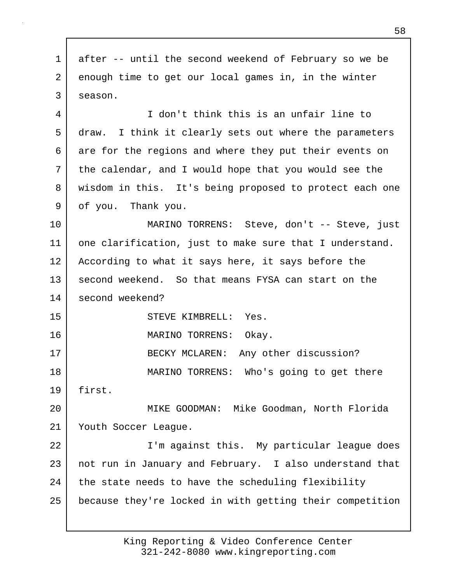1 after -- until the second weekend of February so we be 2 enough time to get our local games in, in the winter 3 season. 4 I don't think this is an unfair line to 5 draw. I think it clearly sets out where the parameters 6 are for the regions and where they put their events on 7 the calendar, and I would hope that you would see the 8 wisdom in this. It's being proposed to protect each one 9 of you. Thank you. 10 MARINO TORRENS: Steve, don't -- Steve, just 11 one clarification, just to make sure that I understand. 12 According to what it says here, it says before the 13 second weekend. So that means FYSA can start on the 14 second weekend? 15 STEVE KIMBRELL: Yes. 16 MARINO TORRENS: Okay. 17 BECKY MCLAREN: Any other discussion? 18 MARINO TORRENS: Who's going to get there 19 first. 20 MIKE GOODMAN: Mike Goodman, North Florida 21 | Youth Soccer League. 22 | T'm against this. My particular league does 23 | not run in January and February. I also understand that 24 the state needs to have the scheduling flexibility 25 because they're locked in with getting their competition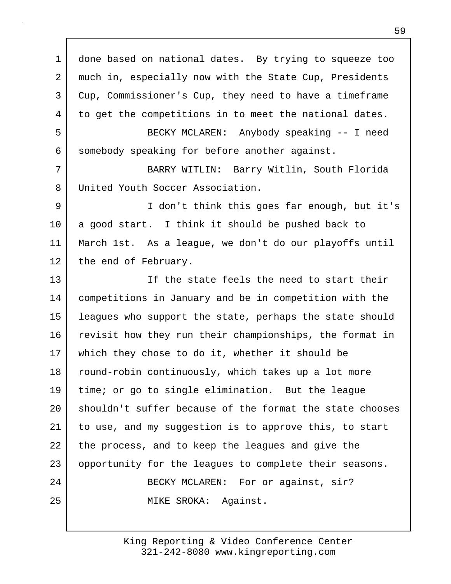1 done based on national dates. By trying to squeeze too 2 much in, especially now with the State Cup, Presidents 3 Cup, Commissioner's Cup, they need to have a timeframe 4 to get the competitions in to meet the national dates. 5 BECKY MCLAREN: Anybody speaking -- I need 6 somebody speaking for before another against. 7 BARRY WITLIN: Barry Witlin, South Florida 8 United Youth Soccer Association. 9 I don't think this goes far enough, but it's 10 a good start. I think it should be pushed back to 11 March 1st. As a league, we don't do our playoffs until 12 the end of February. 13 If the state feels the need to start their 14 competitions in January and be in competition with the 15 leagues who support the state, perhaps the state should 16 revisit how they run their championships, the format in 17 which they chose to do it, whether it should be 18 | round-robin continuously, which takes up a lot more 19 time; or go to single elimination. But the league 20 shouldn't suffer because of the format the state chooses 21 to use, and my suggestion is to approve this, to start 22 the process, and to keep the leagues and give the 23 opportunity for the leagues to complete their seasons. 24 BECKY MCLAREN: For or against, sir? 25 MIKE SROKA: Against.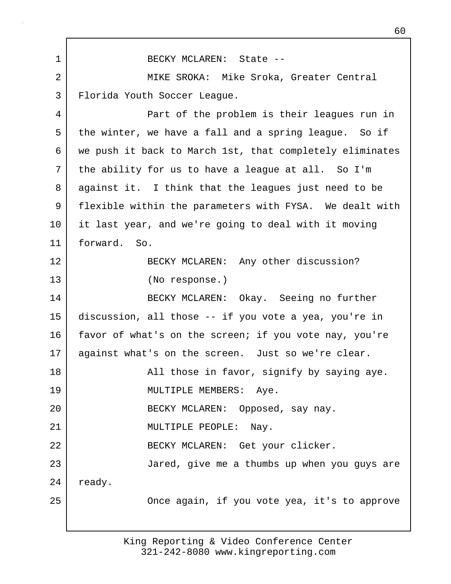1 BECKY MCLAREN: State -- 2 MIKE SROKA: Mike Sroka, Greater Central 3 Florida Youth Soccer League. 4 Part of the problem is their leagues run in 5 the winter, we have a fall and a spring league. So if 6 we push it back to March 1st, that completely eliminates 7 the ability for us to have a league at all. So I'm 8 against it. I think that the leagues just need to be 9 flexible within the parameters with FYSA. We dealt with 10 it last year, and we're going to deal with it moving 11 forward. So. 12 BECKY MCLAREN: Any other discussion? 13 (No response.) 14 BECKY MCLAREN: Okay. Seeing no further 15 discussion, all those -- if you vote a yea, you're in 16 favor of what's on the screen; if you vote nay, you're 17 | against what's on the screen. Just so we're clear. 18 | All those in favor, signify by saying aye. 19 MULTIPLE MEMBERS: Aye. 20 | RECKY MCLAREN: Opposed, say nay. 21 MULTIPLE PEOPLE: Nay. 22 BECKY MCLAREN: Get your clicker. 23 Jared, give me a thumbs up when you guys are 24 | ready. 25 | Chang Check again, if you vote yea, it's to approve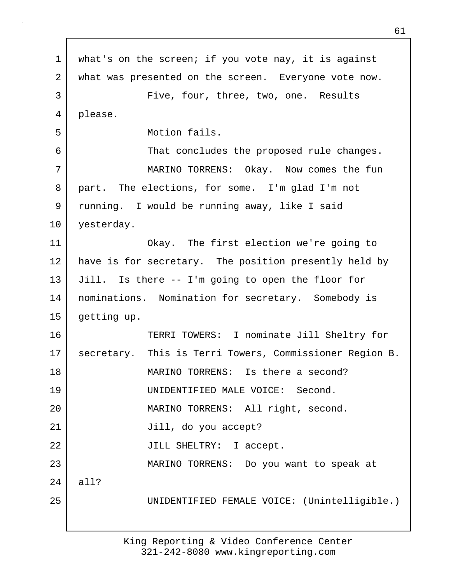1 | what's on the screen; if you vote nay, it is against 2 what was presented on the screen. Everyone vote now. 3 | Five, four, three, two, one. Results 4 please. 5 Motion fails. 6 That concludes the proposed rule changes. 7 MARINO TORRENS: Okay. Now comes the fun 8 part. The elections, for some. I'm glad I'm not 9 running. I would be running away, like I said 10 yesterday. 11 Okay. The first election we're going to 12 have is for secretary. The position presently held by 13 Jill. Is there -- I'm going to open the floor for 14 | nominations. Nomination for secretary. Somebody is 15 | getting up. 16 TERRI TOWERS: I nominate Jill Sheltry for 17 | secretary. This is Terri Towers, Commissioner Region B. 18 MARINO TORRENS: Is there a second? 19 UNIDENTIFIED MALE VOICE: Second. 20 | MARINO TORRENS: All right, second. 21 Jill, do you accept? 22 | JILL SHELTRY: I accept. 23 MARINO TORRENS: Do you want to speak at 24 all? 25 UNIDENTIFIED FEMALE VOICE: (Unintelligible.)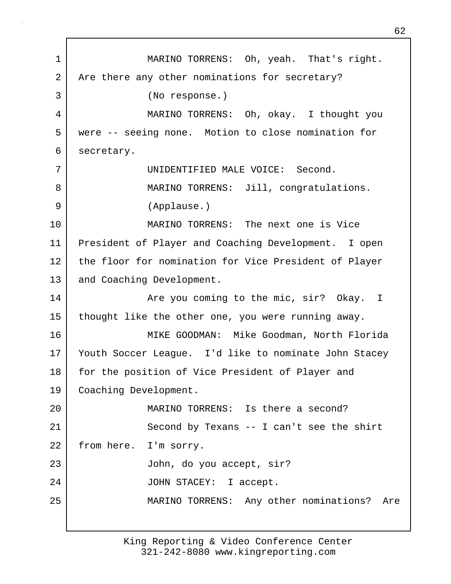1 MARINO TORRENS: Oh, yeah. That's right. 2 Are there any other nominations for secretary? 3 (No response.) 4 MARINO TORRENS: Oh, okay. I thought you 5 were -- seeing none. Motion to close nomination for 6 secretary. 7 UNIDENTIFIED MALE VOICE: Second. 8 MARINO TORRENS: Jill, congratulations. 9 (Applause.) 10 MARINO TORRENS: The next one is Vice 11 President of Player and Coaching Development. I open 12 the floor for nomination for Vice President of Player 13 and Coaching Development. 14 | The you coming to the mic, sir? Okay. I 15 thought like the other one, you were running away. 16 MIKE GOODMAN: Mike Goodman, North Florida 17 Youth Soccer League. I'd like to nominate John Stacey 18 for the position of Vice President of Player and 19 | Coaching Development. 20 MARINO TORRENS: Is there a second? 21 | Second by Texans -- I can't see the shirt 22 | from here. I'm sorry. 23 John, do you accept, sir? 24 | JOHN STACEY: I accept. 25 MARINO TORRENS: Any other nominations? Are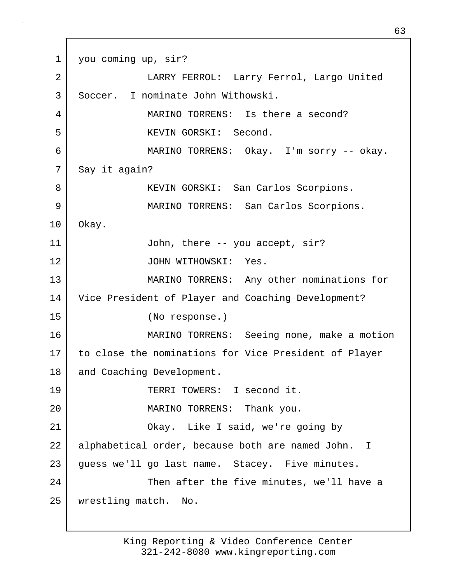1 you coming up, sir? 2 LARRY FERROL: Larry Ferrol, Largo United 3 Soccer. I nominate John Withowski. 4 MARINO TORRENS: Is there a second? 5 KEVIN GORSKI: Second. 6 MARINO TORRENS: Okay. I'm sorry -- okay. 7 Say it again? 8 KEVIN GORSKI: San Carlos Scorpions. 9 MARINO TORRENS: San Carlos Scorpions. 10 Okay. 11 | John, there -- you accept, sir? 12 JOHN WITHOWSKI: Yes. 13 MARINO TORRENS: Any other nominations for 14 Vice President of Player and Coaching Development? 15 (No response.) 16 MARINO TORRENS: Seeing none, make a motion 17 to close the nominations for Vice President of Player 18 | and Coaching Development. 19 TERRI TOWERS: I second it. 20 MARINO TORRENS: Thank you. 21 Okay. Like I said, we're going by 22 alphabetical order, because both are named John. I 23 guess we'll go last name. Stacey. Five minutes. 24 Then after the five minutes, we'll have a 25 wrestling match. No.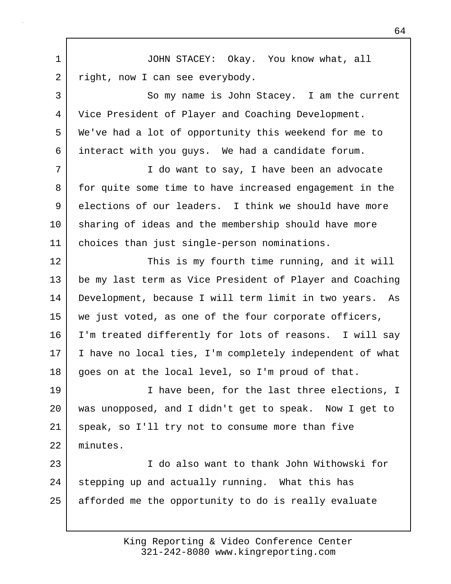1 JOHN STACEY: Okay. You know what, all 2 right, now I can see everybody. 3 So my name is John Stacey. I am the current 4 Vice President of Player and Coaching Development. 5 We've had a lot of opportunity this weekend for me to 6 interact with you guys. We had a candidate forum. 7 | The want to say, I have been an advocate 8 for quite some time to have increased engagement in the 9 elections of our leaders. I think we should have more 10 sharing of ideas and the membership should have more 11 choices than just single-person nominations. 12 This is my fourth time running, and it will 13 be my last term as Vice President of Player and Coaching 14 Development, because I will term limit in two years. As 15 we just voted, as one of the four corporate officers, 16 | I'm treated differently for lots of reasons. I will say 17 | I have no local ties, I'm completely independent of what 18 goes on at the local level, so I'm proud of that. 19 **I** have been, for the last three elections, I 20 was unopposed, and I didn't get to speak. Now I get to 21 speak, so I'll try not to consume more than five 22 minutes. 23 I do also want to thank John Withowski for 24 stepping up and actually running. What this has 25 afforded me the opportunity to do is really evaluate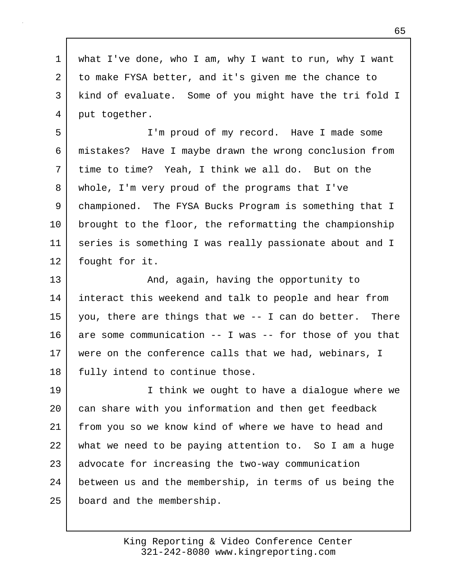1 what I've done, who I am, why I want to run, why I want 2 to make FYSA better, and it's given me the chance to 3 kind of evaluate. Some of you might have the tri fold I 4 put together.

5 I'm proud of my record. Have I made some 6 mistakes? Have I maybe drawn the wrong conclusion from 7 time to time? Yeah, I think we all do. But on the 8 whole, I'm very proud of the programs that I've 9 championed. The FYSA Bucks Program is something that I 10 brought to the floor, the reformatting the championship 11 series is something I was really passionate about and I 12 fought for it.

13 and, again, having the opportunity to 14 interact this weekend and talk to people and hear from 15 you, there are things that we  $-$  I can do better. There 16 are some communication -- I was -- for those of you that 17 were on the conference calls that we had, webinars, I 18 | fully intend to continue those.

19 I think we ought to have a dialogue where we 20 can share with you information and then get feedback 21 from you so we know kind of where we have to head and 22 what we need to be paying attention to. So I am a huge 23 advocate for increasing the two-way communication 24 between us and the membership, in terms of us being the 25 board and the membership.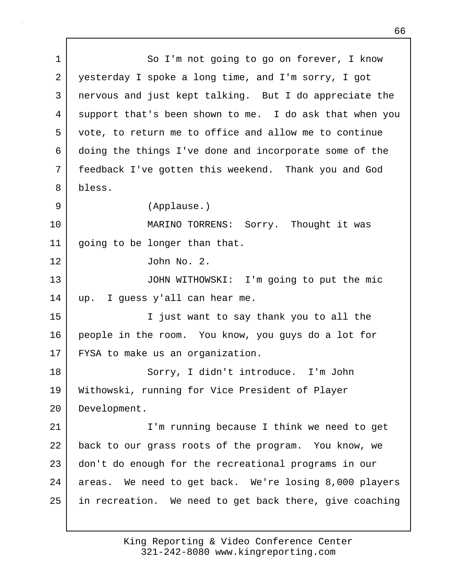1 So I'm not going to go on forever, I know 2 yesterday I spoke a long time, and I'm sorry, I got 3 nervous and just kept talking. But I do appreciate the 4 support that's been shown to me. I do ask that when you 5 vote, to return me to office and allow me to continue 6 doing the things I've done and incorporate some of the 7 feedback I've gotten this weekend. Thank you and God 8 bless. 9 (Applause.) 10 MARINO TORRENS: Sorry. Thought it was 11 going to be longer than that. 12 John No. 2. 13 JOHN WITHOWSKI: I'm going to put the mic 14 up. I guess y'all can hear me. 15 I just want to say thank you to all the 16 people in the room. You know, you guys do a lot for 17 FYSA to make us an organization. 18 Sorry, I didn't introduce. I'm John 19 Withowski, running for Vice President of Player 20 Development. 21 I'm running because I think we need to get 22 back to our grass roots of the program. You know, we 23 don't do enough for the recreational programs in our 24 areas. We need to get back. We're losing 8,000 players 25 in recreation. We need to get back there, give coaching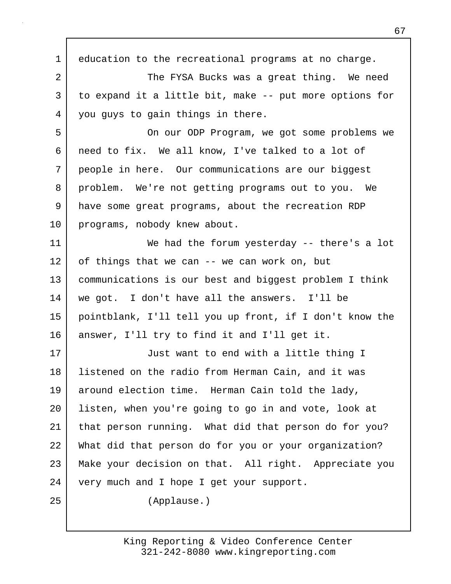1 education to the recreational programs at no charge. 2 | The FYSA Bucks was a great thing. We need 3 to expand it a little bit, make -- put more options for 4 you guys to gain things in there. 5 On our ODP Program, we got some problems we 6 need to fix. We all know, I've talked to a lot of 7 people in here. Our communications are our biggest 8 problem. We're not getting programs out to you. We 9 have some great programs, about the recreation RDP 10 programs, nobody knew about. 11 We had the forum yesterday -- there's a lot 12 of things that we can -- we can work on, but 13 communications is our best and biggest problem I think 14 we got. I don't have all the answers. I'll be 15 pointblank, I'll tell you up front, if I don't know the 16 answer, I'll try to find it and I'll get it. 17 Just want to end with a little thing I 18 listened on the radio from Herman Cain, and it was 19 around election time. Herman Cain told the lady, 20 listen, when you're going to go in and vote, look at 21 that person running. What did that person do for you? 22 What did that person do for you or your organization? 23 Make your decision on that. All right. Appreciate you 24 very much and I hope I get your support. 25 (Applause.)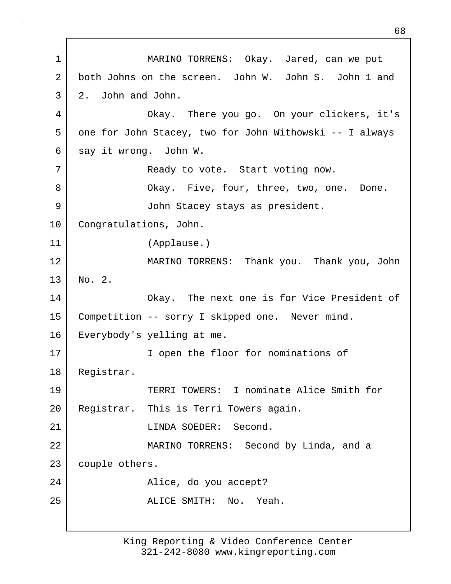1 MARINO TORRENS: Okay. Jared, can we put 2 both Johns on the screen. John W. John S. John 1 and 3 2. John and John. 4 Okay. There you go. On your clickers, it's 5 one for John Stacey, two for John Withowski -- I always 6 say it wrong. John W. 7 | Ready to vote. Start voting now. 8 Okay. Five, four, three, two, one. Done. 9 John Stacey stays as president. 10 Congratulations, John. 11 (Applause.) 12 MARINO TORRENS: Thank you. Thank you, John 13 No. 2. 14 Okay. The next one is for Vice President of 15 Competition -- sorry I skipped one. Never mind. 16 Everybody's yelling at me. 17 | Topen the floor for nominations of 18 Registrar. 19 TERRI TOWERS: I nominate Alice Smith for 20 Registrar. This is Terri Towers again. 21 | CHARLINDA SOEDER: Second. 22 MARINO TORRENS: Second by Linda, and a 23 couple others. 24 | Research Marine, do you accept? 25 ALICE SMITH: No. Yeah.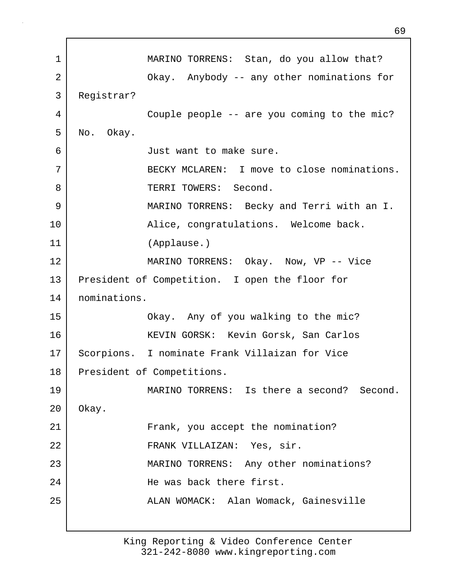1 MARINO TORRENS: Stan, do you allow that? 2 | Chay. Anybody -- any other nominations for 3 Registrar? 4 Couple people -- are you coming to the mic? 5 No. Okay. 6 Just want to make sure. 7 BECKY MCLAREN: I move to close nominations. 8 Second. 9 MARINO TORRENS: Becky and Terri with an I. 10 | The Ruice, congratulations. Welcome back. 11 (Applause.) 12 MARINO TORRENS: Okay. Now, VP -- Vice 13 President of Competition. I open the floor for 14 nominations. 15 Okay. Any of you walking to the mic? 16 KEVIN GORSK: Kevin Gorsk, San Carlos 17 Scorpions. I nominate Frank Villaizan for Vice 18 President of Competitions. 19 MARINO TORRENS: Is there a second? Second. 20 Okay. 21 | Frank, you accept the nomination? 22 FRANK VILLAIZAN: Yes, sir. 23 MARINO TORRENS: Any other nominations? 24 | The was back there first. 25 | ALAN WOMACK: Alan Womack, Gainesville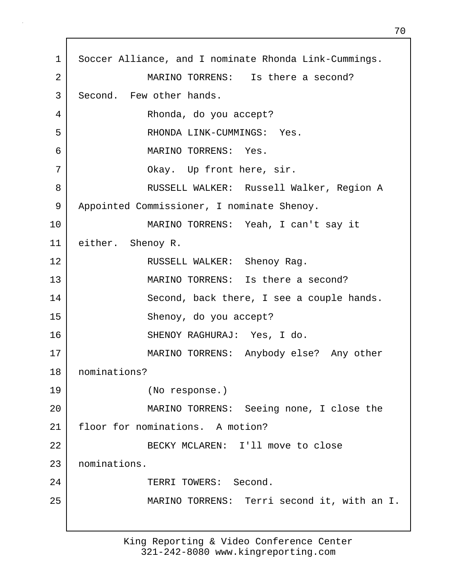1 Soccer Alliance, and I nominate Rhonda Link-Cummings. 2 MARINO TORRENS: Is there a second? 3 Second. Few other hands. 4 Rhonda, do you accept? 5 RHONDA LINK-CUMMINGS: Yes. 6 MARINO TORRENS: Yes. 7 | Chay. Up front here, sir. 8 RUSSELL WALKER: Russell Walker, Region A 9 | Appointed Commissioner, I nominate Shenoy. 10 MARINO TORRENS: Yeah, I can't say it 11 either. Shenoy R. 12 RUSSELL WALKER: Shenoy Rag. 13 MARINO TORRENS: Is there a second? 14 Second, back there, I see a couple hands. 15 Shenoy, do you accept? 16 SHENOY RAGHURAJ: Yes, I do. 17 MARINO TORRENS: Anybody else? Any other 18 nominations? 19 (No response.) 20 MARINO TORRENS: Seeing none, I close the 21 floor for nominations. A motion? 22 BECKY MCLAREN: I'll move to close 23 nominations. 24 | TERRI TOWERS: Second. 25 MARINO TORRENS: Terri second it, with an I.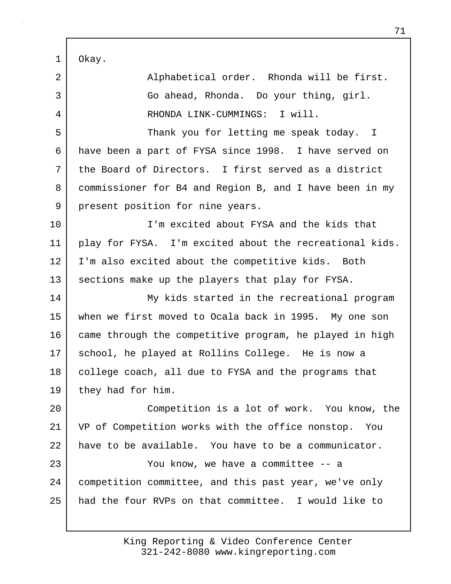1 Okay.

| 2              | Alphabetical order. Rhonda will be first.               |
|----------------|---------------------------------------------------------|
| $\mathfrak{Z}$ | Go ahead, Rhonda. Do your thing, girl.                  |
| 4              | RHONDA LINK-CUMMINGS: I will.                           |
| 5              | Thank you for letting me speak today. I                 |
| 6              | have been a part of FYSA since 1998. I have served on   |
| 7              | the Board of Directors. I first served as a district    |
| 8              | commissioner for B4 and Region B, and I have been in my |
| 9              | present position for nine years.                        |
| 10             | I'm excited about FYSA and the kids that                |
| 11             | play for FYSA. I'm excited about the recreational kids. |
| 12             | I'm also excited about the competitive kids. Both       |
| 13             | sections make up the players that play for FYSA.        |
| 14             | My kids started in the recreational program             |
| 15             | when we first moved to Ocala back in 1995. My one son   |
| 16             | came through the competitive program, he played in high |
| 17             | school, he played at Rollins College. He is now a       |
| 18             | college coach, all due to FYSA and the programs that    |
| 19             | they had for him.                                       |
| 20             | Competition is a lot of work. You know, the             |
| 21             | VP of Competition works with the office nonstop. You    |
| 22             | have to be available. You have to be a communicator.    |
| 23             | You know, we have a committee -- a                      |
| 24             | competition committee, and this past year, we've only   |
| 25             | had the four RVPs on that committee. I would like to    |
|                |                                                         |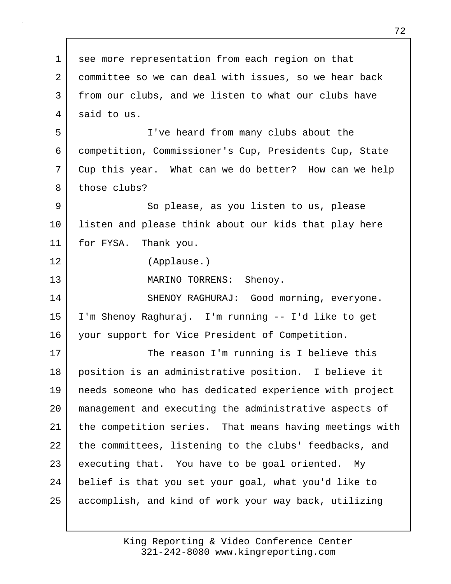1 see more representation from each region on that 2 committee so we can deal with issues, so we hear back 3 from our clubs, and we listen to what our clubs have 4 said to us. 5 I've heard from many clubs about the 6 competition, Commissioner's Cup, Presidents Cup, State 7 Cup this year. What can we do better? How can we help 8 those clubs? 9 So please, as you listen to us, please 10 | listen and please think about our kids that play here 11 for FYSA. Thank you. 12 (Applause.) 13 MARINO TORRENS: Shenoy. 14 SHENOY RAGHURAJ: Good morning, everyone. 15 I'm Shenoy Raghuraj. I'm running -- I'd like to get 16 your support for Vice President of Competition. 17 | The reason I'm running is I believe this 18 position is an administrative position. I believe it 19 needs someone who has dedicated experience with project 20 management and executing the administrative aspects of 21 the competition series. That means having meetings with 22 the committees, listening to the clubs' feedbacks, and 23 executing that. You have to be goal oriented. My 24 belief is that you set your goal, what you'd like to 25 accomplish, and kind of work your way back, utilizing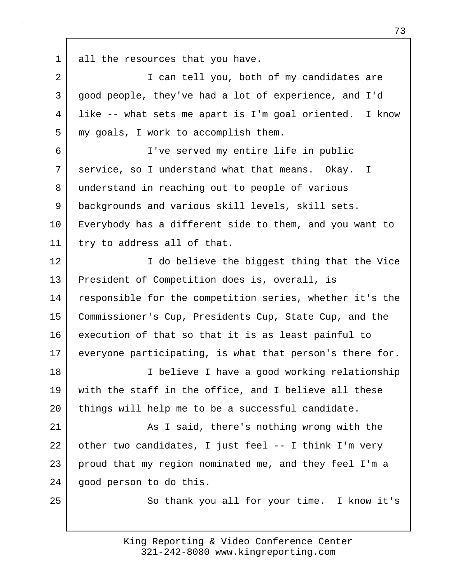1 all the resources that you have.

2 | T can tell you, both of my candidates are 3 good people, they've had a lot of experience, and I'd 4 like -- what sets me apart is I'm goal oriented. I know 5 my goals, I work to accomplish them. 6 I've served my entire life in public 7 service, so I understand what that means. Okay. I 8 understand in reaching out to people of various 9 backgrounds and various skill levels, skill sets. 10 Everybody has a different side to them, and you want to 11 try to address all of that. 12 I do believe the biggest thing that the Vice 13 President of Competition does is, overall, is 14 responsible for the competition series, whether it's the 15 Commissioner's Cup, Presidents Cup, State Cup, and the 16 execution of that so that it is as least painful to 17 everyone participating, is what that person's there for. 18 | Thelieve I have a good working relationship 19 with the staff in the office, and I believe all these 20 | things will help me to be a successful candidate. 21 As I said, there's nothing wrong with the 22 other two candidates, I just feel -- I think I'm very 23 proud that my region nominated me, and they feel I'm a

24 good person to do this.

25 | So thank you all for your time. I know it's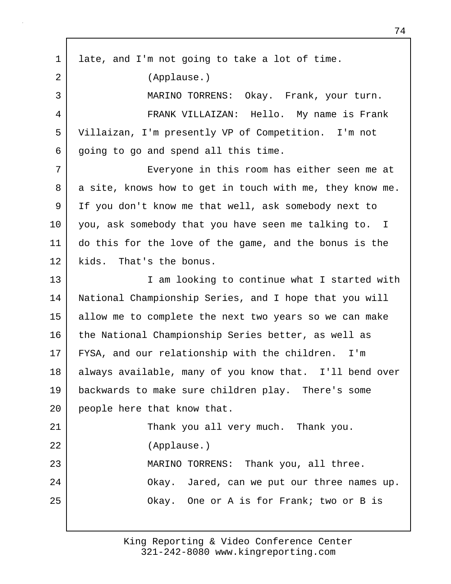1 late, and I'm not going to take a lot of time. 2 (Applause.) 3 MARINO TORRENS: Okay. Frank, your turn. 4 FRANK VILLAIZAN: Hello. My name is Frank 5 Villaizan, I'm presently VP of Competition. I'm not 6 going to go and spend all this time. 7 Everyone in this room has either seen me at 8 a site, knows how to get in touch with me, they know me. 9 If you don't know me that well, ask somebody next to 10 you, ask somebody that you have seen me talking to. I 11 do this for the love of the game, and the bonus is the 12 kids. That's the bonus. 13 | Tam looking to continue what I started with 14 National Championship Series, and I hope that you will 15 allow me to complete the next two years so we can make 16 the National Championship Series better, as well as 17 FYSA, and our relationship with the children. I'm 18 always available, many of you know that. I'll bend over 19 backwards to make sure children play. There's some 20 people here that know that. 21 | Thank you all very much. Thank you. 22 (Applause.) 23 MARINO TORRENS: Thank you, all three. 24 | Chay. Jared, can we put our three names up. 25 Okay. One or A is for Frank; two or B is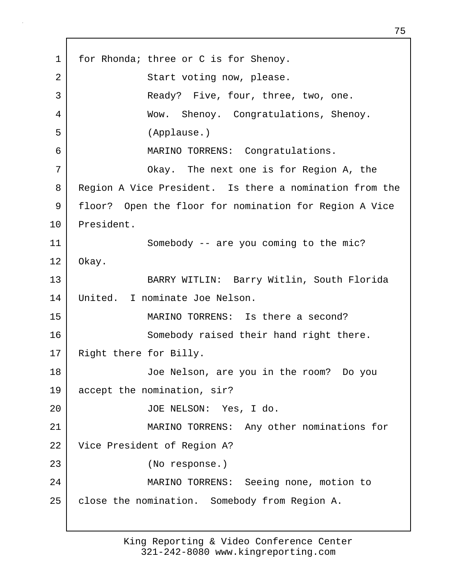1 for Rhonda; three or C is for Shenoy. 2 Start voting now, please. 3 | Ready? Five, four, three, two, one. 4 Wow. Shenoy. Congratulations, Shenoy. 5 (Applause.) 6 MARINO TORRENS: Congratulations. 7 Okay. The next one is for Region A, the 8 Region A Vice President. Is there a nomination from the 9 floor? Open the floor for nomination for Region A Vice 10 President. 11 Somebody -- are you coming to the mic? 12 Okay. 13 BARRY WITLIN: Barry Witlin, South Florida 14 United. I nominate Joe Nelson. 15 MARINO TORRENS: Is there a second? 16 Somebody raised their hand right there. 17 Right there for Billy. 18 Joe Nelson, are you in the room? Do you 19 accept the nomination, sir? 20 JOE NELSON: Yes, I do. 21 MARINO TORRENS: Any other nominations for 22 Vice President of Region A? 23 (No response.) 24 MARINO TORRENS: Seeing none, motion to 25 | close the nomination. Somebody from Region A.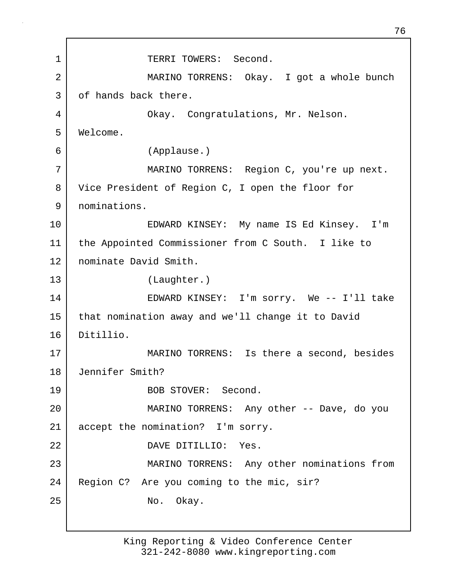1 TERRI TOWERS: Second. 2 MARINO TORRENS: Okay. I got a whole bunch 3 of hands back there. 4 Okay. Congratulations, Mr. Nelson. 5 Welcome. 6 (Applause.) 7 MARINO TORRENS: Region C, you're up next. 8 Vice President of Region C, I open the floor for 9 nominations. 10 EDWARD KINSEY: My name IS Ed Kinsey. I'm 11 the Appointed Commissioner from C South. I like to 12 nominate David Smith. 13 (Laughter.) 14 EDWARD KINSEY: I'm sorry. We -- I'll take 15 | that nomination away and we'll change it to David 16 Ditillio. 17 | MARINO TORRENS: Is there a second, besides 18 Jennifer Smith? 19 BOB STOVER: Second. 20 MARINO TORRENS: Any other -- Dave, do you 21 accept the nomination? I'm sorry. 22 DAVE DITILLIO: Yes. 23 MARINO TORRENS: Any other nominations from 24 | Region C? Are you coming to the mic, sir? 25 No. Okay.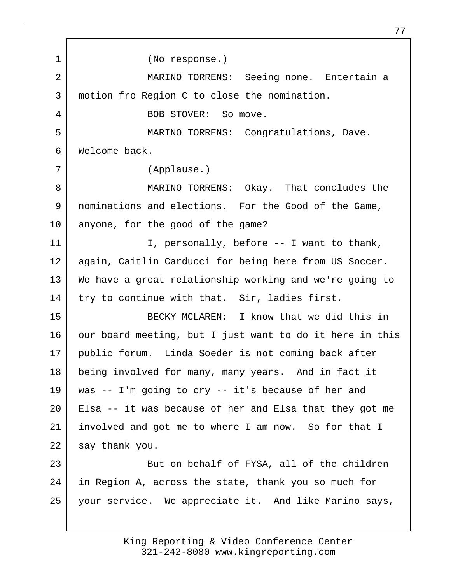1 (No response.) 2 MARINO TORRENS: Seeing none. Entertain a 3 motion fro Region C to close the nomination. 4 BOB STOVER: So move. 5 MARINO TORRENS: Congratulations, Dave. 6 Welcome back. 7 (Applause.) 8 MARINO TORRENS: Okay. That concludes the 9 nominations and elections. For the Good of the Game, 10 anyone, for the good of the game? 11 | T, personally, before -- I want to thank, 12 again, Caitlin Carducci for being here from US Soccer. 13 We have a great relationship working and we're going to 14 try to continue with that. Sir, ladies first. 15 BECKY MCLAREN: I know that we did this in 16 our board meeting, but I just want to do it here in this 17 public forum. Linda Soeder is not coming back after 18 being involved for many, many years. And in fact it 19 was -- I'm going to cry -- it's because of her and 20 Elsa -- it was because of her and Elsa that they got me 21 involved and got me to where I am now. So for that I 22 say thank you. 23 But on behalf of FYSA, all of the children 24 in Region A, across the state, thank you so much for 25 your service. We appreciate it. And like Marino says,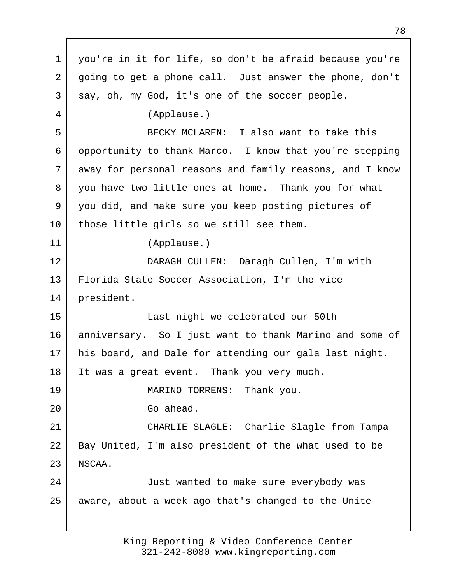1 you're in it for life, so don't be afraid because you're 2 going to get a phone call. Just answer the phone, don't 3 say, oh, my God, it's one of the soccer people. 4 (Applause.) 5 BECKY MCLAREN: I also want to take this 6 opportunity to thank Marco. I know that you're stepping 7 away for personal reasons and family reasons, and I know 8 you have two little ones at home. Thank you for what 9 you did, and make sure you keep posting pictures of 10 | those little girls so we still see them. 11 (Applause.) 12 DARAGH CULLEN: Daragh Cullen, I'm with 13 Florida State Soccer Association, I'm the vice 14 president. 15 Last night we celebrated our 50th 16 anniversary. So I just want to thank Marino and some of 17 his board, and Dale for attending our gala last night. 18 | It was a great event. Thank you very much. 19 MARINO TORRENS: Thank you. 20 Go ahead. 21 CHARLIE SLAGLE: Charlie Slagle from Tampa 22 | Bay United, I'm also president of the what used to be 23 NSCAA. 24 Just wanted to make sure everybody was 25 aware, about a week ago that's changed to the Unite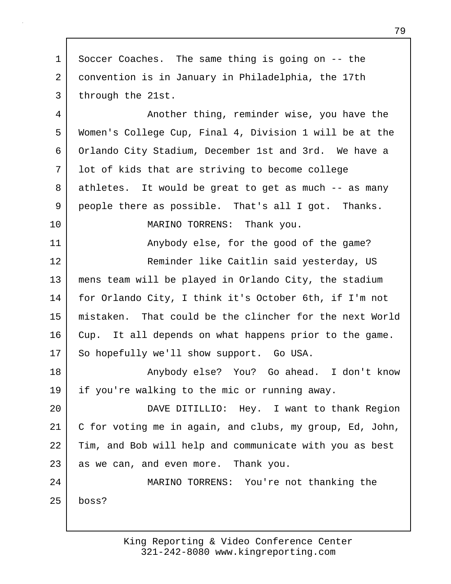1 Soccer Coaches. The same thing is going on -- the 2 convention is in January in Philadelphia, the 17th 3 through the 21st. 4 Another thing, reminder wise, you have the 5 Women's College Cup, Final 4, Division 1 will be at the 6 Orlando City Stadium, December 1st and 3rd. We have a 7 lot of kids that are striving to become college 8 athletes. It would be great to get as much -- as many 9 people there as possible. That's all I got. Thanks. 10 MARINO TORRENS: Thank you. 11 Anybody else, for the good of the game? 12 Reminder like Caitlin said yesterday, US 13 mens team will be played in Orlando City, the stadium 14 for Orlando City, I think it's October 6th, if I'm not 15 mistaken. That could be the clincher for the next World 16 Cup. It all depends on what happens prior to the game. 17 So hopefully we'll show support. Go USA. 18 Anybody else? You? Go ahead. I don't know 19 if you're walking to the mic or running away. 20 DAVE DITILLIO: Hey. I want to thank Region 21 C for voting me in again, and clubs, my group, Ed, John, 22 Tim, and Bob will help and communicate with you as best 23 as we can, and even more. Thank you. 24 MARINO TORRENS: You're not thanking the 25 boss?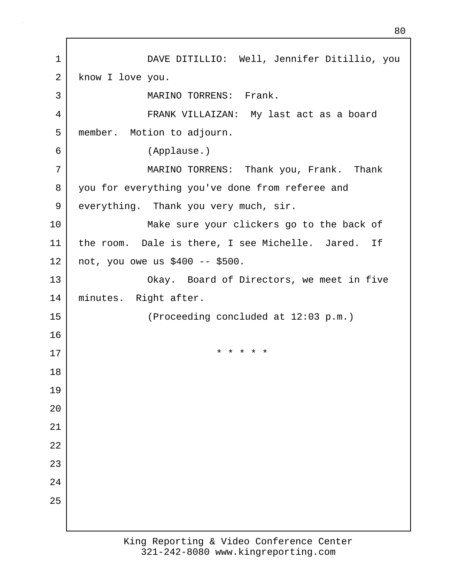1 DAVE DITILLIO: Well, Jennifer Ditillio, you 2 know I love you. 3 MARINO TORRENS: Frank. 4 FRANK VILLAIZAN: My last act as a board 5 member. Motion to adjourn. 6 (Applause.) 7 MARINO TORRENS: Thank you, Frank. Thank 8 you for everything you've done from referee and 9 everything. Thank you very much, sir. 10 Make sure your clickers go to the back of 11 the room. Dale is there, I see Michelle. Jared. If 12 not, you owe us \$400 -- \$500. 13 | Chay. Board of Directors, we meet in five 14 minutes. Right after. 15 (Proceeding concluded at 12:03 p.m.) 16 17 **\*** \* \* \* \* \* 18 19 20 21 22 23 24 25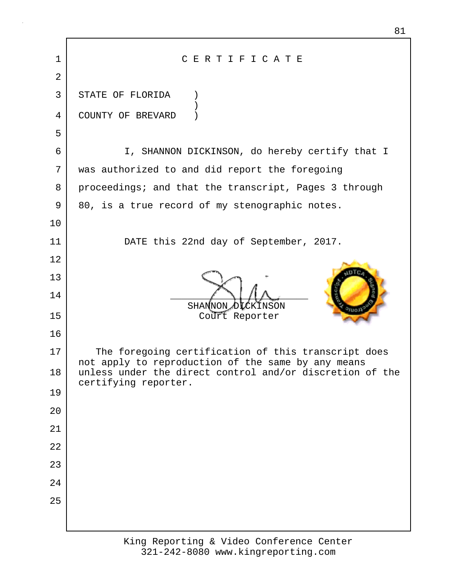| $\mathbf 1$ | CERTIFICATE                                                                                               |
|-------------|-----------------------------------------------------------------------------------------------------------|
| 2           |                                                                                                           |
| 3           | STATE OF FLORIDA                                                                                          |
| 4           | COUNTY OF BREVARD                                                                                         |
| 5           |                                                                                                           |
| 6           | I, SHANNON DICKINSON, do hereby certify that I                                                            |
| 7           | was authorized to and did report the foregoing                                                            |
| 8           | proceedings; and that the transcript, Pages 3 through                                                     |
| 9           | 80, is a true record of my stenographic notes.                                                            |
| 10          |                                                                                                           |
| 11          | DATE this 22nd day of September, 2017.                                                                    |
| 12          |                                                                                                           |
| 13          |                                                                                                           |
| 14          | SHANNON DICKINSON                                                                                         |
| 15          | Court Reporter                                                                                            |
| 16          |                                                                                                           |
| 17          | The foregoing certification of this transcript does<br>not apply to reproduction of the same by any means |
| 18          | unless under the direct control and/or discretion of the<br>certifying reporter.                          |
| 19          |                                                                                                           |
| 20          |                                                                                                           |
| 21          |                                                                                                           |
| 22          |                                                                                                           |
| 23          |                                                                                                           |
| 24          |                                                                                                           |
| 25          |                                                                                                           |
|             |                                                                                                           |
|             |                                                                                                           |

81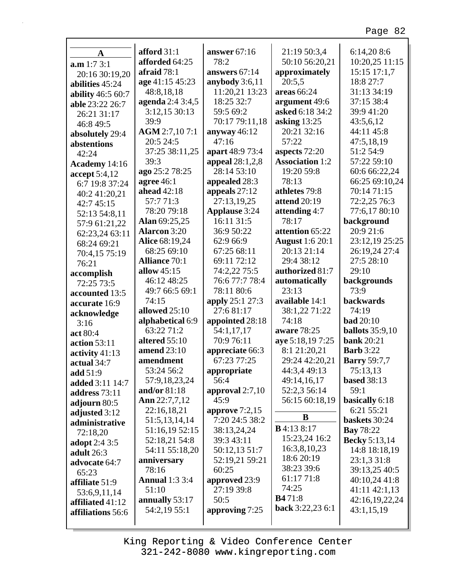┑

| A                        | afford $31:1$         | answer 67:16         | 21:19 50:3,4           | 6:14,208:6             |
|--------------------------|-----------------------|----------------------|------------------------|------------------------|
| a.m 1:7 3:1              | afforded 64:25        | 78:2                 | 50:10 56:20,21         | 10:20,25 11:15         |
| 20:16 30:19,20           | afraid $78:1$         | answers 67:14        | approximately          | 15:15 17:1,7           |
| abilities 45:24          | age 41:15 45:23       | anybody $3:6,11$     | 20:5,5                 | 18:8 27:7              |
| <b>ability</b> 46:5 60:7 | 48:8,18,18            | 11:20,21 13:23       | areas 66:24            | 31:13 34:19            |
| able 23:22 26:7          | agenda 2:4 3:4,5      | 18:25 32:7           | argument 49:6          | 37:15 38:4             |
| 26:21 31:17              | 3:12,15 30:13         | 59:5 69:2            | asked 6:18 34:2        | 39:9 41:20             |
| 46:8 49:5                | 39:9                  | 70:17 79:11,18       | asking $13:25$         | 43:5,6,12              |
| absolutely 29:4          | AGM 2:7,107:1         | anyway $46:12$       | 20:21 32:16            | 44:11 45:8             |
| abstentions              | 20:5 24:5             | 47:16                | 57:22                  | 47:5,18,19             |
| 42:24                    | 37:25 38:11,25        | apart 48:9 73:4      | aspects 72:20          | 51:2 54:9              |
| Academy 14:16            | 39:3                  | appeal 28:1,2,8      | <b>Association 1:2</b> | 57:22 59:10            |
| accept 5:4,12            | ago 25:2 78:25        | 28:14 53:10          | 19:20 59:8             | 60:6 66:22,24          |
| 6:7 19:8 37:24           | agree $46:1$          | appealed 28:3        | 78:13                  | 66:25 69:10,24         |
| 40:2 41:20,21            | ahead 42:18           | appeals $27:12$      | athletes 79:8          | 70:14 71:15            |
| 42:7 45:15               | 57:771:3              | 27:13,19,25          | <b>attend 20:19</b>    | 72:2,25 76:3           |
| 52:13 54:8,11            | 78:20 79:18           | <b>Applause</b> 3:24 | attending 4:7          | 77:6,17 80:10          |
| 57:9 61:21,22            | Alan 69:25,25         | 16:11 31:5           | 78:17                  | background             |
| 62:23,24 63:11           | <b>Alarcon 3:20</b>   | 36:9 50:22           | attention 65:22        | 20:9 21:6              |
| 68:24 69:21              | Alice 68:19,24        | 62:9 66:9            | <b>August</b> 1:6 20:1 | 23:12,19 25:25         |
| 70:4,15 75:19            | 68:25 69:10           | 67:25 68:11          | 20:13 21:14            | 26:19,24 27:4          |
| 76:21                    | <b>Alliance 70:1</b>  | 69:11 72:12          | 29:4 38:12             | 27:5 28:10             |
| accomplish               | allow $45:15$         | 74:2,22 75:5         | authorized 81:7        | 29:10                  |
| 72:25 73:5               | 46:12 48:25           | 76:6 77:7 78:4       | automatically          | backgrounds            |
| accounted 13:5           | 49:7 66:5 69:1        | 78:11 80:6           | 23:13                  | 73:9                   |
| accurate 16:9            | 74:15                 | apply 25:1 27:3      | available 14:1         | backwards              |
| acknowledge              | allowed 25:10         | 27:6 81:17           | 38:1,22 71:22          | 74:19                  |
| 3:16                     | alphabetical 6:9      | appointed 28:18      | 74:18                  | <b>bad</b> 20:10       |
| act 80:4                 | 63:22 71:2            | 54:1,17,17           | aware 78:25            | <b>ballots</b> 35:9,10 |
| <b>action</b> 53:11      | altered 55:10         | 70:9 76:11           | aye 5:18,19 7:25       | <b>bank</b> 20:21      |
| activity 41:13           | <b>amend</b> 23:10    | appreciate 66:3      | 8:1 21:20,21           | <b>Barb</b> 3:22       |
| actual 34:7              | amendment             | 67:23 77:25          | 29:24 42:20,21         | <b>Barry 59:7,7</b>    |
| add 51:9                 | 53:24 56:2            | appropriate          | 44:3,4 49:13           | 75:13,13               |
| added 3:11 14:7          | 57:9,18,23,24         | 56:4                 | 49:14,16,17            | <b>based</b> 38:13     |
| address 73:11            | and/or 81:18          | approval $2:7,10$    | 52:2,3 56:14           | 59:1                   |
| adjourn 80:5             | Ann 22:7,7,12         | 45:9                 | 56:15 60:18,19         | basically 6:18         |
| adjusted 3:12            | 22:16,18,21           | approve $7:2,15$     |                        | 6:21 55:21             |
| administrative           | 51:5,13,14,14         | 7:20 24:5 38:2       | B                      | baskets 30:24          |
| 72:18,20                 | 51:16,19 52:15        | 38:13,24,24          | <b>B</b> 4:13 8:17     | <b>Bay</b> 78:22       |
| <b>adopt</b> 2:4 3:5     | 52:18,21 54:8         | 39:3 43:11           | 15:23,24 16:2          | <b>Becky</b> 5:13,14   |
| adult 26:3               | 54:11 55:18,20        | 50:12,13 51:7        | 16:3,8,10,23           | 14:8 18:18,19          |
| advocate 64:7            | anniversary           | 52:19,21 59:21       | 18:6 20:19             | 23:1,3 31:8            |
| 65:23                    | 78:16                 | 60:25                | 38:23 39:6             | 39:13,25 40:5          |
| affiliate 51:9           | <b>Annual</b> 1:3 3:4 | approved 23:9        | 61:17 71:8             | 40:10,24 41:8          |
| 53:6,9,11,14             | 51:10                 | 27:19 39:8           | 74:25                  | 41:11 42:1,13          |
| affiliated 41:12         | annually 53:17        | 50:5                 | <b>B4</b> 71:8         | 42:16,19,22,24         |
| affiliations 56:6        | 54:2,19 55:1          | approving 7:25       | back 3:22,23 6:1       | 43:1,15,19             |
|                          |                       |                      |                        |                        |
|                          |                       |                      |                        |                        |

Г

King Reporting & Video Conference Center 321-242-8080 www.kingreporting.com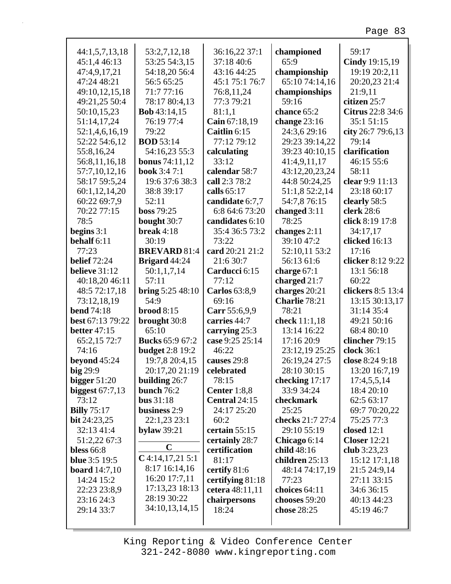| 44:1,5,7,13,18                            | 53:2,7,12,18                | 36:16,22 37:1                   | championed                    | 59:17                         |
|-------------------------------------------|-----------------------------|---------------------------------|-------------------------------|-------------------------------|
| 45:1,4 46:13                              | 53:25 54:3,15               | 37:18 40:6                      | 65:9                          | Cindy 19:15,19                |
| 47:4,9,17,21                              | 54:18,20 56:4               | 43:16 44:25                     | championship                  | 19:19 20:2,11                 |
| 47:24 48:21                               | 56:5 65:25                  | 45:1 75:1 76:7                  | 65:10 74:14,16                | 20:20,23 21:4                 |
| 49:10,12,15,18                            | 71:777:16                   | 76:8,11,24                      | championships                 | 21:9,11                       |
| 49:21,25 50:4                             | 78:17 80:4,13               | 77:3 79:21                      | 59:16                         | citizen 25:7                  |
| 50:10,15,23                               | <b>Bob</b> 43:14,15         | 81:1,1                          | chance 65:2                   | Citrus 22:8 34:6              |
| 51:14,17,24                               | 76:19 77:4                  | Cain 67:18,19                   | change $23:16$                | 35:1 51:15                    |
| 52:1,4,6,16,19                            | 79:22                       | Caitlin 6:15                    | 24:3,6 29:16                  | city 26:7 79:6,13             |
| 52:22 54:6,12                             | <b>BOD</b> 53:14            | 77:12 79:12                     | 29:23 39:14,22                | 79:14                         |
| 55:8,16,24                                | 54:16,23 55:3               | calculating                     | 39:23 40:10,15                | clarification                 |
| 56:8,11,16,18                             | <b>bonus</b> 74:11,12       | 33:12                           | 41:4,9,11,17                  | 46:15 55:6                    |
| 57:7,10,12,16                             | <b>book</b> 3:4 7:1         | calendar 58:7                   | 43:12,20,23,24                | 58:11                         |
| 58:17 59:5,24                             | 19:6 37:6 38:3              | call 2:3 78:2                   | 44:8 50:24,25                 | clear 9:9 11:13               |
| 60:1,12,14,20                             | 38:8 39:17                  | calls 65:17                     | 51:1,8 52:2,14                | 23:18 60:17                   |
| 60:22 69:7,9                              | 52:11                       | candidate 6:7,7                 | 54:7,8 76:15                  | clearly 58:5                  |
| 70:22 77:15                               | boss 79:25                  | 6:8 64:6 73:20                  | changed 3:11                  | clerk 28:6                    |
| 78:5                                      | bought 30:7                 | candidates 6:10                 | 78:25                         | click 8:19 17:8               |
| begins $3:1$                              | break $4:18$                | 35:4 36:5 73:2                  | changes $2:11$                | 34:17,17                      |
| behalf 6:11                               | 30:19                       | 73:22                           | 39:10 47:2                    | clicked 16:13                 |
| 77:23                                     | <b>BREVARD 81:4</b>         | card 20:21 21:2                 | 52:10,11 53:2                 | 17:16                         |
| <b>belief</b> 72:24                       | Brigard 44:24               | 21:6 30:7                       | 56:13 61:6                    | clicker 8:12 9:22             |
| believe 31:12                             | 50:1,1,7,14                 | Carducci 6:15                   | charge 67:1                   | 13:1 56:18                    |
| 40:18,20 46:11                            | 57:11                       | 77:12                           | charged $21:7$                | 60:22                         |
| 48:5 72:17,18                             | <b>bring</b> $5:2548:10$    | <b>Carlos</b> 63:8,9            | charges 20:21                 | clickers 8:5 13:4             |
| 73:12,18,19                               | 54:9                        | 69:16                           | Charlie 78:21                 | 13:15 30:13,17                |
| <b>bend</b> 74:18                         | $broad 8:15$                | Carr 55:6,9,9                   | 78:21                         | 31:14 35:4                    |
| best 67:13 79:22                          | brought 30:8                | carries 44:7                    | check 11:1,18                 | 49:21 50:16                   |
| <b>better</b> 47:15                       | 65:10                       | carrying 25:3                   | 13:14 16:22                   | 68:4 80:10                    |
| 65:2,15 72:7                              | <b>Bucks</b> 65:9 67:2      | case 9:25 25:14<br>46:22        | 17:16 20:9                    | clincher 79:15                |
| 74:16                                     | <b>budget</b> 2:8 19:2      |                                 | 23:12,19 25:25                | clock 36:1                    |
| beyond $45:24$                            | 19:7,8 20:4,15              | causes 29:8                     | 26:19,24 27:5                 | close 8:24 9:18               |
| big 29:9                                  | 20:17,20 21:19              | celebrated                      | 28:10 30:15                   | 13:20 16:7,19                 |
| bigger $51:20$                            | <b>building</b> $26:7$      | 78:15                           | checking 17:17                | 17:4,5,5,14                   |
| biggest $67:7,13$                         | bunch $76:2$                | Center 1:8,8                    | 33:9 34:24                    | 18:4 20:10                    |
| 73:12                                     | bus $31:18$<br>business 2:9 | Central 24:15                   | checkmark                     | 62:5 63:17                    |
| <b>Billy</b> 75:17                        |                             | 24:17 25:20<br>60:2             | 25:25<br>checks 21:7 27:4     | 69:7 70:20,22<br>75:25 77:3   |
| <b>bit</b> $24:23,25$<br>32:13 41:4       | 22:1,23 23:1                | certain 55:15                   | 29:10 55:19                   | closed $12:1$                 |
|                                           | bylaw $39:21$               |                                 |                               |                               |
| 51:2,22 67:3                              | $\mathbf C$                 | certainly 28:7<br>certification | Chicago 6:14                  | <b>Closer</b> 12:21           |
| <b>bless</b> 66:8<br><b>blue</b> 3:5 19:5 | $C$ 4:14,17,21 5:1          | 81:17                           | child 48:16<br>children 25:13 | club 3:23,23<br>15:12 17:1,18 |
|                                           | 8:17 16:14,16               |                                 | 48:14 74:17,19                | 21:5 24:9,14                  |
| <b>board</b> $14:7,10$<br>14:24 15:2      | 16:20 17:7,11               | certify 81:6                    | 77:23                         |                               |
| 22:23 23:8,9                              | 17:13,23 18:13              | certifying 81:18                | choices 64:11                 | 27:11 33:15<br>34:6 36:15     |
| 23:16 24:3                                | 28:19 30:22                 | cetera 48:11,11                 | chooses 59:20                 | 40:13 44:23                   |
| 29:14 33:7                                | 34:10,13,14,15              | chairpersons<br>18:24           | chose 28:25                   | 45:19 46:7                    |
|                                           |                             |                                 |                               |                               |
|                                           |                             |                                 |                               |                               |

King Reporting & Video Conference Center 321-242-8080 www.kingreporting.com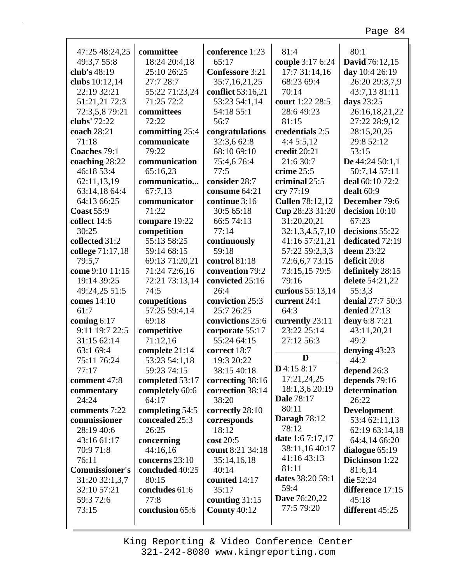| 47:25 48:24,25        | committee       | conference 1:23        | 81:4                   | 80:1                  |
|-----------------------|-----------------|------------------------|------------------------|-----------------------|
| 49:3,7 55:8           | 18:24 20:4,18   | 65:17                  | couple 3:17 6:24       | <b>David</b> 76:12,15 |
| club's 48:19          | 25:10 26:25     | <b>Confessore</b> 3:21 | 17:7 31:14,16          | day 10:4 26:19        |
| clubs 10:12,14        | 27:7 28:7       | 35:7,16,21,25          | 68:23 69:4             | 26:20 29:3,7,9        |
| 22:19 32:21           | 55:22 71:23,24  | conflict 53:16,21      | 70:14                  | 43:7,13 81:11         |
| 51:21,21 72:3         | 71:25 72:2      | 53:23 54:1,14          | court 1:22 28:5        | days 23:25            |
| 72:3,5,8 79:21        | committees      | 54:18 55:1             | 28:6 49:23             | 26:16,18,21,22        |
| clubs' 72:22          | 72:22           | 56:7                   | 81:15                  | 27:22 28:9,12         |
| coach 28:21           | committing 25:4 | congratulations        | credentials 2:5        | 28:15,20,25           |
| 71:18                 | communicate     | 32:3,6 62:8            | 4:4 5:5,12             | 29:8 52:12            |
| Coaches 79:1          | 79:22           | 68:10 69:10            | credit 20:21           | 53:15                 |
| coaching 28:22        | communication   | 75:4,676:4             | 21:6 30:7              | De $44:2450:1,1$      |
| 46:18 53:4            | 65:16,23        | 77:5                   | crime 25:5             | 50:7,14 57:11         |
| 62:11,13,19           | communicatio    | consider 28:7          | criminal 25:5          | deal 60:10 72:2       |
| 63:14,18 64:4         | 67:7,13         | consume 64:21          | cry 77:19              | dealt 60:9            |
| 64:13 66:25           | communicator    | continue 3:16          | <b>Cullen 78:12,12</b> | December 79:6         |
| <b>Coast 55:9</b>     | 71:22           | 30:5 65:18             |                        |                       |
|                       |                 |                        | Cup 28:23 31:20        | decision 10:10        |
| collect 14:6          | compare 19:22   | 66:5 74:13             | 31:20,20,21            | 67:23                 |
| 30:25                 | competition     | 77:14                  | 32:1,3,4,5,7,10        | decisions 55:22       |
| collected 31:2        | 55:13 58:25     | continuously           | 41:16 57:21,21         | dedicated 72:19       |
| college 71:17,18      | 59:14 68:15     | 59:18                  | 57:22 59:2,3,3         | deem 23:22            |
| 79:5,7                | 69:13 71:20,21  | control 81:18          | 72:6,6,7 73:15         | deficit 20:8          |
| come 9:10 11:15       | 71:24 72:6,16   | convention 79:2        | 73:15,15 79:5          | definitely 28:15      |
| 19:14 39:25           | 72:21 73:13,14  | convicted 25:16        | 79:16                  | delete 54:21,22       |
| 49:24,25 51:5         | 74:5            | 26:4                   | curious 55:13,14       | 55:3,3                |
| comes 14:10           | competitions    | conviction 25:3        | current 24:1           | denial 27:7 50:3      |
| 61:7                  | 57:25 59:4,14   | 25:7 26:25             | 64:3                   | denied 27:13          |
| coming $6:17$         | 69:18           | convictions 25:6       | currently 23:11        | deny 6:8 7:21         |
| 9:11 19:7 22:5        | competitive     | corporate 55:17        | 23:22 25:14            | 43:11,20,21           |
| 31:15 62:14           | 71:12,16        | 55:24 64:15            | 27:12 56:3             | 49:2                  |
| 63:1 69:4             | complete 21:14  | correct 18:7           |                        | denying 43:23         |
| 75:11 76:24           | 53:23 54:1,18   | 19:3 20:22             | D                      | 44:2                  |
| 77:17                 | 59:23 74:15     | 38:15 40:18            | $D$ 4:15 8:17          | depend 26:3           |
| comment 47:8          | completed 53:17 | correcting 38:16       | 17:21,24,25            | depends 79:16         |
| commentary            | completely 60:6 | correction 38:14       | 18:1,3,6 20:19         | determination         |
| 24:24                 | 64:17           | 38:20                  | <b>Dale 78:17</b>      | 26:22                 |
| comments 7:22         | completing 54:5 | correctly 28:10        | 80:11                  | <b>Development</b>    |
| commissioner          | concealed 25:3  | corresponds            | <b>Daragh</b> 78:12    | 53:4 62:11,13         |
| 28:19 40:6            | 26:25           | 18:12                  | 78:12                  | 62:19 63:14,18        |
| 43:16 61:17           | concerning      | $\cos t 20:5$          | date 1:6 7:17,17       | 64:4,14 66:20         |
| 70:9 71:8             | 44:16,16        | count 8:21 34:18       | 38:11,16 40:17         | dialogue 65:19        |
| 76:11                 | concerns 23:10  | 35:14,16,18            | 41:16 43:13            | Dickinson 1:22        |
| <b>Commissioner's</b> | concluded 40:25 | 40:14                  | 81:11                  | 81:6,14               |
| 31:20 32:1,3,7        | 80:15           | counted 14:17          | dates 38:20 59:1       | die 52:24             |
| 32:10 57:21           | concludes 61:6  | 35:17                  | 59:4                   | difference 17:15      |
| 59:3 72:6             | 77:8            | counting $31:15$       | <b>Dave</b> 76:20,22   | 45:18                 |
| 73:15                 | conclusion 65:6 | <b>County 40:12</b>    | 77:5 79:20             | different 45:25       |
|                       |                 |                        |                        |                       |
|                       |                 |                        |                        |                       |

г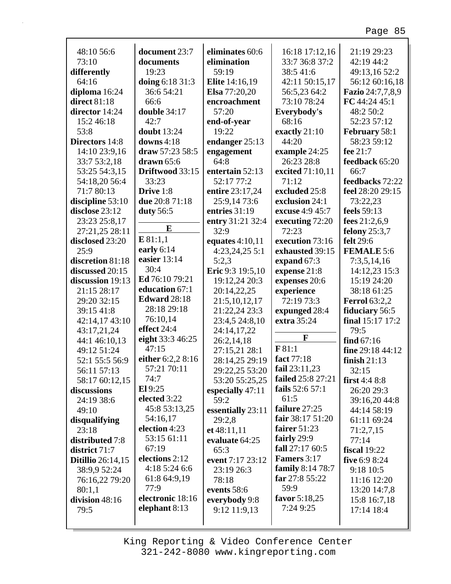| 48:10 56:6               | document 23:7       | eliminates 60:6       | 16:18 17:12,16     | 21:19 29:23          |
|--------------------------|---------------------|-----------------------|--------------------|----------------------|
| 73:10                    | documents           | elimination           | 33:7 36:8 37:2     | 42:19 44:2           |
| differently              | 19:23               | 59:19                 | 38:541:6           | 49:13,16 52:2        |
| 64:16                    | doing 6:18 31:3     | <b>Elite</b> 14:16,19 | 42:11 50:15,17     | 56:12 60:16,18       |
| diploma 16:24            | 36:6 54:21          | Elsa 77:20,20         | 56:5,23 64:2       | Fazio 24:7,7,8,9     |
| direct 81:18             | 66:6                | encroachment          | 73:10 78:24        | FC 44:24 45:1        |
| director 14:24           | double 34:17        | 57:20                 | Everybody's        | 48:2 50:2            |
| 15:2 46:18               | 42:7                | end-of-year           | 68:16              | 52:23 57:12          |
| 53:8                     | <b>doubt</b> 13:24  | 19:22                 | exactly 21:10      | February 58:1        |
| <b>Directors</b> 14:8    | downs $4:18$        | endanger 25:13        | 44:20              | 58:23 59:12          |
| 14:10 23:9,16            | draw 57:23 58:5     | engagement            | example 24:25      | fee 21:7             |
| 33:7 53:2,18             | drawn $65:6$        | 64:8                  | 26:23 28:8         | feedback 65:20       |
| 53:25 54:3,15            | Driftwood 33:15     | entertain 52:13       | excited 71:10,11   | 66:7                 |
| 54:18,20 56:4            | 33:23               | 52:17 77:2            | 71:12              | feedbacks 72:22      |
| 71:7 80:13               | Drive 1:8           | entire 23:17,24       | excluded 25:8      | feel 28:20 29:15     |
| discipline 53:10         | due 20:8 71:18      | 25:9,14 73:6          | exclusion 24:1     | 73:22,23             |
| disclose 23:12           | duty 56:5           | entries 31:19         | excuse 4:9 45:7    | feels 59:13          |
| 23:23 25:8,17            |                     | entry 31:21 32:4      | executing 72:20    | fees $21:2,6,9$      |
| 27:21,25 28:11           | E                   | 32:9                  | 72:23              | felony 25:3,7        |
| disclosed 23:20          | E81:1,1             |                       | execution 73:16    | felt 29:6            |
| 25:9                     | early $6:14$        | equates $4:10,11$     | exhausted 39:15    | <b>FEMALE 5:6</b>    |
|                          | easier 13:14        | $4:23,24,25$ 5:1      |                    |                      |
| discretion 81:18         | 30:4                | 5:2,3                 | expand 67:3        | 7:3,5,14,16          |
| discussed 20:15          | Ed 76:10 79:21      | Eric 9:3 19:5,10      | expense 21:8       | 14:12,23 15:3        |
| discussion 19:13         |                     | 19:12,24 20:3         | expenses 20:6      | 15:19 24:20          |
| 21:15 28:17              | education 67:1      | 20:14,22,25           | experience         | 38:18 61:25          |
| 29:20 32:15              | <b>Edward</b> 28:18 | 21:5,10,12,17         | 72:19 73:3         | <b>Ferrol</b> 63:2,2 |
| 39:15 41:8               | 28:18 29:18         | 21:22,24 23:3         | expunged 28:4      | fiduciary 56:5       |
| 42:14,17 43:10           | 76:10,14            | 23:4,5 24:8,10        | extra 35:24        | final 15:17 17:2     |
| 43:17,21,24              | effect 24:4         | 24:14,17,22           |                    | 79:5                 |
| 44:1 46:10,13            | eight 33:3 46:25    | 26:2,14,18            | F                  | find $67:16$         |
| 49:12 51:24              | 47:15               | 27:15,21 28:1         | F81:1              | fine 29:18 44:12     |
| 52:1 55:5 56:9           | either 6:2,2 8:16   | 28:14,25 29:19        | fact 77:18         | finish $21:13$       |
| 56:11 57:13              | 57:21 70:11         | 29:22,25 53:20        | fail $23:11,23$    | 32:15                |
| 58:17 60:12,15           | 74:7                | 53:20 55:25,25        | failed 25:8 27:21  | first $4:48:8$       |
| discussions              | El 9:25             | especially 47:11      | fails 52:6 57:1    | 26:20 29:3           |
| 24:19 38:6               | elected 3:22        | 59:2                  | 61:5               | 39:16,20 44:8        |
| 49:10                    | 45:8 53:13,25       | essentially 23:11     | failure 27:25      | 44:14 58:19          |
| disqualifying            | 54:16,17            | 29:2,8                | fair 38:17 51:20   | 61:11 69:24          |
| 23:18                    | election 4:23       | et 48:11,11           | fairer $51:23$     | 71:2,7,15            |
| distributed 7:8          | 53:15 61:11         | evaluate 64:25        | fairly 29:9        | 77:14                |
| district 71:7            | 67:19               | 65:3                  | fall 27:17 60:5    | fiscal $19:22$       |
| <b>Ditillio</b> 26:14,15 | elections 2:12      | event 7:17 23:12      | <b>Famers</b> 3:17 | five 6:9 8:24        |
| 38:9,9 52:24             | 4:18 5:24 6:6       | 23:19 26:3            | family 8:14 78:7   | 9:18 10:5            |
| 76:16,22 79:20           | 61:8 64:9,19        | 78:18                 | far 27:8 55:22     | 11:16 12:20          |
| 80:1,1                   | 77:9                | events 58:6           | 59:9               | 13:20 14:7,8         |
| division 48:16           | electronic 18:16    | everybody 9:8         | favor $5:18,25$    | 15:8 16:7,18         |
| 79:5                     | elephant $8:13$     | 9:12 11:9,13          | 7:24 9:25          | 17:14 18:4           |
|                          |                     |                       |                    |                      |
|                          |                     |                       |                    |                      |

г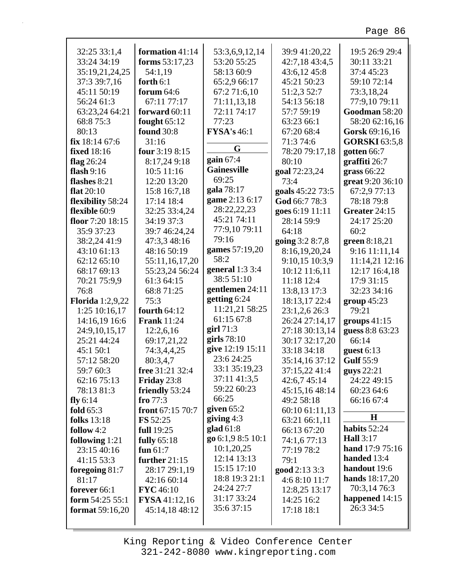| 32:25 33:1,4             | formation 41:14        | 53:3,6,9,12,14     | 39:9 41:20,22                | 19:5 26:9 29:4          |
|--------------------------|------------------------|--------------------|------------------------------|-------------------------|
| 33:24 34:19              | forms 53:17,23         | 53:20 55:25        | 42:7,18 43:4,5               | 30:11 33:21             |
| 35:19,21,24,25           | 54:1,19                | 58:13 60:9         | 43:6,12 45:8                 | 37:4 45:23              |
| 37:3 39:7,16             | forth $6:1$            | 65:2,9 66:17       | 45:21 50:23                  | 59:10 72:14             |
| 45:11 50:19              | forum $64:6$           | 67:2 71:6,10       | 51:2,3 52:7                  | 73:3,18,24              |
| 56:24 61:3               | 67:11 77:17            | 71:11,13,18        | 54:13 56:18                  | 77:9,10 79:11           |
| 63:23,24 64:21           | forward $60:11$        | 72:11 74:17        | 57:7 59:19                   | Goodman 58:20           |
| 68:8 75:3                | fought $65:12$         | 77:23              | 63:23 66:1                   | 58:20 62:16,16          |
| 80:13                    | <b>found</b> 30:8      | <b>FYSA's</b> 46:1 | 67:20 68:4                   | Gorsk 69:16,16          |
| fix 18:14 67:6           | 31:16                  |                    | 71:3 74:6                    | <b>GORSKI</b> 63:5,8    |
| <b>fixed</b> 18:16       | four 3:19 8:15         | G                  | 78:20 79:17,18               | gotten $66:7$           |
| flag $26:24$             | 8:17,24 9:18           | gain $67:4$        | 80:10                        | graffiti 26:7           |
| flash $9:16$             | 10:5 11:16             | <b>Gainesville</b> | goal 72:23,24                | grass $66:22$           |
| flashes 8:21             | 12:20 13:20            | 69:25              | 73:4                         | great 9:20 36:10        |
| flat $20:10$             | 15:8 16:7,18           | gala 78:17         | goals 45:22 73:5             | 67:2,9 77:13            |
| flexibility 58:24        | 17:14 18:4             | game 2:13 6:17     | God 66:7 78:3                | 78:18 79:8              |
| flexible 60:9            | 32:25 33:4,24          | 28:22,22,23        | goes 6:19 11:11              | Greater 24:15           |
| floor 7:20 18:15         | 34:19 37:3             | 45:21 74:11        | 28:14 59:9                   | 24:17 25:20             |
| 35:9 37:23               | 39:7 46:24,24          | 77:9,10 79:11      | 64:18                        | 60:2                    |
| 38:2,24 41:9             | 47:3,3 48:16           | 79:16              | going 3:2 8:7,8              | green 8:18,21           |
| 43:10 61:13              | 48:16 50:19            | games 57:19,20     | 8:16,19,20,24                | 9:16 11:11,14           |
| 62:12 65:10              | 55:11,16,17,20         | 58:2               | 9:10,15 10:3,9               | 11:14,21 12:16          |
| 68:17 69:13              | 55:23,24 56:24         | general $1:33:4$   | 10:12 11:6,11                | 12:17 16:4,18           |
| 70:21 75:9,9             | 61:3 64:15             | 38:5 51:10         | 11:18 12:4                   | 17:9 31:15              |
| 76:8                     | 68:8 71:25             | gentlemen 24:11    | 13:8,13 17:3                 | 32:23 34:16             |
| <b>Florida</b> 1:2,9,22  | 75:3                   | getting 6:24       | 18:13,17 22:4                | $group\ 45:23$          |
| 1:25 10:16,17            | fourth $64:12$         | 11:21,21 58:25     | 23:1,2,6 26:3                | 79:21                   |
| 14:16,19 16:6            | <b>Frank</b> 11:24     | 61:15 67:8         | 26:24 27:14,17               | groups $41:15$          |
| 24:9,10,15,17            | 12:2,6,16              | girl $71:3$        | 27:18 30:13,14               | guess 8:8 63:23         |
| 25:21 44:24              | 69:17,21,22            | girls $78:10$      | 30:17 32:17,20               | 66:14                   |
| 45:1 50:1                | 74:3,4,4,25            | give 12:19 15:11   | 33:18 34:18                  | guest $6:13$            |
| 57:12 58:20              | 80:3,4,7               | 23:6 24:25         | 35:14,16 37:12               | <b>Gulf</b> 55:9        |
| 59:7 60:3                | <b>free</b> 31:21 32:4 | 33:1 35:19,23      | 37:15,22 41:4                | guys 22:21              |
| 62:16 75:13              | Friday 23:8            | 37:11 41:3,5       | 42:6,7 45:14                 | 24:22 49:15             |
| 78:13 81:3               | friendly 53:24         | 59:22 60:23        | 45:15,16 48:14               | 60:23 64:6              |
| fly $6:14$               | fro $77:3$             | 66:25              | 49:2 58:18                   | 66:16 67:4              |
| fold $65:3$              | front $67:15\,70:7$    | given $65:2$       | 60:10 61:11,13               |                         |
| <b>folks</b> 13:18       | <b>FS</b> 52:25        | giving $4:3$       |                              | H                       |
| follow $4:2$             | full 19:25             | glad $61:8$        | 63:21 66:1,11<br>66:13 67:20 | habits $52:24$          |
|                          |                        | go 6:1,9 8:5 10:1  |                              | <b>Hall</b> 3:17        |
| following 1:21           | fully $65:18$          | 10:1,20,25         | 74:1,6 77:13                 | <b>hand</b> $17:975:16$ |
| 23:15 40:16              | fun $61:7$             | 12:14 13:13        | 77:19 78:2                   | handed 13:4             |
| 41:15 53:3               | further 21:15          | 15:15 17:10        | 79:1                         | handout 19:6            |
| foregoing 81:7           | 28:17 29:1,19          | 18:8 19:3 21:1     | good 2:13 3:3                | hands $18:17,20$        |
| 81:17                    | 42:16 60:14            | 24:24 27:7         | 4:6 8:10 11:7                | 70:3,14 76:3            |
| forever 66:1             | <b>FYC</b> 46:10       | 31:17 33:24        | 12:8,25 13:17                | happened $14:15$        |
| form 54:25 55:1          | <b>FYSA</b> 41:12,16   | 35:6 37:15         | 14:25 16:2                   | 26:3 34:5               |
| <b>format</b> $59:16,20$ | 45:14,18 48:12         |                    | 17:18 18:1                   |                         |
|                          |                        |                    |                              |                         |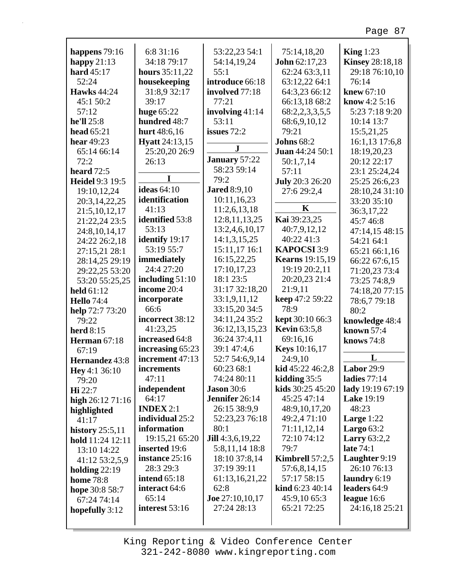|                     | 6:8 31:16             |                          | 75:14,18,20            | King $1:23$            |
|---------------------|-----------------------|--------------------------|------------------------|------------------------|
| happens $79:16$     | 34:18 79:17           | 53:22,23 54:1            |                        |                        |
| happy $21:13$       |                       | 54:14,19,24              | <b>John 62:17,23</b>   | <b>Kinsey 28:18,18</b> |
| hard 45:17          | hours $35:11,22$      | 55:1                     | 62:24 63:3,11          | 29:18 76:10,10         |
| 52:24               | housekeeping          | introduce 66:18          | 63:12,22 64:1          | 76:14                  |
| <b>Hawks</b> 44:24  | 31:8,9 32:17          | involved 77:18           | 64:3,23 66:12          | knew 67:10             |
| 45:1 50:2           | 39:17                 | 77:21                    | 66:13,18 68:2          | know $4:2,5:16$        |
| 57:12               | huge $65:22$          | involving 41:14          | 68:2,2,3,3,5,5         | 5:23 7:18 9:20         |
| he'll 25:8          | hundred 48:7          | 53:11                    | 68:6,9,10,12           | 10:14 13:7             |
| head 65:21          | hurt 48:6,16          | issues $72:2$            | 79:21                  | 15:5,21,25             |
| hear 49:23          | <b>Hyatt</b> 24:13,15 | $\mathbf{J}$             | <b>Johns</b> 68:2      | 16:1,13 17:6,8         |
| 65:14 66:14         | 25:20,20 26:9         |                          | Juan 44:24 50:1        | 18:19,20,23            |
| 72:2                | 26:13                 | January 57:22            | 50:1,7,14              | 20:12 22:17            |
| heard 72:5          |                       | 58:23 59:14              | 57:11                  | 23:1 25:24,24          |
| Heidel 9:3 19:5     | I                     | 79:2                     | <b>July</b> 20:3 26:20 | 25:25 26:6,23          |
| 19:10,12,24         | ideas $64:10$         | <b>Jared 8:9,10</b>      | 27:6 29:2,4            | 28:10,24 31:10         |
| 20:3,14,22,25       | identification        | 10:11,16,23              |                        | 33:20 35:10            |
| 21:5,10,12,17       | 41:13                 | 11:2,6,13,18             | K                      | 36:3,17,22             |
| 21:22,24 23:5       | identified 53:8       | 12:8, 11, 13, 25         | Kai 39:23,25           | 45:746:8               |
| 24:8,10,14,17       | 53:13                 | 13:2,4,6,10,17           | 40:7,9,12,12           | 47:14,15 48:15         |
| 24:22 26:2,18       | identify 19:17        | 14:1,3,15,25             | 40:22 41:3             | 54:21 64:1             |
| 27:15,21 28:1       | 53:19 55:7            | 15:11,17 16:1            | KAPOCSI 3:9            | 65:21 66:1,16          |
| 28:14,25 29:19      | immediately           | 16:15,22,25              | <b>Kearns</b> 19:15,19 | 66:22 67:6,15          |
| 29:22,25 53:20      | 24:4 27:20            | 17:10,17,23              | 19:19 20:2,11          | 71:20,23 73:4          |
| 53:20 55:25,25      | including $51:10$     | 18:1 23:5                | 20:20,23 21:4          | 73:25 74:8,9           |
| held 61:12          | income 20:4           | 31:17 32:18,20           | 21:9,11                | 74:18,20 77:15         |
| <b>Hello</b> 74:4   | incorporate           | 33:1,9,11,12             | keep 47:2 59:22        | 78:6,779:18            |
| help 72:7 73:20     | 66:6                  | 33:15,20 34:5            | 78:9                   | 80:2                   |
| 79:22               | incorrect 38:12       | 34:11,24 35:2            | kept 30:10 66:3        | knowledge 48:4         |
| <b>herd</b> 8:15    | 41:23,25              | 36:12,13,15,23           | <b>Kevin</b> 63:5,8    | known 57:4             |
| <b>Herman</b> 67:18 | increased 64:8        | 36:24 37:4,11            | 69:16,16               | knows 74:8             |
| 67:19               | increasing 65:23      | 39:1 47:4,6              | <b>Keys</b> 10:16,17   |                        |
| Hernandez 43:8      | increment 47:13       | 52:7 54:6,9,14           | 24:9,10                | L                      |
| Hey 4:1 36:10       | increments            | 60:23 68:1               | kid 45:22 46:2,8       | Labor 29:9             |
| 79:20               | 47:11                 | 74:24 80:11              | kidding $35:5$         | ladies $77:14$         |
| Hi 22:7             | independent           | <b>Jason</b> 30:6        | kids 30:25 45:20       | lady 19:19 67:19       |
| high $26:1271:16$   | 64:17                 | Jennifer 26:14           | 45:25 47:14            | <b>Lake 19:19</b>      |
| highlighted         | <b>INDEX</b> $2:1$    | 26:15 38:9,9             | 48:9, 10, 17, 20       | 48:23                  |
| 41:17               | individual 25:2       | 52:23,23 76:18           | 49:2,4 71:10           | Large $1:22$           |
| history $25:5,11$   | information           | 80:1                     | 71:11,12,14            | Largo $63:2$           |
| hold 11:24 12:11    | 19:15,21 65:20        | Jill 4:3,6,19,22         | 72:10 74:12            | <b>Larry</b> 63:2,2    |
| 13:10 14:22         | inserted 19:6         | 5:8,11,14 18:8           | 79:7                   | late 74:1              |
| 41:12 53:2,5,9      | instance 25:16        | 18:10 37:8,14            | Kimbrell $57:2,5$      | Laughter 9:19          |
| holding $22:19$     | 28:3 29:3             | 37:19 39:11              | 57:6,8,14,15           | 26:10 76:13            |
| <b>home</b> 78:8    | intend $65:18$        | 61:13,16,21,22           | 57:17 58:15            | laundry 6:19           |
| hope 30:8 58:7      | interact 64:6         | 62:8                     | kind 6:23 40:14        | leaders 64:9           |
| 67:24 74:14         | 65:14                 | <b>Joe</b> $27:10,10,17$ | 45:9,10 65:3           | league $16:6$          |
| hopefully 3:12      | interest 53:16        | 27:24 28:13              | 65:21 72:25            | 24:16,18 25:21         |
|                     |                       |                          |                        |                        |
|                     |                       |                          |                        |                        |

г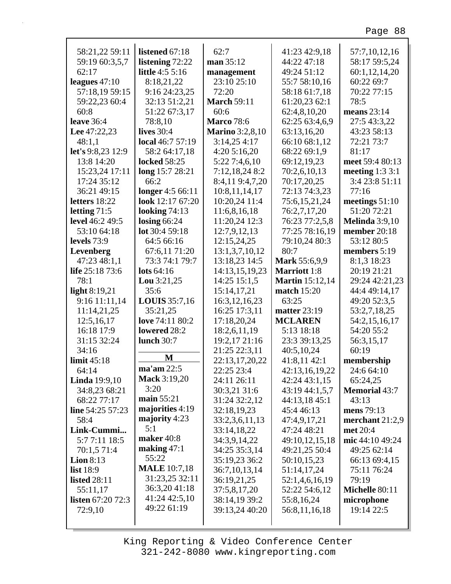| 58:21,22 59:11           | listened 67:18         | 62:7                   | 41:23 42:9,18          | 57:7,10,12,16         |
|--------------------------|------------------------|------------------------|------------------------|-----------------------|
| 59:19 60:3,5,7           | listening 72:22        | man 35:12              | 44:22 47:18            | 58:17 59:5,24         |
| 62:17                    | <b>little</b> 4:5 5:16 | management             | 49:24 51:12            | 60:1,12,14,20         |
| leagues $47:10$          | 8:18,21,22             | 23:10 25:10            | 55:7 58:10,16          | 60:22 69:7            |
| 57:18,19 59:15           | 9:16 24:23,25          | 72:20                  | 58:18 61:7,18          | 70:22 77:15           |
| 59:22,23 60:4            | 32:13 51:2,21          | <b>March 59:11</b>     | 61:20,23 62:1          | 78:5                  |
| 60:8                     | 51:22 67:3,17          | 60:6                   | 62:4,8,10,20           | means $23:14$         |
| <b>leave</b> 36:4        | 78:8,10                | <b>Marco</b> 78:6      | 62:25 63:4,6,9         | 27:5 43:3,22          |
| Lee 47:22,23             | <b>lives</b> 30:4      | <b>Marino</b> 3:2,8,10 | 63:13,16,20            | 43:23 58:13           |
| 48:1,1                   | local 46:7 57:19       | 3:14,254:17            | 66:10 68:1,12          | 72:21 73:7            |
| let's 9:8,23 12:9        | 58:2 64:17,18          | 4:205:16,20            | 68:22 69:1,9           | 81:17                 |
| 13:8 14:20               | <b>locked</b> 58:25    | 5:22 7:4,6,10          | 69:12,19,23            | meet 59:4 80:13       |
| 15:23,24 17:11           | long 15:7 28:21        | 7:12,18,24 8:2         | 70:2,6,10,13           | meeting $1:33:1$      |
| 17:24 35:12              | 66:2                   | 8:4,11 9:4,7,20        | 70:17,20,25            | 3:4 23:8 51:11        |
| 36:21 49:15              | longer 4:5 66:11       | 10:8,11,14,17          | 72:13 74:3,23          | 77:16                 |
| letters 18:22            | look 12:17 67:20       | 10:20,24 11:4          | 75:6,15,21,24          | meetings $51:10$      |
| letting $71:5$           | looking $74:13$        | 11:6,8,16,18           | 76:2,7,17,20           | 51:20 72:21           |
| level 46:2 49:5          | losing $66:24$         | 11:20,24 12:3          | 76:23 77:2,5,8         | <b>Melinda</b> 3:9,10 |
| 53:10 64:18              | lot 30:4 59:18         | 12:7,9,12,13           | 77:25 78:16,19         | member 20:18          |
| levels 73:9              | 64:5 66:16             | 12:15,24,25            | 79:10,24 80:3          | 53:12 80:5            |
| Levenberg                | 67:6,11 71:20          | 13:1,3,7,10,12         | 80:7                   | members 5:19          |
| 47:23 48:1,1             | 73:3 74:1 79:7         | 13:18,23 14:5          | Mark 55:6,9,9          | 8:1,3 18:23           |
| life 25:18 73:6          | lots $64:16$           | 14:13,15,19,23         | <b>Marriott</b> 1:8    | 20:19 21:21           |
| 78:1                     | <b>Lou</b> $3:21,25$   | 14:25 15:1,5           | <b>Martin</b> 15:12,14 | 29:24 42:21,23        |
| light $8:19,21$          | 35:6                   | 15:14,17,21            | <b>match</b> 15:20     | 44:4 49:14,17         |
| 9:16 11:11,14            | <b>LOUIS</b> 35:7,16   | 16:3, 12, 16, 23       | 63:25                  | 49:20 52:3,5          |
| 11:14,21,25              | 35:21,25               | 16:25 17:3,11          | <b>matter 23:19</b>    | 53:2,7,18,25          |
| 12:5,16,17               | love 74:11 80:2        | 17:18,20,24            | <b>MCLAREN</b>         | 54:2,15,16,17         |
| 16:18 17:9               | lowered 28:2           | 18:2,6,11,19           | 5:13 18:18             | 54:20 55:2            |
| 31:15 32:24              | <b>lunch</b> 30:7      | 19:2,17 21:16          | 23:3 39:13,25          | 56:3,15,17            |
| 34:16                    |                        | 21:25 22:3,11          | 40:5,10,24             | 60:19                 |
| limit $45:18$            | M                      | 22:13,17,20,22         | 41:8,11 42:1           | membership            |
| 64:14                    | ma'am 22:5             | 22:25 23:4             | 42:13,16,19,22         | 24:6 64:10            |
| <b>Linda</b> 19:9,10     | <b>Mack</b> 3:19,20    | 24:11 26:11            | 42:24 43:1,15          | 65:24,25              |
| 34:8,23 68:21            | 3:20                   | 30:3,21 31:6           | 43:19 44:1,5,7         | <b>Memorial 43:7</b>  |
| 68:22 77:17              | main $55:21$           | 31:24 32:2,12          | 44:13,18 45:1          | 43:13                 |
| line 54:25 57:23         | majorities 4:19        | 32:18,19,23            | 45:4 46:13             | mens 79:13            |
| 58:4                     | majority 4:23          | 33:2,3,6,11,13         | 47:4,9,17,21           | merchant 21:2,9       |
| Link-Cummi               | 5:1                    | 33:14,18,22            | 47:24 48:21            | met 20:4              |
| 5:77:11 18:5             | maker 40:8             | 34:3,9,14,22           | 49:10,12,15,18         | mic 44:10 49:24       |
| 70:1,5 71:4              | making $47:1$          | 34:25 35:3,14          | 49:21,25 50:4          | 49:25 62:14           |
| Lion $8:13$              | 55:22                  | 35:19,23 36:2          | 50:10,15,23            | 66:13 69:4,15         |
| list 18:9                | <b>MALE</b> 10:7,18    | 36:7,10,13,14          | 51:14,17,24            | 75:11 76:24           |
| <b>listed</b> 28:11      | 31:23,25 32:11         | 36:19,21,25            | 52:1,4,6,16,19         | 79:19                 |
| 55:11,17                 | 36:3,2041:18           | 37:5,8,17,20           | 52:22 54:6,12          | Michelle 80:11        |
| <b>listen</b> 67:20 72:3 | 41:24 42:5,10          | 38:14,19 39:2          | 55:8,16,24             | microphone            |
|                          | 49:22 61:19            | 39:13,24 40:20         | 56:8,11,16,18          | 19:14 22:5            |
| 72:9,10                  |                        |                        |                        |                       |
|                          |                        |                        |                        |                       |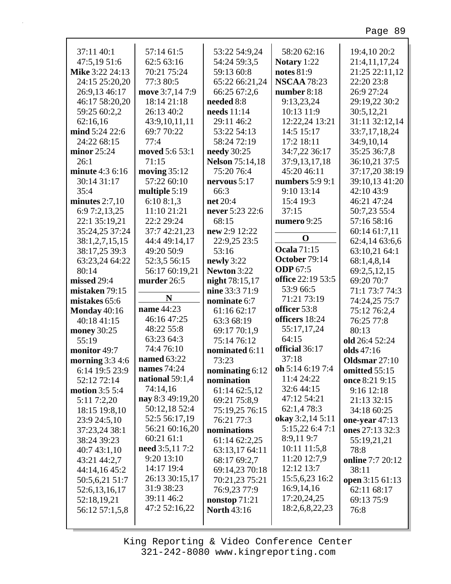| 37:11 40:1                         | 57:14 61:5             | 53:22 54:9,24               | 58:20 62:16        | 19:4,10 20:2               |
|------------------------------------|------------------------|-----------------------------|--------------------|----------------------------|
| 47:5,19 51:6                       | 62:5 63:16             | 54:24 59:3,5                | Notary 1:22        | 21:4,11,17,24              |
| Mike 3:22 24:13                    | 70:21 75:24            | 59:13 60:8                  | notes 81:9         | 21:25 22:11,12             |
| 24:15 25:20,20                     | 77:3 80:5              | 65:22 66:21,24              | <b>NSCAA 78:23</b> | 22:20 23:8                 |
| 26:9,13 46:17                      | move 3:7,14 7:9        | 66:25 67:2,6                | number 8:18        | 26:9 27:24                 |
| 46:17 58:20,20                     | 18:14 21:18            | needed 8:8                  | 9:13,23,24         | 29:19,22 30:2              |
| 59:25 60:2,2                       | 26:13 40:2             | needs 11:14                 | 10:13 11:9         | 30:5,12,21                 |
| 62:16,16                           | 43:9,10,11,11          | 29:11 46:2                  | 12:22,24 13:21     | 31:11 32:12,14             |
| mind 5:24 22:6                     | 69:7 70:22             | 53:22 54:13                 | 14:5 15:17         | 33:7,17,18,24              |
| 24:22 68:15                        | 77:4                   | 58:24 72:19                 | 17:2 18:11         | 34:9,10,14                 |
| minor $25:24$                      | moved 5:6 53:1         | needy 30:25                 | 34:7,22 36:17      | 35:25 36:7,8               |
| 26:1                               | 71:15                  | <b>Nelson</b> 75:14,18      | 37:9,13,17,18      | 36:10,21 37:5              |
| minute 4:3 6:16                    | moving $35:12$         | 75:20 76:4                  | 45:20 46:11        | 37:17,20 38:19             |
| 30:14 31:17                        | 57:22 60:10            | nervous $5:17$              | numbers $5:99:1$   | 39:10,13 41:20             |
| 35:4                               | multiple 5:19          | 66:3                        | 9:10 13:14         | 42:10 43:9                 |
| minutes $2:7,10$                   | 6:108:1,3              | net 20:4                    | 15:4 19:3          | 46:21 47:24                |
| 6:9 7:2,13,25                      | 11:10 21:21            | never 5:23 22:6             | 37:15              | 50:7,23 55:4               |
| 22:1 35:19,21                      | 22:2 29:24             | 68:15                       | numero 9:25        | 57:16 58:16                |
| 35:24,25 37:24                     | 37:7 42:21,23          | new 2:9 12:22               |                    | 60:14 61:7,11              |
| 38:1,2,7,15,15                     | 44:4 49:14,17          | 22:9,25 23:5                | $\mathbf 0$        | 62:4,14 63:6,6             |
| 38:17,25 39:3                      | 49:20 50:9             | 53:16                       | <b>Ocala 71:15</b> | 63:10,21 64:1              |
| 63:23,24 64:22                     | 52:3,5 56:15           | newly 3:22                  | October 79:14      | 68:1,4,8,14                |
| 80:14                              | 56:17 60:19,21         | Newton 3:22                 | <b>ODP</b> 67:5    | 69:2,5,12,15               |
| missed 29:4                        | murder 26:5            | night 78:15,17              | office 22:19 53:5  | 69:20 70:7                 |
| mistaken 79:15                     |                        | nine 33:3 71:9              | 53:9 66:5          | 71:1 73:7 74:3             |
|                                    |                        |                             |                    |                            |
| mistakes 65:6                      | N                      |                             | 71:21 73:19        |                            |
|                                    | name 44:23             | nominate 6:7<br>61:16 62:17 | officer 53:8       | 74:24,25 75:7              |
| <b>Monday</b> 40:16<br>40:18 41:15 | 46:16 47:25            | 63:3 68:19                  | officers 18:24     | 75:12 76:2,4<br>76:25 77:8 |
| money 30:25                        | 48:22 55:8             | 69:17 70:1,9                | 55:17,17,24        | 80:13                      |
| 55:19                              | 63:23 64:3             | 75:14 76:12                 | 64:15              | old 26:4 52:24             |
| monitor 49:7                       | 74:4 76:10             | nominated 6:11              | official 36:17     | olds 47:16                 |
| morning $3:34:6$                   | <b>named</b> 63:22     | 73:23                       | 37:18              | Oldsmar 27:10              |
| 6:14 19:5 23:9                     | names 74:24            | nominating 6:12             | oh 5:14 6:19 7:4   | omitted 55:15              |
| 52:12 72:14                        | national 59:1,4        | nomination                  | 11:4 24:22         | once 8:21 9:15             |
| <b>motion</b> 3:5 5:4              | 74:14,16               | 61:14 62:5,12               | 32:6 44:15         | 9:16 12:18                 |
| 5:11 7:2,20                        | nay 8:3 49:19,20       | 69:21 75:8,9                | 47:12 54:21        | 21:13 32:15                |
| 18:15 19:8,10                      | 50:12,18 52:4          | 75:19,25 76:15              | 62:1,4 78:3        | 34:18 60:25                |
| 23:9 24:5,10                       | 52:5 56:17,19          | 76:21 77:3                  | okay 3:2,14 5:11   | one-year $47:13$           |
| 37:23,24 38:1                      | 56:21 60:16,20         | nominations                 | 5:15,22 6:4 7:1    | ones 27:13 32:3            |
| 38:24 39:23                        | 60:21 61:1             | 61:14 62:2,25               | 8:9,119:7          | 55:19,21,21                |
| 40:743:1,10                        | <b>need</b> 3:5,11 7:2 | 63:13,17 64:11              | 10:11 11:5,8       | 78:8                       |
| 43:21 44:2,7                       | 9:20 13:10             | 68:17 69:2,7                | 11:20 12:7,9       | <b>online</b> 7:7 20:12    |
| 44:14,16 45:2                      | 14:17 19:4             | 69:14,23 70:18              | 12:12 13:7         | 38:11                      |
| 50:5,6,21 51:7                     | 26:13 30:15,17         | 70:21,23 75:21              | 15:5,6,23 16:2     | open 3:15 61:13            |
| 52:6,13,16,17                      | 31:9 38:23             | 76:9,23 77:9                | 16:9,14,16         | 62:11 68:17                |
| 52:18,19,21                        | 39:11 46:2             | nonstop $71:21$             | 17:20,24,25        | 69:13 75:9                 |
| 56:12 57:1,5,8                     | 47:2 52:16,22          | <b>North 43:16</b>          | 18:2,6,8,22,23     | 76:8                       |

 $\Gamma$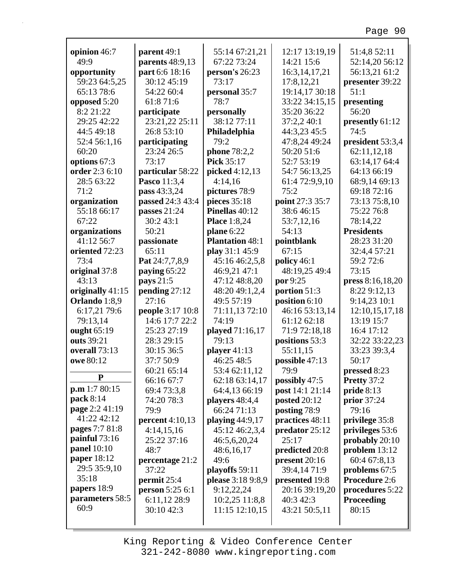|                      | parent 49:1            | 55:14 67:21,21         | 12:17 13:19,19      | 51:4,8 52:11       |
|----------------------|------------------------|------------------------|---------------------|--------------------|
| opinion 46:7<br>49:9 |                        | 67:22 73:24            | 14:21 15:6          |                    |
|                      | parents 48:9,13        |                        |                     | 52:14,20 56:12     |
| opportunity          | part 6:6 18:16         | person's 26:23         | 16:3, 14, 17, 21    | 56:13,21 61:2      |
| 59:23 64:5,25        | 30:12 45:19            | 73:17                  | 17:8,12,21          | presenter 39:22    |
| 65:13 78:6           | 54:22 60:4             | personal 35:7          | 19:14,17 30:18      | 51:1               |
| opposed 5:20         | 61:8 71:6              | 78:7                   | 33:22 34:15,15      | presenting         |
| 8:2 21:22            | participate            | personally             | 35:20 36:22         | 56:20              |
| 29:25 42:22          | 23:21,22 25:11         | 38:12 77:11            | 37:2,2 40:1         | presently 61:12    |
| 44:5 49:18           | 26:8 53:10             | Philadelphia           | 44:3,23 45:5        | 74:5               |
| 52:4 56:1,16         | participating          | 79:2                   | 47:8,24 49:24       | president 53:3,4   |
| 60:20                | 23:24 26:5             | phone 78:2,2           | 50:20 51:6          | 62:11,12,18        |
| options 67:3         | 73:17                  | <b>Pick 35:17</b>      | 52:7 53:19          | 63:14,17 64:4      |
| order 2:3 6:10       | particular 58:22       | picked 4:12,13         | 54:7 56:13,25       | 64:13 66:19        |
| 28:5 63:22           | Pasco 11:3,4           | 4:14,16                | 61:4 72:9,9,10      | 68:9,14 69:13      |
| 71:2                 | pass 43:3,24           | pictures 78:9          | 75:2                | 69:18 72:16        |
| organization         | passed 24:3 43:4       | pieces 35:18           | point 27:3 35:7     | 73:13 75:8,10      |
| 55:18 66:17          | passes 21:24           | Pinellas 40:12         | 38:646:15           | 75:22 76:8         |
| 67:22                | 30:243:1               | <b>Place</b> 1:8,24    | 53:7,12,16          | 78:14,22           |
| organizations        | 50:21                  | plane 6:22             | 54:13               | <b>Presidents</b>  |
| 41:12 56:7           | passionate             | <b>Plantation 48:1</b> | pointblank          | 28:23 31:20        |
| oriented 72:23       | 65:11                  | play 31:1 45:9         | 67:15               | 32:4,4 57:21       |
| 73:4                 | Pat 24:7,7,8,9         | 45:16 46:2,5,8         | policy 46:1         | 59:2 72:6          |
| original 37:8        | paying 65:22           | 46:9,21 47:1           | 48:19,25 49:4       | 73:15              |
| 43:13                | pays 21:5              | 47:12 48:8,20          | por 9:25            | press 8:16,18,20   |
| originally 41:15     | pending 27:12          | 48:20 49:1,2,4         | portion 51:3        | 8:22 9:12,13       |
| Orlando 1:8,9        | 27:16                  | 49:5 57:19             | position 6:10       | 9:14,23 10:1       |
| 6:17,21 79:6         | people 3:17 10:8       | 71:11,13 72:10         | 46:16 53:13,14      | 12:10,15,17,18     |
|                      | 14:6 17:7 22:2         | 74:19                  | 61:12 62:18         | 13:19 15:7         |
| 79:13,14             |                        |                        |                     |                    |
| ought 65:19          | 25:23 27:19            | played 71:16,17        | 71:9 72:18,18       | 16:4 17:12         |
| outs 39:21           | 28:3 29:15             | 79:13                  | positions 53:3      | 32:22 33:22,23     |
| overall 73:13        | 30:15 36:5             | player $41:13$         | 55:11,15            | 33:23 39:3,4       |
| owe 80:12            | 37:7 50:9              | 46:25 48:5             | possible 47:13      | 50:17              |
| ${\bf P}$            | 60:21 65:14            | 53:4 62:11,12          | 79:9                | pressed 8:23       |
|                      | 66:16 67:7             | 62:18 63:14,17         | possibly 47:5       | Pretty 37:2        |
| p.m 1:7 80:15        | 69:4 73:3,8            | 64:4,13 66:19          | post 14:1 21:14     | pride 8:13         |
| pack 8:14            | 74:20 78:3             | players 48:4,4         | <b>posted 20:12</b> | <b>prior</b> 37:24 |
| page 2:2 41:19       | 79:9                   | 66:24 71:13            | posting 78:9        | 79:16              |
| 41:22 42:12          | <b>percent</b> 4:10,13 | playing 44:9,17        | practices 48:11     | privilege 35:8     |
| pages 7:7 81:8       | 4:14,15,16             | 45:12 46:2,3,4         | predator 25:12      | privileges 53:6    |
| painful $73:16$      | 25:22 37:16            | 46:5,6,20,24           | 25:17               | probably 20:10     |
| <b>panel</b> 10:10   | 48:7                   | 48:6,16,17             | predicted 20:8      | problem 13:12      |
| paper 18:12          | percentage 21:2        | 49:6                   | present 20:16       | 60:4 67:8,13       |
| 29:5 35:9,10         | 37:22                  | playoffs 59:11         | 39:4,14 71:9        | problems 67:5      |
| 35:18                | permit 25:4            | please 3:18 9:8,9      | presented 19:8      | Procedure 2:6      |
| papers 18:9          | <b>person</b> 5:25 6:1 | 9:12,22,24             | 20:16 39:19,20      | procedures 5:22    |
| parameters 58:5      | 6:11,12 28:9           | 10:2,25 11:8,8         | 40:3 42:3           | <b>Proceeding</b>  |
| 60:9                 | 30:10 42:3             | 11:15 12:10,15         | 43:21 50:5,11       | 80:15              |
|                      |                        |                        |                     |                    |
|                      |                        |                        |                     |                    |

г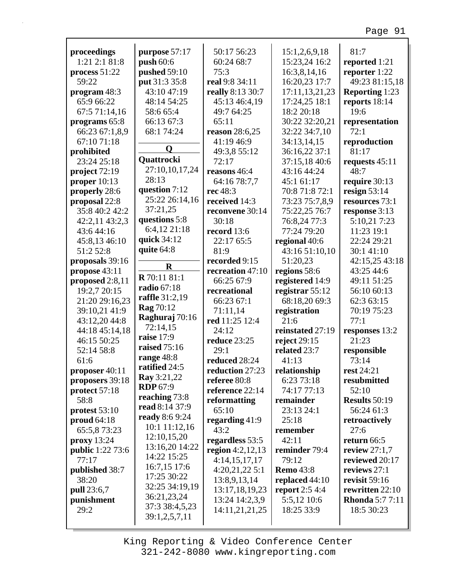| proceedings             | purpose 57:17                  | 50:17 56:23        | 15:1,2,6,9,18         | 81:7                   |
|-------------------------|--------------------------------|--------------------|-----------------------|------------------------|
| 1:21 2:1 81:8           | push 60:6                      | 60:24 68:7         | 15:23,24 16:2         | reported 1:21          |
| process $51:22$         | pushed 59:10                   | 75:3               | 16:3,8,14,16          | reporter 1:22          |
| 59:22                   | put 31:3 35:8                  | real 9:8 34:11     | 16:20,23 17:7         | 49:23 81:15,18         |
| program 48:3            | 43:10 47:19                    | really 8:13 30:7   | 17:11,13,21,23        | <b>Reporting 1:23</b>  |
| 65:9 66:22              | 48:14 54:25                    | 45:13 46:4,19      | 17:24,25 18:1         | reports 18:14          |
| 67:5 71:14,16           | 58:6 65:4                      | 49:7 64:25         | 18:2 20:18            | 19:6                   |
| programs 65:8           | 66:13 67:3                     | 65:11              | 30:22 32:20,21        | representation         |
| 66:23 67:1,8,9          | 68:1 74:24                     | reason 28:6,25     | 32:22 34:7,10         | 72:1                   |
| 67:10 71:18             |                                | 41:19 46:9         | 34:13,14,15           | reproduction           |
| prohibited              | $\mathbf Q$                    | 49:3,8 55:12       | 36:16,22 37:1         | 81:17                  |
| 23:24 25:18             | Quattrocki                     | 72:17              | 37:15,18 40:6         | requests $45:11$       |
| project 72:19           | 27:10,10,17,24                 | reasons 46:4       | 43:16 44:24           | 48:7                   |
| proper $10:13$          | 28:13                          | 64:16 78:7,7       | 45:1 61:17            | require 30:13          |
| properly 28:6           | question 7:12                  | rec 48:3           | 70:8 71:8 72:1        | resign $53:14$         |
| proposal 22:8           | 25:22 26:14,16                 | received 14:3      | 73:23 75:7,8,9        | resources 73:1         |
| 35:8 40:2 42:2          | 37:21,25                       | reconvene 30:14    | 75:22,25 76:7         | response 3:13          |
| 42:2,11 43:2,3          | questions 5:8                  | 30:18              | 76:8,24 77:3          | 5:10,21 7:23           |
| 43:6 44:16              | 6:4,12 21:18                   | record 13:6        | 77:24 79:20           | 11:23 19:1             |
| 45:8,13 46:10           | quick 34:12                    | 22:17 65:5         | regional 40:6         | 22:24 29:21            |
| 51:2 52:8               | quite 64:8                     | 81:9               | 43:16 51:10,10        | 30:1 41:10             |
| proposals 39:16         | $\bf{R}$                       | recorded 9:15      | 51:20,23              | 42:15,25 43:18         |
| propose 43:11           |                                | recreation 47:10   | regions 58:6          | 43:25 44:6             |
| proposed 2:8,11         | R 70:11 81:1                   | 66:25 67:9         | registered 14:9       | 49:11 51:25            |
| 19:2,7 20:15            | <b>radio 67:18</b>             | recreational       | registrar 55:12       | 56:10 60:13            |
| 21:20 29:16,23          | raffle 31:2,19                 | 66:23 67:1         | 68:18,20 69:3         | 62:3 63:15             |
| 39:10,21 41:9           | <b>Rag</b> 70:12               | 71:11,14           | registration          | 70:19 75:23            |
| 43:12,20 44:8           | Raghuraj 70:16                 | red 11:25 12:4     | 21:6                  | 77:1                   |
| 44:18 45:14,18          | 72:14,15                       | 24:12              | reinstated 27:19      | responses 13:2         |
| 46:15 50:25             | raise 17:9                     | reduce 23:25       | reject $29:15$        | 21:23                  |
| 52:14 58:8              | raised 75:16                   | 29:1               | related 23:7          | responsible            |
| 61:6                    | range 48:8<br>ratified 24:5    | reduced 28:24      | 41:13                 | 73:14                  |
| proposer 40:11          |                                | reduction 27:23    | relationship          | rest 24:21             |
| proposers 39:18         | Ray 3:21,22<br><b>RDP</b> 67:9 | referee 80:8       | 6:23 73:18            | resubmitted            |
| protect 57:18           | reaching 73:8                  | reference 22:14    | 74:17 77:13           | 52:10                  |
| 58:8                    | read 8:14 37:9                 | reformatting       | remainder             | <b>Results</b> 50:19   |
| protest 53:10           | ready 8:6 9:24                 | 65:10              | 23:13 24:1            | 56:24 61:3             |
| proud $64:18$           | 10:1 11:12,16                  | regarding $41:9$   | 25:18                 | retroactively          |
| 65:5,8 73:23            | 12:10,15,20                    | 43:2               | remember              | 27:6                   |
| proxy 13:24             | 13:16,20 14:22                 | regardless 53:5    | 42:11                 | return 66:5            |
| <b>public</b> 1:22 73:6 | 14:22 15:25                    | region $4:2,12,13$ | reminder 79:4         | review $27:1,7$        |
| 77:17                   | 16:7,15 17:6                   | 4:14,15,17,17      | 79:12                 | reviewed 20:17         |
| published 38:7          | 17:25 30:22                    | 4:20,21,225:1      | <b>Remo 43:8</b>      | reviews 27:1           |
| 38:20                   | 32:25 34:19,19                 | 13:8,9,13,14       | replaced 44:10        | revisit $59:16$        |
| pull 23:6,7             | 36:21,23,24                    | 13:17,18,19,23     | <b>report</b> 2:5 4:4 | rewritten 22:10        |
| punishment              | 37:3 38:4,5,23                 | 13:24 14:2,3,9     | 5:5,12 10:6           | <b>Rhonda</b> 5:7 7:11 |
| 29:2                    | 39:1,2,5,7,11                  | 14:11,21,21,25     | 18:25 33:9            | 18:5 30:23             |
|                         |                                |                    |                       |                        |

г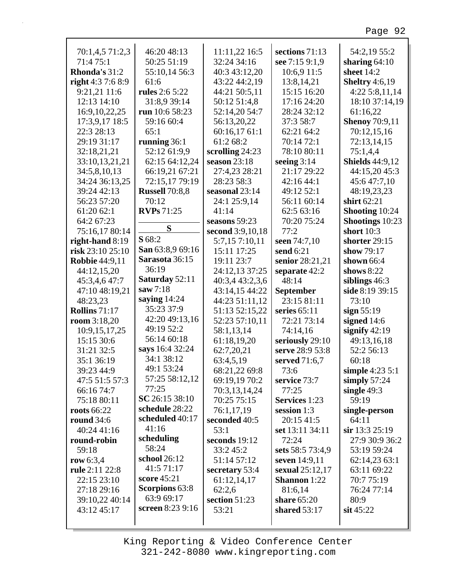| 70:1,4,5 71:2,3       | 46:20 48:13           | 11:11,22 16:5     | sections 71:13      | 54:2,19 55:2           |
|-----------------------|-----------------------|-------------------|---------------------|------------------------|
| 71:475:1              | 50:25 51:19           | 32:24 34:16       | see 7:15 9:1,9      | sharing $64:10$        |
| Rhonda's 31:2         | 55:10,14 56:3         | 40:3 43:12,20     | 10:6,9 11:5         | sheet 14:2             |
| right $4:37:68:9$     | 61:6                  | 43:22 44:2,19     | 13:8,14,21          | <b>Sheltry</b> 4:6,19  |
| 9:21,21 11:6          | rules 2:6 5:22        | 44:21 50:5,11     | 15:15 16:20         | 4:225:8,11,14          |
| 12:13 14:10           | 31:8,9 39:14          | 50:12 51:4,8      | 17:16 24:20         | 18:10 37:14,19         |
| 16:9, 10, 22, 25      | run 10:6 58:23        | 52:14,20 54:7     | 28:24 32:12         | 61:16,22               |
| 17:3,9,17 18:5        | 59:16 60:4            | 56:13,20,22       | 37:3 58:7           | <b>Shenoy 70:9,11</b>  |
| 22:3 28:13            | 65:1                  | 60:16,17 61:1     | 62:21 64:2          | 70:12,15,16            |
| 29:19 31:17           | running 36:1          | 61:2 68:2         | 70:14 72:1          | 72:13,14,15            |
| 32:18,21,21           | 52:12 61:9,9          | scrolling $24:23$ | 78:10 80:11         | 75:1,4,4               |
| 33:10,13,21,21        | 62:15 64:12,24        | season $23:18$    | seeing $3:14$       | <b>Shields</b> 44:9,12 |
| 34:5,8,10,13          | 66:19,21 67:21        | 27:4,23 28:21     | 21:17 29:22         | 44:15,20 45:3          |
| 34:24 36:13,25        | 72:15,17 79:19        | 28:23 58:3        | 42:16 44:1          | 45:647:7,10            |
| 39:24 42:13           | <b>Russell</b> 70:8,8 | seasonal 23:14    | 49:12 52:1          | 48:19,23,23            |
| 56:23 57:20           | 70:12                 | 24:1 25:9,14      | 56:11 60:14         | shirt 62:21            |
| 61:20 62:1            | <b>RVPs</b> 71:25     | 41:14             | 62:5 63:16          | Shooting 10:24         |
| 64:2 67:23            |                       | seasons $59:23$   | 70:20 75:24         | <b>Shootings</b> 10:23 |
| 75:16,17 80:14        | S                     | second 3:9,10,18  | 77:2                | short $10:3$           |
| right-hand $8:19$     | <b>S</b> 68:2         | 5:7,15 7:10,11    | seen 74:7,10        | shorter 29:15          |
| risk 23:10 25:10      | San 63:8,9 69:16      | 15:11 17:25       | send 6:21           | show 79:17             |
| <b>Robbie 44:9,11</b> | Sarasota 36:15        | 19:11 23:7        | senior 28:21,21     | shown $66:4$           |
| 44:12,15,20           | 36:19                 | 24:12,13 37:25    | separate 42:2       | shows $8:22$           |
| 45:3,4,6 47:7         | <b>Saturday 52:11</b> | 40:3,4 43:2,3,6   | 48:14               | siblings $46:3$        |
| 47:10 48:19,21        | saw $7:18$            | 43:14,15 44:22    | September           | side 8:19 39:15        |
| 48:23,23              | saying $14:24$        | 44:23 51:11,12    | 23:15 81:11         | 73:10                  |
| <b>Rollins</b> 71:17  | 35:23 37:9            | 51:13 52:15,22    | series $65:11$      | sign $55:19$           |
| room $3:18,20$        | 42:20 49:13,16        | 52:23 57:10,11    | 72:21 73:14         | signed 14:6            |
| 10:9,15,17,25         | 49:19 52:2            | 58:1,13,14        | 74:14,16            | signify $42:19$        |
| 15:15 30:6            | 56:14 60:18           | 61:18,19,20       | seriously 29:10     | 49:13,16,18            |
| 31:21 32:5            | says 16:4 32:24       | 62:7,20,21        | serve 28:9 53:8     | 52:2 56:13             |
| 35:1 36:19            | 34:1 38:12            | 63:4,5,19         | served 71:6,7       | 60:18                  |
| 39:23 44:9            | 49:1 53:24            | 68:21,22 69:8     | 73:6                | simple $4:235:1$       |
| 47:5 51:5 57:3        | 57:25 58:12,12        | 69:19,19 70:2     | service 73:7        | simply $57:24$         |
| 66:16 74:7            | 77:25                 | 70:3,13,14,24     | 77:25               | single $49:3$          |
| 75:18 80:11           | SC 26:15 38:10        | 70:25 75:15       | Services 1:23       | 59:19                  |
| roots 66:22           | schedule 28:22        | 76:1,17,19        | session 1:3         | single-person          |
| <b>round</b> 34:6     | scheduled 40:17       | seconded 40:5     | 20:15 41:5          | 64:11                  |
| 40:24 41:16           | 41:16                 | 53:1              | set 13:11 34:11     | sir 13:3 25:19         |
| round-robin           | scheduling            | seconds $19:12$   | 72:24               | 27:9 30:9 36:2         |
| 59:18                 | 58:24                 | 33:245:2          | sets 58:5 73:4,9    | 53:19 59:24            |
| row 6:3,4             | school 26:12          | 51:14 57:12       | seven 14:9,11       | 62:14,23 63:1          |
| rule 2:11 22:8        | 41:5 71:17            | secretary 53:4    | sexual 25:12,17     | 63:11 69:22            |
| 22:15 23:10           | score 45:21           | 61:12,14,17       | <b>Shannon</b> 1:22 | 70:775:19              |
| 27:18 29:16           | <b>Scorpions</b> 63:8 | 62:2,6            | 81:6,14             | 76:24 77:14            |
| 39:10,22 40:14        | 63:9 69:17            | section 51:23     | share 65:20         | 80:9                   |
| 43:12 45:17           | screen 8:23 9:16      | 53:21             | shared $53:17$      | $\sin 45:22$           |
|                       |                       |                   |                     |                        |

г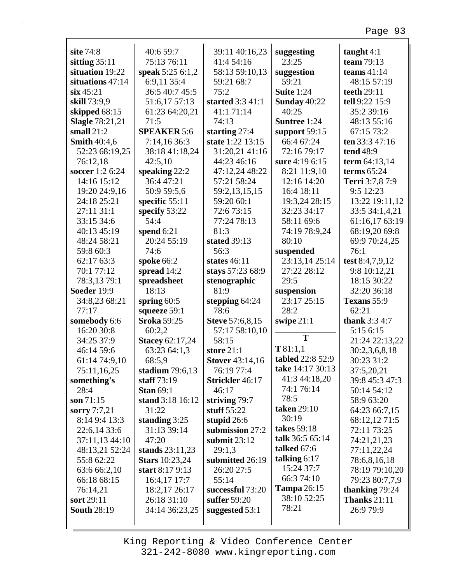| site 74:8              | 40:6 59:7              | 39:11 40:16,23         | suggesting          | taught $4:1$         |
|------------------------|------------------------|------------------------|---------------------|----------------------|
| sitting $35:11$        | 75:13 76:11            | 41:4 54:16             | 23:25               | team $79:13$         |
| situation 19:22        | speak 5:25 6:1,2       | 58:13 59:10,13         | suggestion          | teams $41:14$        |
| situations 47:14       | 6:9,11 35:4            | 59:21 68:7             | 59:21               | 48:15 57:19          |
| $\sin 45:21$           | 36:5 40:7 45:5         | 75:2                   | <b>Suite 1:24</b>   | teeth 29:11          |
| skill 73:9,9           | 51:6,17 57:13          | started 3:3 41:1       | Sunday 40:22        | tell 9:22 15:9       |
| skipped 68:15          | 61:23 64:20,21         | 41:171:14              | 40:25               | 35:2 39:16           |
| <b>Slagle 78:21,21</b> | 71:5                   | 74:13                  | <b>Suntree 1:24</b> | 48:13 55:16          |
| small $21:2$           | <b>SPEAKER 5:6</b>     | starting 27:4          | support $59:15$     | 67:15 73:2           |
| <b>Smith 40:4,6</b>    | 7:14,16 36:3           | state 1:22 13:15       | 66:4 67:24          | ten 33:3 47:16       |
| 52:23 68:19,25         | 38:18 41:18,24         | 31:20,21 41:16         | 72:16 79:17         | <b>tend 48:9</b>     |
| 76:12,18               | 42:5,10                | 44:23 46:16            | sure 4:19 6:15      | term 64:13,14        |
| soccer 1:2 6:24        | speaking 22:2          | 47:12,24 48:22         | 8:21 11:9,10        | terms $65:24$        |
| 14:16 15:12            | 36:4 47:21             | 57:21 58:24            | 12:16 14:20         | Terri 3:7,8 7:9      |
| 19:20 24:9,16          | 50:9 59:5,6            | 59:2,13,15,15          | 16:4 18:11          | 9:5 12:23            |
| 24:18 25:21            | specific $55:11$       | 59:20 60:1             | 19:3,24 28:15       | 13:22 19:11,12       |
| 27:11 31:1             | specify 53:22          | 72:6 73:15             | 32:23 34:17         | 33:5 34:1,4,21       |
| 33:15 34:6             | 54:4                   | 77:24 78:13            | 58:11 69:6          | 61:16,17 63:19       |
| 40:13 45:19            | spend $6:21$           | 81:3                   | 74:19 78:9,24       | 68:19,20 69:8        |
| 48:24 58:21            | 20:24 55:19            | stated 39:13           | 80:10               | 69:9 70:24,25        |
| 59:8 60:3              | 74:6                   | 56:3                   | suspended           | 76:1                 |
| 62:17 63:3             | spoke 66:2             | states $46:11$         | 23:13,14 25:14      | test 8:4,7,9,12      |
| 70:1 77:12             | spread 14:2            | stays 57:23 68:9       | 27:22 28:12         | 9:8 10:12,21         |
| 78:3,13 79:1           | spreadsheet            | stenographic           | 29:5                | 18:15 30:22          |
| Soeder 19:9            | 18:13                  | 81:9                   | suspension          | 32:20 36:18          |
| 34:8,23 68:21          | spring $60:5$          | stepping 64:24         | 23:17 25:15         | Texans 55:9          |
| 77:17                  | squeeze 59:1           | 78:6                   | 28:2                | 62:21                |
| somebody 6:6           | <b>Sroka 59:25</b>     | <b>Steve</b> 57:6,8,15 | swipe $21:1$        | <b>thank</b> 3:3 4:7 |
| 16:20 30:8             | 60:2,2                 | 57:17 58:10,10         | T                   | 5:15 6:15            |
| 34:25 37:9             | <b>Stacey 62:17,24</b> | 58:15                  |                     | 21:24 22:13,22       |
| 46:14 59:6             | 63:23 64:1,3           | store $21:1$           | T81:1,1             | 30:2,3,6,8,18        |
| 61:14 74:9,10          | 68:5,9                 | <b>Stover</b> 43:14,16 | tabled 22:8 52:9    | 30:23 31:2           |
| 75:11,16,25            | stadium $79:6,13$      | 76:19 77:4             | take 14:17 30:13    | 37:5,20,21           |
| something's            | staff $73:19$          | Strickler 46:17        | 41:3 44:18,20       | 39:8 45:3 47:3       |
| 28:4                   | <b>Stan 69:1</b>       | 46:17                  | 74:1 76:14          | 50:14 54:12          |
| son $71:15$            | stand 3:18 16:12       | striving 79:7          | 78:5                | 58:9 63:20           |
| sorry $7:7,21$         | 31:22                  | stuff $55:22$          | taken 29:10         | 64:23 66:7,15        |
| 8:14 9:4 13:3          | standing $3:25$        | stupid 26:6            | 30:19               | 68:12,12 71:5        |
| 22:6,14 33:6           | 31:13 39:14            | submission 27:2        | takes 59:18         | 72:11 73:25          |
| 37:11,13 44:10         | 47:20                  | submit 23:12           | talk 36:5 65:14     | 74:21,21,23          |
| 48:13,21 52:24         | stands $23:11,23$      | 29:1,3                 | talked 67:6         | 77:11,22,24          |
| 55:8 62:22             | <b>Stars</b> 10:23,24  | submitted 26:19        | talking $6:17$      | 78:6,8,16,18         |
| 63:6 66:2,10           | start 8:17 9:13        | 26:20 27:5             | 15:24 37:7          | 78:19 79:10,20       |
| 66:18 68:15            | 16:4,17 17:7           | 55:14                  | 66:3 74:10          | 79:23 80:7,7,9       |
| 76:14,21               | 18:2,17 26:17          | successful 73:20       | <b>Tampa</b> 26:15  | thanking 79:24       |
| sort 29:11             | 26:18 31:10            | suffer 59:20           | 38:10 52:25         | <b>Thanks</b> 21:11  |
| <b>South 28:19</b>     | 34:14 36:23,25         | suggested 53:1         | 78:21               | 26:9 79:9            |
|                        |                        |                        |                     |                      |

г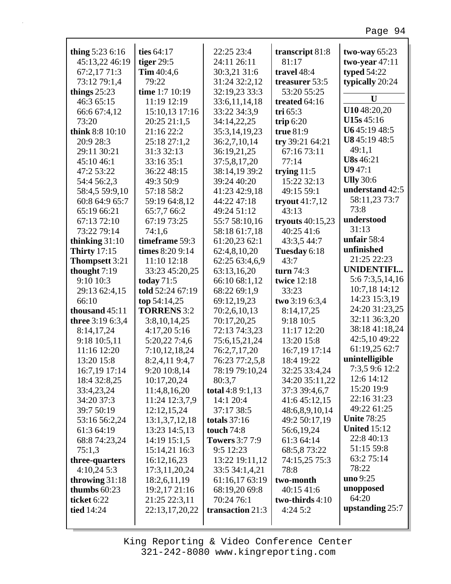| thing $5:236:16$    | ties 64:17         | 22:25 23:4            | transcript 81:8    | two-way $65:23$     |
|---------------------|--------------------|-----------------------|--------------------|---------------------|
| 45:13,22 46:19      | tiger $29:5$       | 24:11 26:11           | 81:17              | two-year $47:11$    |
| 67:2,17 71:3        | Tim $40:4,6$       | 30:3,21 31:6          | travel 48:4        | <b>typed 54:22</b>  |
| 73:12 79:1,4        | 79:22              | 31:24 32:2,12         | treasurer 53:5     | typically 20:24     |
| things $25:23$      | time 1:7 10:19     | 32:19,23 33:3         | 53:20 55:25        |                     |
| 46:3 65:15          | 11:19 12:19        | 33:6,11,14,18         | treated 64:16      | U                   |
| 66:6 67:4,12        | 15:10,13 17:16     | 33:22 34:3,9          | tri $65:3$         | U1048:20,20         |
| 73:20               | 20:25 21:1,5       | 34:14,22,25           | trip $6:20$        | U15s 45:16          |
| think 8:8 10:10     | 21:16 22:2         | 35:3,14,19,23         | true 81:9          | U645:1948:5         |
| 20:9 28:3           | 25:18 27:1,2       | 36:2,7,10,14          | try 39:21 64:21    | U845:1948:5         |
| 29:11 30:21         | 31:3 32:13         | 36:19,21,25           | 67:16 73:11        | 49:1,1              |
| 45:10 46:1          | 33:16 35:1         | 37:5,8,17,20          | 77:14              | <b>U8s</b> 46:21    |
| 47:2 53:22          | 36:22 48:15        | 38:14,19 39:2         | trying $11:5$      | U947:1              |
| 54:4 56:2,3         | 49:3 50:9          | 39:24 40:20           | 15:22 32:13        | <b>Ully</b> 30:6    |
| 58:4,5 59:9,10      | 57:18 58:2         | 41:23 42:9,18         | 49:15 59:1         | understand 42:5     |
| 60:8 64:9 65:7      | 59:19 64:8,12      | 44:22 47:18           | tryout $41:7,12$   | 58:11,23 73:7       |
| 65:19 66:21         | 65:7,7 66:2        | 49:24 51:12           | 43:13              | 73:8                |
| 67:13 72:10         | 67:19 73:25        | 55:7 58:10,16         | tryouts $40:15,23$ | understood          |
| 73:22 79:14         | 74:1,6             | 58:18 61:7,18         | 40:25 41:6         | 31:13               |
| thinking $31:10$    | timeframe 59:3     | 61:20,23 62:1         | 43:3,5 44:7        | unfair $58:4$       |
| <b>Thirty</b> 17:15 | times 8:20 9:14    | 62:4,8,10,20          | Tuesday 6:18       | unfinished          |
| Thompsett 3:21      | 11:10 12:18        | 62:25 63:4,6,9        | 43:7               | 21:25 22:23         |
| thought 7:19        | 33:23 45:20,25     | 63:13,16,20           | turn $74:3$        | <b>UNIDENTIFI</b>   |
| 9:10 10:3           | today $71:5$       | 66:10 68:1,12         | twice 12:18        | 5:6 7:3,5,14,16     |
| 29:13 62:4,15       | told 52:24 67:19   | 68:22 69:1,9          | 33:23              | 10:7,18 14:12       |
| 66:10               | top 54:14,25       | 69:12,19,23           | two 3:19 6:3,4     | 14:23 15:3,19       |
| thousand 45:11      | <b>TORRENS</b> 3:2 | 70:2,6,10,13          | 8:14,17,25         | 24:20 31:23,25      |
| three 3:19 6:3,4    | 3:8,10,14,25       | 70:17,20,25           | 9:18 10:5          | 32:11 36:3,20       |
| 8:14,17,24          | 4:17,20 5:16       | 72:13 74:3,23         | 11:17 12:20        | 38:18 41:18,24      |
| 9:18 10:5,11        | 5:20,22 7:4,6      | 75:6,15,21,24         | 13:20 15:8         | 42:5,10 49:22       |
| 11:16 12:20         | 7:10,12,18,24      | 76:2,7,17,20          | 16:7,19 17:14      | 61:19,25 62:7       |
| 13:20 15:8          | 8:2,4,11 9:4,7     | 76:23 77:2,5,8        | 18:4 19:22         | unintelligible      |
| 16:7,19 17:14       | 9:20 10:8,14       | 78:19 79:10,24        | 32:25 33:4,24      | 7:3,5 9:6 12:2      |
| 18:4 32:8,25        | 10:17,20,24        | 80:3,7                | 34:20 35:11,22     | 12:6 14:12          |
| 33:4,23,24          | 11:4,8,16,20       | total 4:8 9:1,13      | 37:3 39:4,6,7      | 15:20 19:9          |
| 34:20 37:3          | 11:24 12:3,7,9     | 14:1 20:4             | 41:6 45:12.15      | 22:16 31:23         |
| 39:7 50:19          | 12:12,15,24        | 37:17 38:5            | 48:6,8,9,10,14     | 49:22 61:25         |
| 53:16 56:2,24       | 13:1,3,7,12,18     | totals $37:16$        | 49:2 50:17,19      | <b>Unite 78:25</b>  |
| 61:3 64:19          | 13:23 14:5,13      | touch 74:8            | 56:6,19,24         | <b>United 15:12</b> |
| 68:8 74:23,24       | 14:19 15:1,5       | <b>Towers</b> 3:7 7:9 | 61:3 64:14         | 22:8 40:13          |
| 75:1,3              | 15:14,21 16:3      | 9:5 12:23             | 68:5,873:22        | 51:15 59:8          |
| three-quarters      | 16:12,16,23        | 13:22 19:11,12        | 74:15,25 75:3      | 63:2 75:14          |
| 4:10,245:3          | 17:3,11,20,24      | 33:5 34:1,4,21        | 78:8               | 78:22               |
| throwing $31:18$    | 18:2,6,11,19       | 61:16,17 63:19        | two-month          | uno 9:25            |
| thumbs 60:23        | 19:2,17 21:16      | 68:19,20 69:8         | 40:15 41:6         | unopposed           |
| ticket 6:22         | 21:25 22:3,11      | 70:24 76:1            | two-thirds 4:10    | 64:20               |
| tied 14:24          | 22:13,17,20,22     | transaction 21:3      | 4:245:2            | upstanding 25:7     |
|                     |                    |                       |                    |                     |

Г

King Reporting & Video Conference Center 321-242-8080 www.kingreporting.com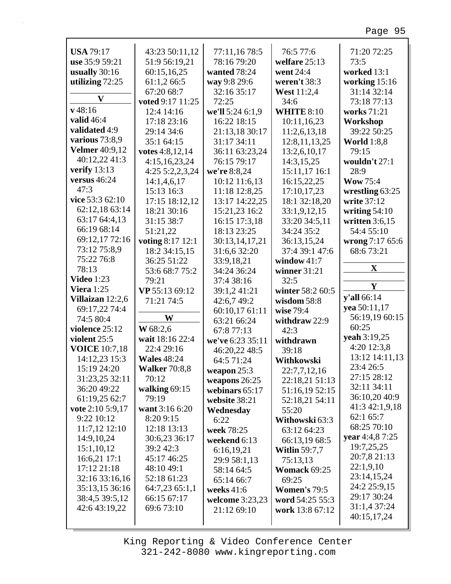| <b>USA 79:17</b>              | 43:23 50:11,12                | 77:11,16 78:5    | 76:5 77:6            | 71:20 72:25                 |
|-------------------------------|-------------------------------|------------------|----------------------|-----------------------------|
| use 35:9 59:21                | 51:9 56:19,21                 | 78:16 79:20      | welfare 25:13        | 73:5                        |
| usually $30:16$               | 60:15,16,25                   | wanted 78:24     | went 24:4            | worked 13:1                 |
| utilizing 72:25               | 61:1,266:5                    | way 9:8 29:6     | weren't 38:3         | working 15:16               |
| $\mathbf{V}$                  | 67:20 68:7                    | 32:16 35:17      | West 11:2,4          | 31:14 32:14                 |
|                               | voted 9:17 11:25              | 72:25            | 34:6                 | 73:18 77:13                 |
| $v$ 48:16                     | 12:4 14:16                    | we'll 5:24 6:1,9 | <b>WHITE 8:10</b>    | works 71:21                 |
| valid 46:4                    | 17:18 23:16                   | 16:22 18:15      | 10:11,16,23          | Workshop                    |
| validated 4:9                 | 29:14 34:6                    | 21:13,18 30:17   | 11:2,6,13,18         | 39:22 50:25                 |
| various 73:8,9                | 35:1 64:15                    | 31:17 34:11      | 12:8,11,13,25        | <b>World</b> 1:8,8          |
| <b>Velmer</b> 40:9,12         | votes 4:8,12,14               | 36:11 63:23,24   | 13:2,6,10,17         | 79:15                       |
| 40:12,22 41:3                 | 4:15,16,23,24                 | 76:15 79:17      | 14:3,15,25           | wouldn't 27:1               |
| verify $13:13$                | 4:25 5:2,2,3,24               | we're 8:8,24     | 15:11,17 16:1        | 28:9                        |
| versus $46:24$                | 14:1,4,6,17                   | 10:12 11:6,13    | 16:15,22,25          | <b>Wow 75:4</b>             |
| 47:3                          | 15:13 16:3                    | 11:18 12:8,25    | 17:10,17,23          | wrestling 63:25             |
| vice $53:362:10$              | 17:15 18:12,12                | 13:17 14:22,25   | 18:1 32:18,20        | write 37:12                 |
| 62:12,18 63:14                | 18:21 30:16                   | 15:21,23 16:2    | 33:1,9,12,15         | writing $54:10$             |
| 63:17 64:4,13                 | 31:15 38:7                    | 16:15 17:3,18    | 33:20 34:5,11        | written $3:6,15$            |
| 66:19 68:14                   | 51:21,22                      | 18:13 23:25      | 34:24 35:2           | 54:4 55:10                  |
| 69:12,17 72:16                | voting 8:17 12:1              | 30:13,14,17,21   | 36:13,15,24          | wrong 7:17 65:6             |
| 73:12 75:8,9                  | 18:2 34:15,15                 | 31:6,6 32:20     | 37:4 39:1 47:6       | 68:673:21                   |
| 75:22 76:8                    | 36:25 51:22                   | 33:9,18,21       | window $41:7$        |                             |
| 78:13                         | 53:6 68:7 75:2                | 34:24 36:24      | winner 31:21         | X                           |
| <b>Video</b> 1:23             | 79:21                         | 37:4 38:16       | 32:5                 |                             |
| Viera $1:25$                  | VP 55:13 69:12                | 39:1,2 41:21     | winter 58:2 60:5     | Y                           |
| Villaizan 12:2,6              | 71:21 74:5                    | 42:6,7 49:2      | wisdom 58:8          | y'all 66:14                 |
| 69:17,22 74:4                 |                               |                  |                      |                             |
|                               |                               |                  |                      | yea 50:11,17                |
| 74:5 80:4                     | W                             | 60:10,17 61:11   | wise 79:4            | 56:19,19 60:15              |
| violence 25:12                | W 68:2,6                      | 63:21 66:24      | withdraw 22:9        | 60:25                       |
| violent 25:5                  | wait 18:16 22:4               | 67:8 77:13       | 42:3                 | yeah 3:19,25                |
| <b>VOICE</b> 10:7,18          | 22:4 29:16                    | we've 6:23 35:11 | withdrawn            | 4:20 12:3,8                 |
|                               | <b>Wales</b> 48:24            | 46:20,22 48:5    | 39:18                | 13:12 14:11,13              |
| 14:12,23 15:3                 |                               | 64:5 71:24       | Withkowski           | 23:4 26:5                   |
| 15:19 24:20<br>31:23,25 32:11 | <b>Walker</b> 70:8,8<br>70:12 | weapon $25:3$    | 22:7,7,12,16         | 27:15 28:12                 |
| 36:20 49:22                   |                               | weapons 26:25    | 22:18,21 51:13       | 32:11 34:11                 |
|                               | walking $69:15$<br>79:19      | webinars 65:17   | 51:16,19 52:15       | 36:10,20 40:9               |
| 61:19,25 62:7                 |                               | website 38:21    | 52:18,21 54:11       | 41:3 42:1,9,18              |
| vote 2:10 5:9,17              | want 3:16 6:20                | Wednesday        | 55:20                | 62:1 65:7                   |
| 9:22 10:12                    | 8:20 9:15                     | 6:22             | Withowski 63:3       | 68:25 70:10                 |
| $11:7,12$ $12:10$             | 12:18 13:13                   | week 78:25       | 63:12 64:23          | vear 4:4,8 7:25             |
| 14:9,10,24                    | 30:6,23 36:17<br>39:2 42:3    | weekend 6:13     | 66:13,19 68:5        | 19:7,25,25                  |
| 15:1,10,12                    |                               | 6:16,19,21       | <b>Witlin 59:7,7</b> | 20:7,8 21:13                |
| 16:6,21 17:1                  | 45:17 46:25                   | 29:9 58:1,13     | 75:13,13             | 22:1,9,10                   |
| 17:12 21:18                   | 48:10 49:1                    | 58:14 64:5       | Womack 69:25         | 23:14,15,24                 |
| 32:16 33:16,16                | 52:18 61:23                   | 65:14 66:7       | 69:25                | 24:2 25:9,15                |
| 35:13,15 36:16                | 64:7,23 65:1,1                | weeks $41:6$     | <b>Women's 79:5</b>  | 29:17 30:24                 |
| 38:4,5 39:5,12                | 66:15 67:17                   | welcome 3:23,23  | word 54:25 55:3      |                             |
| 42:6 43:19,22                 | 69:6 73:10                    | 21:12 69:10      | work 13:8 67:12      | 31:1,4 37:24<br>40:15,17,24 |

King Reporting & Video Conference Center 321-242-8080 www.kingreporting.com